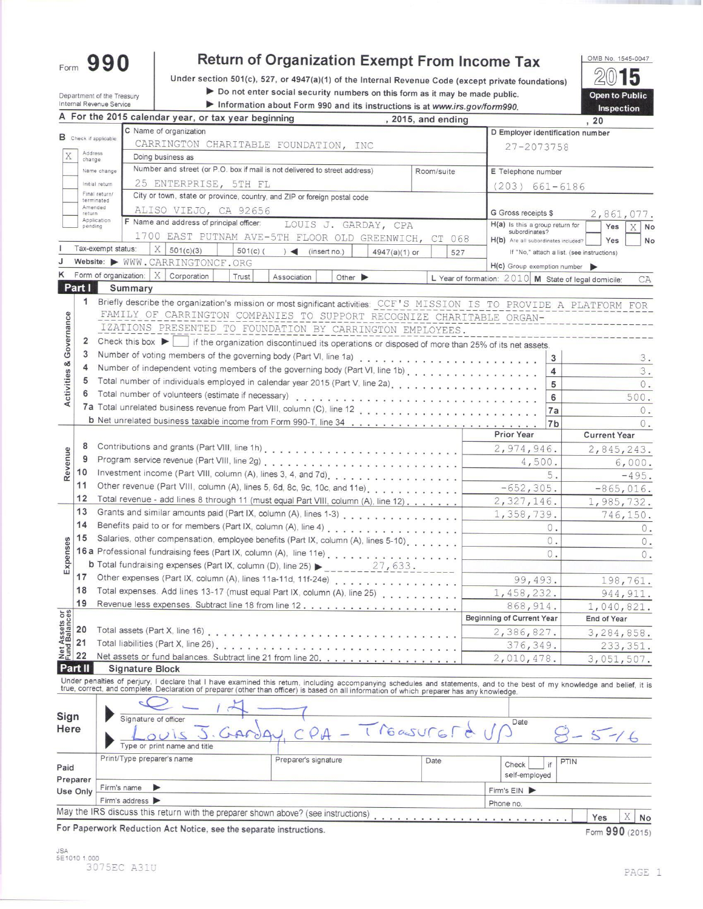Form 990

Department of the Treasury<br>Internal Revenue Service

# Return of Organization Exempt From Income Tax

Under section 501(c), 527, or 4947(a)(1) of the Internal Revenue Code (except private foundations)

> Do not enter social security numbers on this form as it may be made public.

Information about Form 990 and its instructions is at www.irs.gov/form990.

 $\mathcal{D}$ 15 Open to Public Inspection

OMB No. 1545-0047

|                                |                 |                                                                                                                                    | A For the 2015 calendar year, or tax year beginning<br>, 2015, and ending                                                                                                                                                                                                                                                |     |                                                        |                                            | , 20                |         |  |  |  |  |
|--------------------------------|-----------------|------------------------------------------------------------------------------------------------------------------------------------|--------------------------------------------------------------------------------------------------------------------------------------------------------------------------------------------------------------------------------------------------------------------------------------------------------------------------|-----|--------------------------------------------------------|--------------------------------------------|---------------------|---------|--|--|--|--|
|                                |                 |                                                                                                                                    | C Name of organization                                                                                                                                                                                                                                                                                                   |     | D Employer identification number                       |                                            |                     |         |  |  |  |  |
|                                |                 | B Check if applicable                                                                                                              | CARRINGTON CHARITABLE FOUNDATION, INC                                                                                                                                                                                                                                                                                    |     | 27-2073758                                             |                                            |                     |         |  |  |  |  |
| Χ                              | change          | Address                                                                                                                            | Doing business as                                                                                                                                                                                                                                                                                                        |     |                                                        |                                            |                     |         |  |  |  |  |
|                                |                 | Name change                                                                                                                        | Number and street (or P.O. box if mail is not delivered to street address)<br>Room/suite                                                                                                                                                                                                                                 |     | E Telephone number                                     |                                            |                     |         |  |  |  |  |
|                                |                 | Initial return                                                                                                                     | 25 ENTERPRISE, 5TH FL                                                                                                                                                                                                                                                                                                    |     | $(203) 661 - 6186$                                     |                                            |                     |         |  |  |  |  |
|                                |                 | Final return/<br>terminated                                                                                                        | City or town, state or province, country, and ZIP or foreign postal code                                                                                                                                                                                                                                                 |     |                                                        |                                            |                     |         |  |  |  |  |
|                                | return          | Amended                                                                                                                            | ALISO VIEJO, CA 92656                                                                                                                                                                                                                                                                                                    |     | G Gross receipts \$                                    |                                            |                     |         |  |  |  |  |
|                                | pending         | Application                                                                                                                        | F Name and address of principal officer:<br>LOUIS J. GARDAY, CPA                                                                                                                                                                                                                                                         |     | $H(a)$ is this a group return for                      |                                            | 2,861,077.<br>Yes   | X<br>No |  |  |  |  |
|                                |                 |                                                                                                                                    | 1700 EAST PUTNAM AVE-5TH FLOOR OLD GREENWICH, CT 068                                                                                                                                                                                                                                                                     |     | subordinates?                                          |                                            |                     |         |  |  |  |  |
|                                |                 | Tax-exempt status:                                                                                                                 | X.<br>501(c)(3)<br>$501(c)$ (<br>$\left( \text{insert no.} \right)$<br>4947(a)(1) or                                                                                                                                                                                                                                     | 527 | H(b) Are all subordinates included?                    |                                            | Yes                 | No      |  |  |  |  |
| J                              |                 |                                                                                                                                    | Website: $\blacktriangleright$ WWW.CARRINGTONCF.ORG                                                                                                                                                                                                                                                                      |     |                                                        | If "No," attach a list. (see instructions) |                     |         |  |  |  |  |
| Κ                              |                 |                                                                                                                                    | Form of organization:   X  <br>Corporation<br>Trust<br>Other $\blacktriangleright$<br>Association                                                                                                                                                                                                                        |     | $H(c)$ Group exemption number                          |                                            |                     |         |  |  |  |  |
|                                | Part I          |                                                                                                                                    | Summary                                                                                                                                                                                                                                                                                                                  |     | L Year of formation: 2010   M State of legal domicile: |                                            |                     | CA      |  |  |  |  |
|                                | 1               |                                                                                                                                    |                                                                                                                                                                                                                                                                                                                          |     |                                                        |                                            |                     |         |  |  |  |  |
|                                |                 |                                                                                                                                    | Briefly describe the organization's mission or most significant activities: CCF'S MISSION IS TO PROVIDE A PLATFORM FOR                                                                                                                                                                                                   |     |                                                        |                                            |                     |         |  |  |  |  |
| Activities & Governance        |                 | FAMILY OF CARRINGTON COMPANIES TO SUPPORT RECOGNIZE CHARITABLE ORGAN-<br>IZATIONS PRESENTED TO FOUNDATION BY CARRINGTON EMPLOYEES. |                                                                                                                                                                                                                                                                                                                          |     |                                                        |                                            |                     |         |  |  |  |  |
|                                |                 |                                                                                                                                    |                                                                                                                                                                                                                                                                                                                          |     |                                                        |                                            |                     |         |  |  |  |  |
|                                | 2               |                                                                                                                                    | Check this box $\blacktriangleright$ if the organization discontinued its operations or disposed of more than 25% of its net assets.                                                                                                                                                                                     |     |                                                        |                                            |                     |         |  |  |  |  |
|                                | 3               |                                                                                                                                    |                                                                                                                                                                                                                                                                                                                          |     |                                                        | 3                                          |                     | 3.      |  |  |  |  |
|                                | 4               |                                                                                                                                    |                                                                                                                                                                                                                                                                                                                          |     |                                                        | 4                                          |                     | 3.      |  |  |  |  |
|                                | 5               |                                                                                                                                    |                                                                                                                                                                                                                                                                                                                          |     |                                                        | 5                                          |                     | 0.      |  |  |  |  |
|                                | 6               |                                                                                                                                    |                                                                                                                                                                                                                                                                                                                          |     |                                                        | 6                                          |                     | 500.    |  |  |  |  |
|                                |                 |                                                                                                                                    |                                                                                                                                                                                                                                                                                                                          |     |                                                        | 7a                                         |                     | 0.      |  |  |  |  |
|                                |                 |                                                                                                                                    |                                                                                                                                                                                                                                                                                                                          |     |                                                        | 7b                                         |                     | 0.      |  |  |  |  |
|                                |                 |                                                                                                                                    |                                                                                                                                                                                                                                                                                                                          |     | Prior Year                                             |                                            | <b>Current Year</b> |         |  |  |  |  |
|                                | 8               |                                                                                                                                    |                                                                                                                                                                                                                                                                                                                          |     | 2,974,946.                                             |                                            | 2,845,243.          |         |  |  |  |  |
| Revenue                        | 9               |                                                                                                                                    |                                                                                                                                                                                                                                                                                                                          |     | 4,500.                                                 |                                            |                     | 6,000.  |  |  |  |  |
|                                | 10              |                                                                                                                                    | Investment income (Part VIII, column (A), lines 3, 4, and 7d),                                                                                                                                                                                                                                                           |     |                                                        | 5.                                         |                     | $-495.$ |  |  |  |  |
|                                | 11              |                                                                                                                                    | Other revenue (Part VIII, column (A), lines 5, 6d, 8c, 9c, 10c, and 11e).                                                                                                                                                                                                                                                |     | $-652, 305.$                                           |                                            | $-865,016.$         |         |  |  |  |  |
|                                | 12              |                                                                                                                                    | Total revenue - add lines 8 through 11 (must equal Part VIII, column (A), line 12).                                                                                                                                                                                                                                      |     | 2,327,146.                                             |                                            | 1,985,732.          |         |  |  |  |  |
|                                | 13              |                                                                                                                                    | Grants and similar amounts paid (Part IX, column (A), lines 1-3)                                                                                                                                                                                                                                                         |     | 1,358,739.                                             |                                            | 746,150.            |         |  |  |  |  |
|                                | 14              |                                                                                                                                    | Benefits paid to or for members (Part IX, column (A), line 4)                                                                                                                                                                                                                                                            |     |                                                        | 0.                                         |                     |         |  |  |  |  |
|                                | 15              |                                                                                                                                    | Salaries, other compensation, employee benefits (Part IX, column (A), lines 5-10).                                                                                                                                                                                                                                       |     |                                                        | 0.                                         |                     | 0.      |  |  |  |  |
|                                |                 |                                                                                                                                    |                                                                                                                                                                                                                                                                                                                          |     |                                                        | $\overline{0}$ .                           |                     | 0.      |  |  |  |  |
| Expenses                       |                 |                                                                                                                                    | 16 a Professional fundraising fees (Part IX, column (A), line 11e).                                                                                                                                                                                                                                                      |     |                                                        |                                            |                     | 0.      |  |  |  |  |
|                                | 17              |                                                                                                                                    | <b>b</b> Total fundraising expenses (Part IX, column (D), line 25) $\triangleright$ ________27, 633.                                                                                                                                                                                                                     |     |                                                        |                                            |                     |         |  |  |  |  |
|                                | 18              |                                                                                                                                    | Other expenses (Part IX, column (A), lines 11a-11d, 11f-24e)                                                                                                                                                                                                                                                             |     | 99, 493.                                               |                                            | 198,761.            |         |  |  |  |  |
|                                | 19              |                                                                                                                                    | Total expenses. Add lines 13-17 (must equal Part IX, column (A), line 25)                                                                                                                                                                                                                                                |     | 1,458,232.                                             |                                            | 944, 911.           |         |  |  |  |  |
|                                |                 |                                                                                                                                    |                                                                                                                                                                                                                                                                                                                          |     | 868,914.                                               |                                            | 1,040,821.          |         |  |  |  |  |
|                                |                 |                                                                                                                                    |                                                                                                                                                                                                                                                                                                                          |     | <b>Beginning of Current Year</b>                       |                                            | End of Year         |         |  |  |  |  |
| Net Assets or<br>Fund Balances | 20              |                                                                                                                                    | Total assets (Part X, line 16)                                                                                                                                                                                                                                                                                           |     | 2,386,827.                                             |                                            | 3,284,858.          |         |  |  |  |  |
|                                | 21              |                                                                                                                                    | Total liabilities (Part X, line 26).                                                                                                                                                                                                                                                                                     |     | 376,349.                                               |                                            | 233, 351.           |         |  |  |  |  |
|                                | 22              |                                                                                                                                    | Net assets or fund balances. Subtract line 21 from line 20                                                                                                                                                                                                                                                               |     | 2,010,478.                                             |                                            | 3,051,507.          |         |  |  |  |  |
|                                | Part II         |                                                                                                                                    | <b>Signature Block</b>                                                                                                                                                                                                                                                                                                   |     |                                                        |                                            |                     |         |  |  |  |  |
|                                |                 |                                                                                                                                    | Under penalties of perjury, I declare that I have examined this return, including accompanying schedules and statements, and to the best of my knowledge and belief, it is<br>true, correct, and complete. Declaration of preparer (other than officer) is based on all information of which preparer has any knowledge. |     |                                                        |                                            |                     |         |  |  |  |  |
|                                |                 |                                                                                                                                    |                                                                                                                                                                                                                                                                                                                          |     |                                                        |                                            |                     |         |  |  |  |  |
|                                |                 |                                                                                                                                    |                                                                                                                                                                                                                                                                                                                          |     |                                                        |                                            |                     |         |  |  |  |  |
| Sign<br>Here                   |                 |                                                                                                                                    | Signature of officer                                                                                                                                                                                                                                                                                                     |     | Date                                                   |                                            |                     |         |  |  |  |  |
|                                |                 |                                                                                                                                    | reasure                                                                                                                                                                                                                                                                                                                  |     |                                                        |                                            | $5 - 16$            |         |  |  |  |  |
|                                |                 |                                                                                                                                    | Type or pri                                                                                                                                                                                                                                                                                                              |     |                                                        |                                            |                     |         |  |  |  |  |
|                                |                 |                                                                                                                                    | Print/Type preparer's name<br>Preparer's signature<br>Date                                                                                                                                                                                                                                                               |     | Check                                                  | PTIN                                       |                     |         |  |  |  |  |
| Paid                           |                 |                                                                                                                                    |                                                                                                                                                                                                                                                                                                                          |     | self-employed                                          |                                            |                     |         |  |  |  |  |
|                                | Preparer        | Firm's name                                                                                                                        |                                                                                                                                                                                                                                                                                                                          |     |                                                        |                                            |                     |         |  |  |  |  |
|                                | <b>Use Only</b> |                                                                                                                                    | Firm's address >                                                                                                                                                                                                                                                                                                         |     | Firm's EIN                                             |                                            |                     |         |  |  |  |  |
|                                |                 |                                                                                                                                    | May the IRS discuss this return with the preparer shown above? (see instructions)                                                                                                                                                                                                                                        |     | Phone no                                               |                                            |                     |         |  |  |  |  |
|                                |                 |                                                                                                                                    |                                                                                                                                                                                                                                                                                                                          |     |                                                        |                                            | Χ<br>Yes            | No      |  |  |  |  |
|                                |                 |                                                                                                                                    | For Paperwork Reduction Act Notice, see the separate instructions.                                                                                                                                                                                                                                                       |     |                                                        |                                            | Form 990 (2015)     |         |  |  |  |  |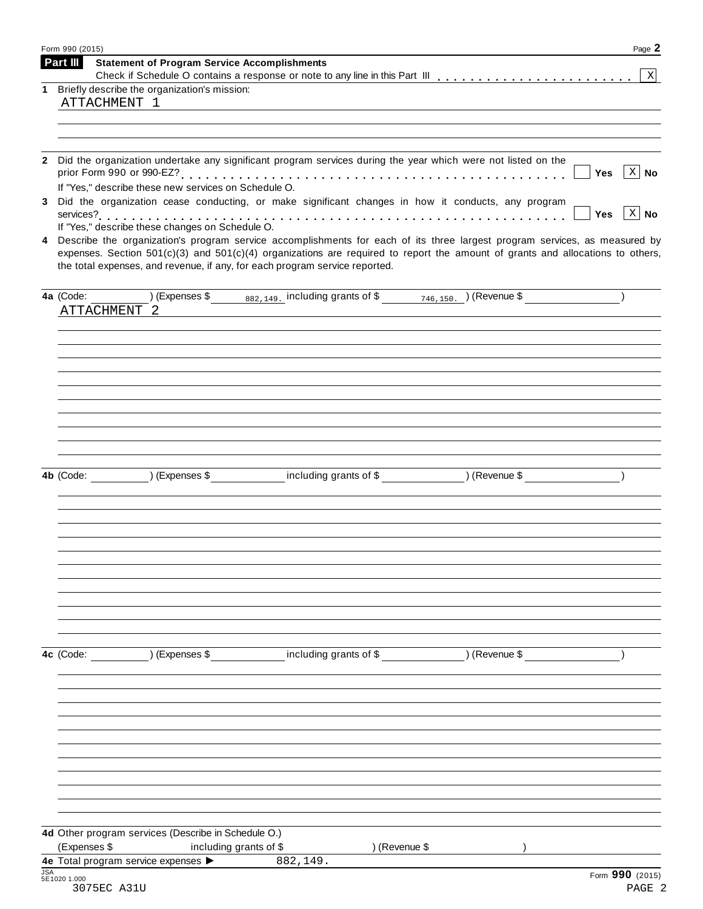|            | Form 990 (2015)                                                                                                                                                                                                                                                                                                                                 | Page 2                    |
|------------|-------------------------------------------------------------------------------------------------------------------------------------------------------------------------------------------------------------------------------------------------------------------------------------------------------------------------------------------------|---------------------------|
|            | Part III<br><b>Statement of Program Service Accomplishments</b>                                                                                                                                                                                                                                                                                 |                           |
|            | 1 Briefly describe the organization's mission:                                                                                                                                                                                                                                                                                                  |                           |
|            | ATTACHMENT 1                                                                                                                                                                                                                                                                                                                                    |                           |
|            |                                                                                                                                                                                                                                                                                                                                                 |                           |
|            |                                                                                                                                                                                                                                                                                                                                                 |                           |
|            | 2 Did the organization undertake any significant program services during the year which were not listed on the                                                                                                                                                                                                                                  | $\mid$ X $\mid$ No<br>Yes |
| 3          | If "Yes," describe these new services on Schedule O.<br>Did the organization cease conducting, or make significant changes in how it conducts, any program                                                                                                                                                                                      | $\mid$ X $\mid$ No<br>Yes |
|            | services?<br>If "Yes," describe these changes on Schedule O.                                                                                                                                                                                                                                                                                    |                           |
| 4          | Describe the organization's program service accomplishments for each of its three largest program services, as measured by<br>expenses. Section $501(c)(3)$ and $501(c)(4)$ organizations are required to report the amount of grants and allocations to others,<br>the total expenses, and revenue, if any, for each program service reported. |                           |
|            |                                                                                                                                                                                                                                                                                                                                                 |                           |
|            | ATTACHMENT 2                                                                                                                                                                                                                                                                                                                                    |                           |
|            |                                                                                                                                                                                                                                                                                                                                                 |                           |
|            |                                                                                                                                                                                                                                                                                                                                                 |                           |
|            |                                                                                                                                                                                                                                                                                                                                                 |                           |
|            |                                                                                                                                                                                                                                                                                                                                                 |                           |
|            |                                                                                                                                                                                                                                                                                                                                                 |                           |
|            |                                                                                                                                                                                                                                                                                                                                                 |                           |
|            |                                                                                                                                                                                                                                                                                                                                                 |                           |
|            |                                                                                                                                                                                                                                                                                                                                                 |                           |
|            | 4b (Code: ___________) (Expenses \$_____________including grants of \$_____________) (Revenue \$_________________)                                                                                                                                                                                                                              |                           |
|            |                                                                                                                                                                                                                                                                                                                                                 |                           |
|            |                                                                                                                                                                                                                                                                                                                                                 |                           |
|            |                                                                                                                                                                                                                                                                                                                                                 |                           |
|            |                                                                                                                                                                                                                                                                                                                                                 |                           |
|            |                                                                                                                                                                                                                                                                                                                                                 |                           |
|            |                                                                                                                                                                                                                                                                                                                                                 |                           |
|            |                                                                                                                                                                                                                                                                                                                                                 |                           |
|            |                                                                                                                                                                                                                                                                                                                                                 |                           |
|            |                                                                                                                                                                                                                                                                                                                                                 |                           |
|            |                                                                                                                                                                                                                                                                                                                                                 |                           |
|            | including grants of \$<br>) (Expenses \$<br>) (Revenue \$<br>4c (Code:                                                                                                                                                                                                                                                                          |                           |
|            |                                                                                                                                                                                                                                                                                                                                                 |                           |
|            |                                                                                                                                                                                                                                                                                                                                                 |                           |
|            |                                                                                                                                                                                                                                                                                                                                                 |                           |
|            |                                                                                                                                                                                                                                                                                                                                                 |                           |
|            |                                                                                                                                                                                                                                                                                                                                                 |                           |
|            |                                                                                                                                                                                                                                                                                                                                                 |                           |
|            |                                                                                                                                                                                                                                                                                                                                                 |                           |
|            |                                                                                                                                                                                                                                                                                                                                                 |                           |
|            |                                                                                                                                                                                                                                                                                                                                                 |                           |
|            | 4d Other program services (Describe in Schedule O.)                                                                                                                                                                                                                                                                                             |                           |
|            | (Expenses \$<br>) (Revenue \$<br>including grants of \$                                                                                                                                                                                                                                                                                         |                           |
|            | 4e Total program service expenses ><br>882,149.                                                                                                                                                                                                                                                                                                 |                           |
| <b>JSA</b> | 5E1020 1.000<br>3075EC A31U                                                                                                                                                                                                                                                                                                                     | Form 990 (2015)<br>PAGE 2 |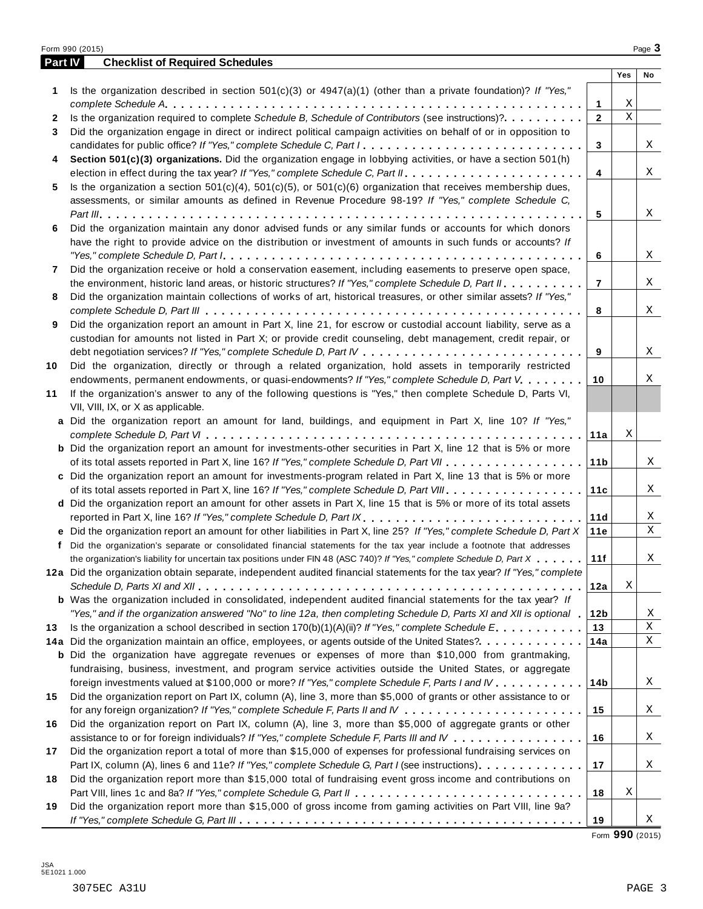|         | Form 990 (2015)                                                                                                           |                 |             | Page 3 |
|---------|---------------------------------------------------------------------------------------------------------------------------|-----------------|-------------|--------|
| Part IV | <b>Checklist of Required Schedules</b>                                                                                    |                 |             |        |
|         |                                                                                                                           |                 | Yes         | No     |
| 1       | Is the organization described in section $501(c)(3)$ or $4947(a)(1)$ (other than a private foundation)? If "Yes,"         |                 |             |        |
|         |                                                                                                                           | 1               | Χ           |        |
| 2       | Is the organization required to complete Schedule B, Schedule of Contributors (see instructions)?.                        | $\overline{2}$  | $\mathbf X$ |        |
| 3       | Did the organization engage in direct or indirect political campaign activities on behalf of or in opposition to          |                 |             |        |
|         | candidates for public office? If "Yes," complete Schedule C, Part I.                                                      | 3               |             | X      |
| 4       | Section 501(c)(3) organizations. Did the organization engage in lobbying activities, or have a section 501(h)             | 4               |             | X      |
| 5       | Is the organization a section $501(c)(4)$ , $501(c)(5)$ , or $501(c)(6)$ organization that receives membership dues,      |                 |             |        |
|         | assessments, or similar amounts as defined in Revenue Procedure 98-19? If "Yes," complete Schedule C,                     |                 |             |        |
|         |                                                                                                                           | 5               |             | X      |
| 6       | Did the organization maintain any donor advised funds or any similar funds or accounts for which donors                   |                 |             |        |
|         | have the right to provide advice on the distribution or investment of amounts in such funds or accounts? If               |                 |             |        |
|         |                                                                                                                           | 6               |             | X      |
| 7       | Did the organization receive or hold a conservation easement, including easements to preserve open space,                 |                 |             |        |
|         | the environment, historic land areas, or historic structures? If "Yes," complete Schedule D, Part II.                     | $\overline{7}$  |             | X      |
| 8       | Did the organization maintain collections of works of art, historical treasures, or other similar assets? If "Yes,"       |                 |             |        |
|         |                                                                                                                           | 8               |             | X      |
| 9       | Did the organization report an amount in Part X, line 21, for escrow or custodial account liability, serve as a           |                 |             |        |
|         | custodian for amounts not listed in Part X; or provide credit counseling, debt management, credit repair, or              |                 |             |        |
|         |                                                                                                                           | 9               |             | X      |
| 10      | Did the organization, directly or through a related organization, hold assets in temporarily restricted                   |                 |             |        |
|         | endowments, permanent endowments, or quasi-endowments? If "Yes," complete Schedule D, Part V.                             | 10              |             | Χ      |
| 11      | If the organization's answer to any of the following questions is "Yes," then complete Schedule D, Parts VI,              |                 |             |        |
|         | VII, VIII, IX, or X as applicable.                                                                                        |                 |             |        |
|         | a Did the organization report an amount for land, buildings, and equipment in Part X, line 10? If "Yes,"                  |                 |             |        |
|         |                                                                                                                           | 11a             | Χ           |        |
|         | <b>b</b> Did the organization report an amount for investments-other securities in Part X, line 12 that is 5% or more     |                 |             |        |
|         |                                                                                                                           | 11 <sub>b</sub> |             | Χ      |
|         | c Did the organization report an amount for investments-program related in Part X, line 13 that is 5% or more             |                 |             |        |
|         |                                                                                                                           | 11c             |             | X      |
|         | d Did the organization report an amount for other assets in Part X, line 15 that is 5% or more of its total assets        |                 |             |        |
|         | reported in Part X, line 16? If "Yes," complete Schedule D, Part IX.                                                      | 11d             |             | X      |
|         | e Did the organization report an amount for other liabilities in Part X, line 25? If "Yes," complete Schedule D, Part X   | 11e             |             | Χ      |
|         | f Did the organization's separate or consolidated financial statements for the tax year include a footnote that addresses |                 |             |        |
|         |                                                                                                                           |                 |             | Χ      |
|         | 12a Did the organization obtain separate, independent audited financial statements for the tax year? If "Yes," complete   |                 |             |        |
|         |                                                                                                                           | 12a             | Χ           |        |
|         | <b>b</b> Was the organization included in consolidated, independent audited financial statements for the tax year? If     |                 |             |        |
|         | "Yes," and if the organization answered "No" to line 12a, then completing Schedule D, Parts XI and XII is optional 1      | 12b             |             | Χ      |
| 13      | Is the organization a school described in section 170(b)(1)(A)(ii)? If "Yes," complete Schedule E.                        | 13              |             | Χ      |
|         | 14a Did the organization maintain an office, employees, or agents outside of the United States?.                          | 14a             |             | X      |
|         | <b>b</b> Did the organization have aggregate revenues or expenses of more than \$10,000 from grantmaking,                 |                 |             |        |
|         | fundraising, business, investment, and program service activities outside the United States, or aggregate                 |                 |             |        |
|         | foreign investments valued at \$100,000 or more? If "Yes," complete Schedule F, Parts I and IV                            | 14b             |             | Χ      |
| 15      | Did the organization report on Part IX, column (A), line 3, more than \$5,000 of grants or other assistance to or         |                 |             |        |
|         |                                                                                                                           | 15              |             | Χ      |
| 16      | Did the organization report on Part IX, column (A), line 3, more than \$5,000 of aggregate grants or other                |                 |             |        |
|         | assistance to or for foreign individuals? If "Yes," complete Schedule F, Parts III and IV                                 | 16              |             | X      |
| 17      | Did the organization report a total of more than \$15,000 of expenses for professional fundraising services on            |                 |             |        |
|         | Part IX, column (A), lines 6 and 11e? If "Yes," complete Schedule G, Part I (see instructions)                            | 17              |             | Χ      |
| 18      | Did the organization report more than \$15,000 total of fundraising event gross income and contributions on               |                 |             |        |
|         |                                                                                                                           | 18              | X           |        |
| 19      | Did the organization report more than \$15,000 of gross income from gaming activities on Part VIII, line 9a?              |                 |             |        |
|         |                                                                                                                           | 19              |             | X      |

Form 990 (2015)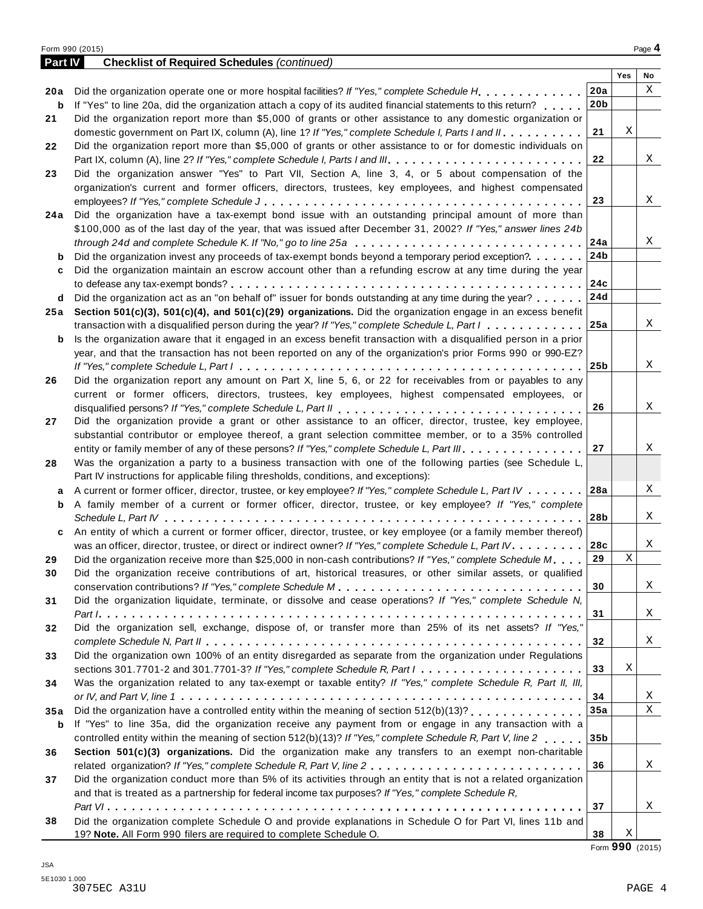|         | Form 990 (2015)                                                                                                                                                 |                 |             | Page 4 |
|---------|-----------------------------------------------------------------------------------------------------------------------------------------------------------------|-----------------|-------------|--------|
| Part IV | <b>Checklist of Required Schedules (continued)</b>                                                                                                              |                 |             |        |
|         |                                                                                                                                                                 |                 | Yes         | No     |
| 20a     | Did the organization operate one or more hospital facilities? If "Yes," complete Schedule H                                                                     | 20a             |             | Χ      |
| b       | If "Yes" to line 20a, did the organization attach a copy of its audited financial statements to this return?                                                    | 20 <sub>b</sub> |             |        |
| 21      | Did the organization report more than \$5,000 of grants or other assistance to any domestic organization or                                                     |                 |             |        |
|         | domestic government on Part IX, column (A), line 1? If "Yes," complete Schedule I, Parts I and II.                                                              | 21              | Χ           |        |
| 22      | Did the organization report more than \$5,000 of grants or other assistance to or for domestic individuals on                                                   |                 |             |        |
|         |                                                                                                                                                                 | 22              |             | Χ      |
| 23      | Did the organization answer "Yes" to Part VII, Section A, line 3, 4, or 5 about compensation of the                                                             |                 |             |        |
|         | organization's current and former officers, directors, trustees, key employees, and highest compensated                                                         |                 |             |        |
|         |                                                                                                                                                                 | 23              |             | X      |
| 24 a    | Did the organization have a tax-exempt bond issue with an outstanding principal amount of more than                                                             |                 |             |        |
|         | \$100,000 as of the last day of the year, that was issued after December 31, 2002? If "Yes," answer lines 24b                                                   |                 |             |        |
|         | through 24d and complete Schedule K. If "No," go to line 25a $\dots \dots \dots \dots \dots \dots \dots \dots \dots \dots \dots \dots$                          | 24a             |             | Χ      |
| b       | Did the organization invest any proceeds of tax-exempt bonds beyond a temporary period exception?                                                               | 24b             |             |        |
| c       | Did the organization maintain an escrow account other than a refunding escrow at any time during the year                                                       |                 |             |        |
|         |                                                                                                                                                                 | 24c             |             |        |
| d       | Did the organization act as an "on behalf of" issuer for bonds outstanding at any time during the year?                                                         | 24d             |             |        |
| 25 a    | Section 501(c)(3), 501(c)(4), and 501(c)(29) organizations. Did the organization engage in an excess benefit                                                    |                 |             |        |
|         | transaction with a disqualified person during the year? If "Yes," complete Schedule L, Part I                                                                   | 25a             |             | X      |
| b       | Is the organization aware that it engaged in an excess benefit transaction with a disqualified person in a prior                                                |                 |             |        |
|         | year, and that the transaction has not been reported on any of the organization's prior Forms 990 or 990-EZ?                                                    |                 |             |        |
|         |                                                                                                                                                                 | 25 <sub>b</sub> |             | X      |
| 26      | Did the organization report any amount on Part X, line 5, 6, or 22 for receivables from or payables to any                                                      |                 |             |        |
|         | current or former officers, directors, trustees, key employees, highest compensated employees, or                                                               |                 |             |        |
|         |                                                                                                                                                                 | 26              |             | X      |
| 27      | Did the organization provide a grant or other assistance to an officer, director, trustee, key employee,                                                        |                 |             |        |
|         | substantial contributor or employee thereof, a grant selection committee member, or to a 35% controlled                                                         |                 |             |        |
|         | entity or family member of any of these persons? If "Yes," complete Schedule L, Part III.                                                                       | 27              |             | X      |
| 28      | Was the organization a party to a business transaction with one of the following parties (see Schedule L,                                                       |                 |             |        |
|         | Part IV instructions for applicable filing thresholds, conditions, and exceptions):                                                                             |                 |             |        |
| a       | A current or former officer, director, trustee, or key employee? If "Yes," complete Schedule L, Part IV                                                         | 28a             |             | X      |
| b       | A family member of a current or former officer, director, trustee, or key employee? If "Yes," complete                                                          |                 |             |        |
|         |                                                                                                                                                                 | 28b             |             | Χ      |
| c       | An entity of which a current or former officer, director, trustee, or key employee (or a family member thereof)                                                 |                 |             |        |
|         | was an officer, director, trustee, or direct or indirect owner? If "Yes," complete Schedule L, Part IV.                                                         | 28c             |             | X      |
| 29      | Did the organization receive more than \$25,000 in non-cash contributions? If "Yes," complete Schedule M                                                        | 29              | $\mathbf X$ |        |
| 30      | Did the organization receive contributions of art, historical treasures, or other similar assets, or qualified                                                  |                 |             |        |
|         |                                                                                                                                                                 | 30              |             | X      |
| 31      | Did the organization liquidate, terminate, or dissolve and cease operations? If "Yes," complete Schedule N,                                                     |                 |             |        |
|         |                                                                                                                                                                 | 31              |             | Χ      |
| 32      | Did the organization sell, exchange, dispose of, or transfer more than 25% of its net assets? If "Yes,"                                                         |                 |             |        |
|         |                                                                                                                                                                 | 32              |             | Χ      |
| 33      | Did the organization own 100% of an entity disregarded as separate from the organization under Regulations                                                      |                 |             |        |
|         | sections 301.7701-2 and 301.7701-3? If "Yes," complete Schedule R, Part $l_1, \ldots, l_l, \ldots, l_l, \ldots, l_l, \ldots, l_l$                               | 33              | Χ           |        |
| 34      | Was the organization related to any tax-exempt or taxable entity? If "Yes," complete Schedule R, Part II, III,                                                  |                 |             |        |
|         |                                                                                                                                                                 | 34              |             | X      |
| 35 a    | Did the organization have a controlled entity within the meaning of section 512(b)(13)?                                                                         | 35a             |             | Χ      |
| b       | If "Yes" to line 35a, did the organization receive any payment from or engage in any transaction with a                                                         |                 |             |        |
|         | controlled entity within the meaning of section 512(b)(13)? If "Yes," complete Schedule R, Part V, line 2                                                       | 35b             |             |        |
| 36      | Section 501(c)(3) organizations. Did the organization make any transfers to an exempt non-charitable                                                            |                 |             |        |
|         |                                                                                                                                                                 | 36              |             | Χ      |
| 37      | Did the organization conduct more than 5% of its activities through an entity that is not a related organization                                                |                 |             |        |
|         | and that is treated as a partnership for federal income tax purposes? If "Yes," complete Schedule R,                                                            |                 |             |        |
|         |                                                                                                                                                                 | 37              |             | Χ      |
| 38      | Did the organization complete Schedule O and provide explanations in Schedule O for Part VI, lines 11b and                                                      |                 |             |        |
|         | 19? Note. All Form 990 filers are required to complete Schedule O.<br>the control of the control of the control of the control of the control of the control of | 38              | Χ           |        |

Form **990** (2015)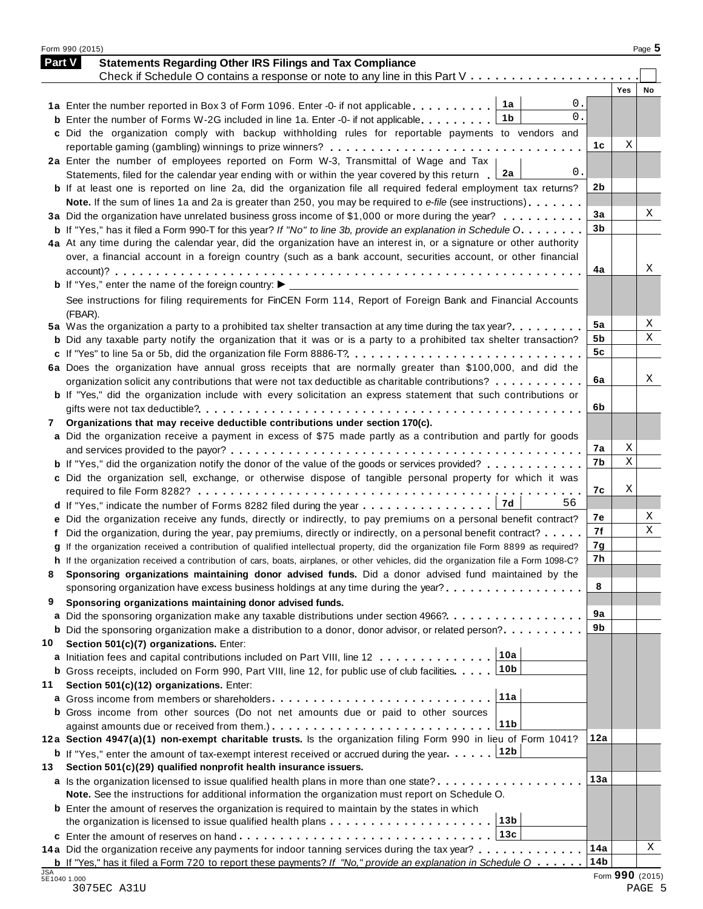|    | Form 990 (2015)                                                                                                                                         |     | Page 5 |
|----|---------------------------------------------------------------------------------------------------------------------------------------------------------|-----|--------|
|    | Part V<br><b>Statements Regarding Other IRS Filings and Tax Compliance</b>                                                                              |     |        |
|    | Check if Schedule O contains a response or note to any line in this Part V                                                                              |     |        |
|    |                                                                                                                                                         | Yes | No     |
|    | 0.<br>  1a<br>1a Enter the number reported in Box 3 of Form 1096. Enter -0- if not applicable                                                           |     |        |
|    | 0.<br>1 <sub>b</sub><br><b>b</b> Enter the number of Forms W-2G included in line 1a. Enter -0- if not applicable.                                       |     |        |
|    | c Did the organization comply with backup withholding rules for reportable payments to vendors and                                                      |     |        |
|    | 1с                                                                                                                                                      | Χ   |        |
|    | 2a Enter the number of employees reported on Form W-3, Transmittal of Wage and Tax                                                                      |     |        |
|    | 0.<br>Statements, filed for the calendar year ending with or within the year covered by this return 2a                                                  |     |        |
|    | 2b<br><b>b</b> If at least one is reported on line 2a, did the organization file all required federal employment tax returns?                           |     |        |
|    | Note. If the sum of lines 1a and 2a is greater than 250, you may be required to e-file (see instructions)                                               |     |        |
|    | 3a<br>3a Did the organization have unrelated business gross income of \$1,000 or more during the year?                                                  |     | X      |
|    | 3b<br><b>b</b> If "Yes," has it filed a Form 990-T for this year? If "No" to line 3b, provide an explanation in Schedule O.                             |     |        |
|    | 4a At any time during the calendar year, did the organization have an interest in, or a signature or other authority                                    |     |        |
|    | over, a financial account in a foreign country (such as a bank account, securities account, or other financial                                          |     |        |
|    | 4a                                                                                                                                                      |     | Χ      |
|    | <b>b</b> If "Yes," enter the name of the foreign country: $\blacktriangleright$ ______                                                                  |     |        |
|    | See instructions for filing requirements for FinCEN Form 114, Report of Foreign Bank and Financial Accounts                                             |     |        |
|    | (FBAR).                                                                                                                                                 |     |        |
|    | 5a<br>5a Was the organization a party to a prohibited tax shelter transaction at any time during the tax year?                                          |     | X      |
|    | 5b<br><b>b</b> Did any taxable party notify the organization that it was or is a party to a prohibited tax shelter transaction?                         |     | Χ      |
|    | 5c                                                                                                                                                      |     |        |
|    | 6a Does the organization have annual gross receipts that are normally greater than \$100,000, and did the                                               |     |        |
|    | 6a<br>organization solicit any contributions that were not tax deductible as charitable contributions?                                                  |     | X      |
|    | <b>b</b> If "Yes," did the organization include with every solicitation an express statement that such contributions or                                 |     |        |
|    | 6b                                                                                                                                                      |     |        |
|    | Organizations that may receive deductible contributions under section 170(c).                                                                           |     |        |
| 7  |                                                                                                                                                         |     |        |
|    | a Did the organization receive a payment in excess of \$75 made partly as a contribution and partly for goods<br>7a                                     | Χ   |        |
|    | 7b                                                                                                                                                      | Χ   |        |
|    | <b>b</b> If "Yes," did the organization notify the donor of the value of the goods or services provided?                                                |     |        |
|    | c Did the organization sell, exchange, or otherwise dispose of tangible personal property for which it was<br>7с                                        | Χ   |        |
|    | 56                                                                                                                                                      |     |        |
|    |                                                                                                                                                         |     | X      |
|    | 7e<br>e Did the organization receive any funds, directly or indirectly, to pay premiums on a personal benefit contract?                                 |     | Χ      |
|    | 7f<br>f Did the organization, during the year, pay premiums, directly or indirectly, on a personal benefit contract?                                    |     |        |
|    | 7g<br>g If the organization received a contribution of qualified intellectual property, did the organization file Form 8899 as required?                |     |        |
|    | $7\,\mathrm{h}$<br>h If the organization received a contribution of cars, boats, airplanes, or other vehicles, did the organization file a Form 1098-C? |     |        |
| 8  | Sponsoring organizations maintaining donor advised funds. Did a donor advised fund maintained by the                                                    |     |        |
|    | 8<br>sponsoring organization have excess business holdings at any time during the year?                                                                 |     |        |
| 9  | Sponsoring organizations maintaining donor advised funds.                                                                                               |     |        |
|    | 9а<br>a Did the sponsoring organization make any taxable distributions under section 4966?                                                              |     |        |
|    | 9b<br><b>b</b> Did the sponsoring organization make a distribution to a donor, donor advisor, or related person?                                        |     |        |
| 10 | Section 501(c)(7) organizations. Enter:                                                                                                                 |     |        |
|    | 10a<br>a Initiation fees and capital contributions included on Part VIII, line 12                                                                       |     |        |
|    | 10 <sub>b</sub><br><b>b</b> Gross receipts, included on Form 990, Part VIII, line 12, for public use of club facilities.                                |     |        |
| 11 | Section 501(c)(12) organizations. Enter:                                                                                                                |     |        |
|    | 11a<br>a Gross income from members or shareholders                                                                                                      |     |        |
|    | <b>b</b> Gross income from other sources (Do not net amounts due or paid to other sources                                                               |     |        |
|    | 11 <sub>b</sub>                                                                                                                                         |     |        |
|    | 12a<br>12a Section 4947(a)(1) non-exempt charitable trusts. Is the organization filing Form 990 in lieu of Form 1041?                                   |     |        |
|    | 12b<br>b If "Yes," enter the amount of tax-exempt interest received or accrued during the year.                                                         |     |        |
| 13 | Section 501(c)(29) qualified nonprofit health insurance issuers.                                                                                        |     |        |
|    | 13а<br>a Is the organization licensed to issue qualified health plans in more than one state?                                                           |     |        |
|    | Note. See the instructions for additional information the organization must report on Schedule O.                                                       |     |        |
|    | <b>b</b> Enter the amount of reserves the organization is required to maintain by the states in which                                                   |     |        |
|    | 13 <sub>b</sub><br>the organization is licensed to issue qualified health plans                                                                         |     |        |
|    | 13c                                                                                                                                                     |     |        |
|    |                                                                                                                                                         |     | Χ      |
|    | 14a<br>14a Did the organization receive any payments for indoor tanning services during the tax year?                                                   |     |        |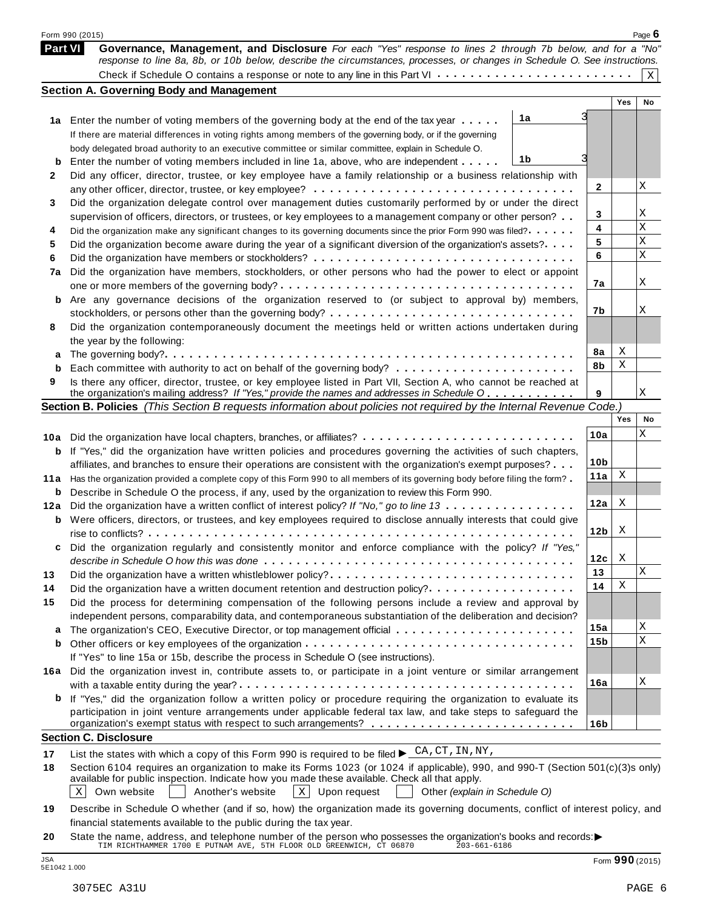|             | Form 990 (2015)                                                                                                                                                                                                                                    |                 |     | Page 6      |
|-------------|----------------------------------------------------------------------------------------------------------------------------------------------------------------------------------------------------------------------------------------------------|-----------------|-----|-------------|
|             | Part VI<br>Governance, Management, and Disclosure For each "Yes" response to lines 2 through 7b below, and for a "No"<br>response to line 8a, 8b, or 10b below, describe the circumstances, processes, or changes in Schedule O. See instructions. |                 |     |             |
|             |                                                                                                                                                                                                                                                    |                 |     | $\mathbf X$ |
|             | <b>Section A. Governing Body and Management</b>                                                                                                                                                                                                    |                 |     |             |
|             |                                                                                                                                                                                                                                                    |                 | Yes | No          |
|             | 1a<br>1a Enter the number of voting members of the governing body at the end of the tax year                                                                                                                                                       |                 |     |             |
|             | If there are material differences in voting rights among members of the governing body, or if the governing                                                                                                                                        |                 |     |             |
|             | body delegated broad authority to an executive committee or similar committee, explain in Schedule O.                                                                                                                                              |                 |     |             |
| b           | 1b<br>Enter the number of voting members included in line 1a, above, who are independent                                                                                                                                                           |                 |     |             |
| 2           | Did any officer, director, trustee, or key employee have a family relationship or a business relationship with                                                                                                                                     |                 |     |             |
|             |                                                                                                                                                                                                                                                    | 2               |     | Χ           |
| 3           | Did the organization delegate control over management duties customarily performed by or under the direct                                                                                                                                          |                 |     |             |
|             | supervision of officers, directors, or trustees, or key employees to a management company or other person?                                                                                                                                         | 3               |     | Χ           |
| 4           | Did the organization make any significant changes to its governing documents since the prior Form 990 was filed?                                                                                                                                   | 4               |     | Х           |
| 5           | Did the organization become aware during the year of a significant diversion of the organization's assets?                                                                                                                                         | 5               |     | Х           |
| 6           |                                                                                                                                                                                                                                                    | 6               |     | X           |
| 7a          | Did the organization have members, stockholders, or other persons who had the power to elect or appoint                                                                                                                                            |                 |     |             |
|             |                                                                                                                                                                                                                                                    | 7a              |     | Χ           |
| b           | Are any governance decisions of the organization reserved to (or subject to approval by) members,                                                                                                                                                  |                 |     |             |
|             |                                                                                                                                                                                                                                                    | 7b              |     | Χ           |
| 8           | Did the organization contemporaneously document the meetings held or written actions undertaken during                                                                                                                                             |                 |     |             |
|             | the year by the following:                                                                                                                                                                                                                         |                 |     |             |
|             |                                                                                                                                                                                                                                                    | 8а              | х   |             |
| b           |                                                                                                                                                                                                                                                    | 8b              | Χ   |             |
| 9           | Is there any officer, director, trustee, or key employee listed in Part VII, Section A, who cannot be reached at                                                                                                                                   |                 |     |             |
|             | the organization's mailing address? If "Yes," provide the names and addresses in Schedule O                                                                                                                                                        | 9               |     | Χ           |
|             | Section B. Policies (This Section B requests information about policies not required by the Internal Revenue Code.)                                                                                                                                |                 |     |             |
|             |                                                                                                                                                                                                                                                    |                 | Yes | No          |
| 10a         | Did the organization have local chapters, branches, or affiliates?                                                                                                                                                                                 | 10a             |     | Χ           |
| b           | If "Yes," did the organization have written policies and procedures governing the activities of such chapters,                                                                                                                                     |                 |     |             |
|             | affiliates, and branches to ensure their operations are consistent with the organization's exempt purposes?                                                                                                                                        | 10 <sub>b</sub> |     |             |
| 11 a        | Has the organization provided a complete copy of this Form 990 to all members of its governing body before filing the form?                                                                                                                        | 11a             | X   |             |
| b           | Describe in Schedule O the process, if any, used by the organization to review this Form 990.                                                                                                                                                      |                 |     |             |
| 12a         | Did the organization have a written conflict of interest policy? If "No," go to line 13                                                                                                                                                            | 12a             | Χ   |             |
| b           | Were officers, directors, or trustees, and key employees required to disclose annually interests that could give                                                                                                                                   |                 |     |             |
|             |                                                                                                                                                                                                                                                    | 12 <sub>b</sub> | X   |             |
|             | Did the organization regularly and consistently monitor and enforce compliance with the policy? If "Yes,"                                                                                                                                          |                 |     |             |
|             |                                                                                                                                                                                                                                                    | 12c             | X   |             |
| 13          | Did the organization have a written whistleblower policy?                                                                                                                                                                                          | 13              |     | Χ           |
|             | Did the organization have a written document retention and destruction policy?.                                                                                                                                                                    | 14              | Χ   |             |
| 14          |                                                                                                                                                                                                                                                    |                 |     |             |
| 15          | Did the process for determining compensation of the following persons include a review and approval by                                                                                                                                             |                 |     |             |
|             | independent persons, comparability data, and contemporaneous substantiation of the deliberation and decision?                                                                                                                                      | 15a             |     | Χ           |
|             |                                                                                                                                                                                                                                                    | 15b             |     | X           |
|             |                                                                                                                                                                                                                                                    |                 |     |             |
|             |                                                                                                                                                                                                                                                    |                 |     |             |
|             | If "Yes" to line 15a or 15b, describe the process in Schedule O (see instructions).                                                                                                                                                                |                 |     |             |
|             | Did the organization invest in, contribute assets to, or participate in a joint venture or similar arrangement                                                                                                                                     |                 |     |             |
|             |                                                                                                                                                                                                                                                    | 16a             |     | Χ           |
| а<br>b<br>b | If "Yes," did the organization follow a written policy or procedure requiring the organization to evaluate its                                                                                                                                     |                 |     |             |
|             | participation in joint venture arrangements under applicable federal tax law, and take steps to safeguard the                                                                                                                                      |                 |     |             |
|             |                                                                                                                                                                                                                                                    | 16 <sub>b</sub> |     |             |
|             | <b>Section C. Disclosure</b>                                                                                                                                                                                                                       |                 |     |             |
| 16a<br>17   | List the states with which a copy of this Form 990 is required to be filed $\blacktriangleright$ CA, CT, IN, NY,                                                                                                                                   |                 |     |             |
| 18          | Section 6104 requires an organization to make its Forms 1023 (or 1024 if applicable), 990, and 990-T (Section 501(c)(3)s only)<br>available for public inspection. Indicate how you made these available. Check all that apply.                    |                 |     |             |

**19** Describe in Schedule O whether (and if so, how) the organization made its governing documents, conflict of interest policy, and financial statements available to the public during the tax year.

**20** nnancial statements available to the public during the tax year.<br>State the name, address, and telephone number of the person who possesses the organization's books and records:<br>TIM RICHTHAMMER 1700 E PUTNAM AVE, 5TH FLOOR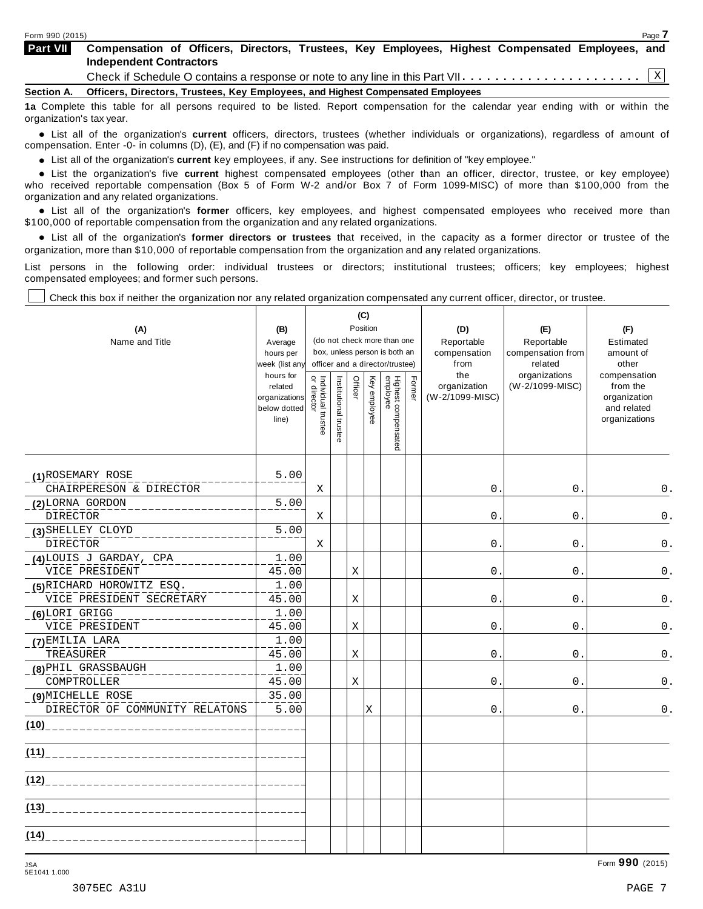| Form 990 (2015)          | Page 7                                                                                                                             |  |
|--------------------------|------------------------------------------------------------------------------------------------------------------------------------|--|
| <b>Part VII</b>          | Compensation of Officers, Directors, Trustees, Key Employees, Highest Compensated Employees, and<br><b>Independent Contractors</b> |  |
|                          |                                                                                                                                    |  |
|                          | Section A. Officers, Directors, Trustees, Key Employees, and Highest Compensated Employees                                         |  |
| organization's tax year. | 1a Complete this table for all persons required to be listed. Report compensation for the calendar year ending with or within the  |  |

anization's lax year.<br>● List all of the organization's **current** officers, directors, trustees (whether individuals or organizations), regardless of amount of<br>nnensation Enter -0- in columns (D) (E) and (E) if no compensa compensation. Enter -0- in columns (D), (E), and (F) if no compensation was paid.

• List all of the organization's **current** key employees, if any. See instructions for definition of "key employee."<br>● List the experientials five expect highest expressed explores (other than an efficer director of

**Example in the organization's current** key employees, if any. See instructions for definition of key employee.<br>• List the organization's five **current** highest compensated employees (other than an officer, director, trust who received reportable compensation (Box 5 of Form W-2 and/or Box 7 of Form 1099-MISC) of more than \$100,000 from the

organization and any related organizations.<br>• List all of the organization's **former** officers, key employees, and highest compensated employees who received more than<br>\$1.00.000 of reportable componention from the erganiza \$100,000 of reportable compensation from the organization and any related organizations.

% List all of the organization's **former directors or trustees** that received, in the capacity as a former director or trustee of the organization, more than \$10,000 of reportable compensation from the organization and any related organizations.

List persons in the following order: individual trustees or directors; institutional trustees; officers; key employees; highest compensated employees; and former such persons.

Check this box if neither the organization nor any related organization compensated any current officer, director, or trustee.

|                                     |                      | (C)                               |                       |                                 |              |                                 |        |                 |                          |                          |
|-------------------------------------|----------------------|-----------------------------------|-----------------------|---------------------------------|--------------|---------------------------------|--------|-----------------|--------------------------|--------------------------|
| (A)                                 | (B)                  |                                   |                       | Position                        |              |                                 |        | (D)             | (E)                      | (F)                      |
| Name and Title                      | Average              |                                   |                       |                                 |              | (do not check more than one     |        | Reportable      | Reportable               | Estimated                |
|                                     | hours per            | box, unless person is both an     |                       |                                 |              |                                 |        | compensation    | compensation from        | amount of                |
|                                     | week (list any       |                                   |                       | officer and a director/trustee) |              |                                 |        | from<br>the     | related<br>organizations | other                    |
|                                     | hours for<br>related | Individual trustee<br>or director | Institutional trustee | Officer                         | Key employee |                                 | Former | organization    | (W-2/1099-MISC)          | compensation<br>from the |
|                                     | organizations        |                                   |                       |                                 |              |                                 |        | (W-2/1099-MISC) |                          | organization             |
|                                     | below dotted         |                                   |                       |                                 |              |                                 |        |                 |                          | and related              |
|                                     | line)                |                                   |                       |                                 |              |                                 |        |                 |                          | organizations            |
|                                     |                      |                                   |                       |                                 |              | Highest compensated<br>employee |        |                 |                          |                          |
|                                     |                      |                                   |                       |                                 |              |                                 |        |                 |                          |                          |
| (1) ROSEMARY ROSE                   | 5.00                 |                                   |                       |                                 |              |                                 |        |                 |                          |                          |
| CHAIRPERESON & DIRECTOR             |                      | X                                 |                       |                                 |              |                                 |        | 0.              | 0.                       | 0.                       |
| (2) LORNA GORDON                    | 5.00                 |                                   |                       |                                 |              |                                 |        |                 |                          |                          |
| <b>DIRECTOR</b>                     |                      | X                                 |                       |                                 |              |                                 |        | 0.              | 0.                       | 0.                       |
| (3) SHELLEY CLOYD                   | 5.00                 |                                   |                       |                                 |              |                                 |        |                 |                          |                          |
| <b>DIRECTOR</b>                     |                      | Χ                                 |                       |                                 |              |                                 |        | 0.              | 0.                       | 0.                       |
| (4) LOUIS J GARDAY, CPA             | 1.00                 |                                   |                       |                                 |              |                                 |        |                 |                          |                          |
| VICE PRESIDENT                      | 45.00                |                                   |                       | X                               |              |                                 |        | 0.              | $0$ .                    | $\mathsf 0$ .            |
| (5) RICHARD HOROWITZ ESQ.           | 1.00                 |                                   |                       |                                 |              |                                 |        |                 |                          |                          |
| VICE PRESIDENT SECRETARY            | 45.00                |                                   |                       | Χ                               |              |                                 |        | 0.              | $0$ .                    | $\mathsf 0$ .            |
| (6) LORI GRIGG                      | 1.00                 |                                   |                       |                                 |              |                                 |        |                 |                          |                          |
| VICE PRESIDENT                      | 45.00                |                                   |                       | Χ                               |              |                                 |        | 0.              | 0.                       | 0.                       |
| (7) EMILIA LARA                     | 1.00                 |                                   |                       |                                 |              |                                 |        |                 |                          |                          |
| TREASURER                           | 45.00                |                                   |                       | Χ                               |              |                                 |        | $\Omega$ .      | 0.                       | $0$ .                    |
| (8) PHIL GRASSBAUGH                 | 1.00                 |                                   |                       |                                 |              |                                 |        |                 |                          |                          |
| COMPTROLLER                         | 45.00                |                                   |                       | X                               |              |                                 |        | 0.              | 0.                       | $0$ .                    |
| (9) MICHELLE ROSE                   | 35.00                |                                   |                       |                                 |              |                                 |        |                 |                          |                          |
| DIRECTOR OF COMMUNITY RELATONS      | 5.00                 |                                   |                       |                                 | X            |                                 |        | 0.              | 0.                       | $\mathsf 0$ .            |
| (10)_______________________________ |                      |                                   |                       |                                 |              |                                 |        |                 |                          |                          |
|                                     |                      |                                   |                       |                                 |              |                                 |        |                 |                          |                          |
| (11)                                |                      |                                   |                       |                                 |              |                                 |        |                 |                          |                          |
| (12)                                |                      |                                   |                       |                                 |              |                                 |        |                 |                          |                          |
| (13)                                |                      |                                   |                       |                                 |              |                                 |        |                 |                          |                          |
| (14)                                |                      |                                   |                       |                                 |              |                                 |        |                 |                          |                          |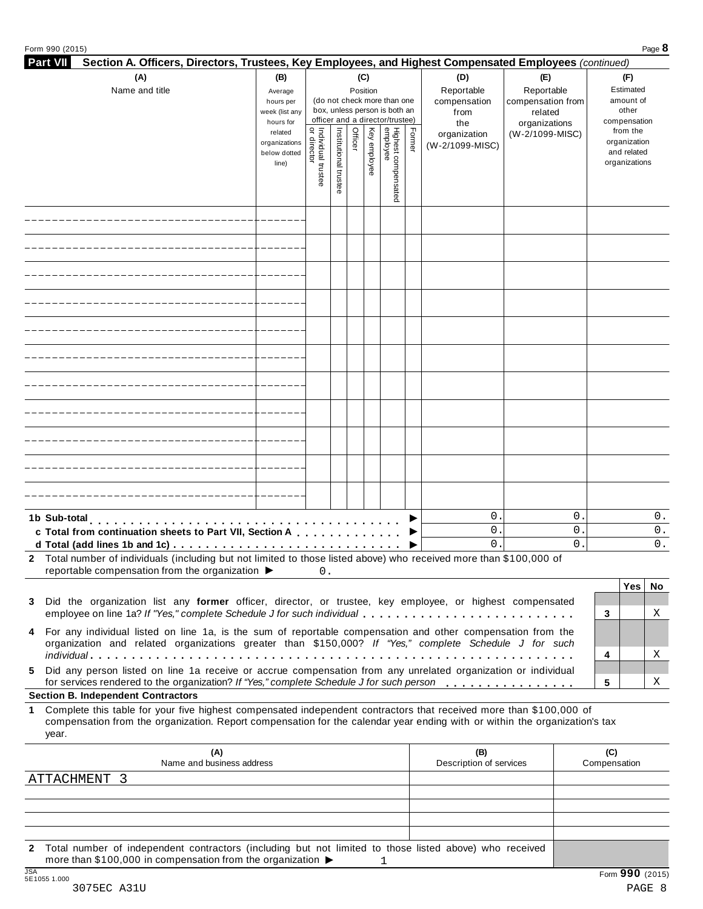|  |  | Form 990 (2015) |
|--|--|-----------------|
|--|--|-----------------|

| Form 990 (2015)<br>Part VII<br>Section A. Officers, Directors, Trustees, Key Employees, and Highest Compensated Employees (continued)                                                                                                                           |                                                                       |                                     |                       |                 |              |                                                                                                 |        |                                                  |                                                                    |                                                    |                                                                    | Page 8         |
|-----------------------------------------------------------------------------------------------------------------------------------------------------------------------------------------------------------------------------------------------------------------|-----------------------------------------------------------------------|-------------------------------------|-----------------------|-----------------|--------------|-------------------------------------------------------------------------------------------------|--------|--------------------------------------------------|--------------------------------------------------------------------|----------------------------------------------------|--------------------------------------------------------------------|----------------|
| (A)<br>Name and title                                                                                                                                                                                                                                           | (B)<br>Average<br>hours per<br>week (list any<br>hours for<br>related |                                     |                       | (C)<br>Position |              | (do not check more than one<br>box, unless person is both an<br>officer and a director/trustee) |        | (D)<br>Reportable<br>compensation<br>from<br>the | (E)<br>Reportable<br>compensation from<br>related<br>organizations |                                                    | (F)<br>Estimated<br>amount of<br>other<br>compensation<br>from the |                |
|                                                                                                                                                                                                                                                                 | organizations<br>below dotted<br>line)                                | Individual trustee<br>  or director | Institutional trustee | Officer         | Key employee | Highest compensated<br>employee                                                                 | Former | organization<br>(W-2/1099-MISC)                  | (W-2/1099-MISC)                                                    |                                                    | organization<br>and related<br>organizations                       |                |
|                                                                                                                                                                                                                                                                 |                                                                       |                                     |                       |                 |              |                                                                                                 |        |                                                  |                                                                    |                                                    |                                                                    |                |
|                                                                                                                                                                                                                                                                 |                                                                       |                                     |                       |                 |              |                                                                                                 |        |                                                  |                                                                    |                                                    |                                                                    |                |
|                                                                                                                                                                                                                                                                 |                                                                       |                                     |                       |                 |              |                                                                                                 |        |                                                  |                                                                    |                                                    |                                                                    |                |
|                                                                                                                                                                                                                                                                 |                                                                       |                                     |                       |                 |              |                                                                                                 |        |                                                  |                                                                    |                                                    |                                                                    |                |
|                                                                                                                                                                                                                                                                 |                                                                       |                                     |                       |                 |              |                                                                                                 |        |                                                  |                                                                    |                                                    |                                                                    |                |
|                                                                                                                                                                                                                                                                 |                                                                       |                                     |                       |                 |              |                                                                                                 |        |                                                  |                                                                    |                                                    |                                                                    |                |
|                                                                                                                                                                                                                                                                 |                                                                       |                                     |                       |                 |              |                                                                                                 |        |                                                  |                                                                    |                                                    |                                                                    |                |
|                                                                                                                                                                                                                                                                 |                                                                       |                                     |                       |                 |              |                                                                                                 |        |                                                  |                                                                    |                                                    |                                                                    |                |
|                                                                                                                                                                                                                                                                 |                                                                       |                                     |                       |                 |              |                                                                                                 |        |                                                  |                                                                    |                                                    |                                                                    |                |
|                                                                                                                                                                                                                                                                 |                                                                       |                                     |                       |                 |              |                                                                                                 |        |                                                  |                                                                    |                                                    |                                                                    |                |
|                                                                                                                                                                                                                                                                 |                                                                       |                                     |                       |                 |              |                                                                                                 |        |                                                  |                                                                    |                                                    |                                                                    |                |
| 1b Sub-total<br>c Total from continuation sheets to Part VII, Section A                                                                                                                                                                                         |                                                                       |                                     |                       |                 |              |                                                                                                 |        | $\mathbf 0$ .<br>0.<br>0.                        |                                                                    | $\mathsf{O}$ .<br>$\mathsf{O}$ .<br>$\mathbf{0}$ . |                                                                    | 0.<br>О.<br>0. |
| 2 Total number of individuals (including but not limited to those listed above) who received more than \$100,000 of<br>reportable compensation from the organization $\blacktriangleright$                                                                      |                                                                       | 0.                                  |                       |                 |              |                                                                                                 |        |                                                  |                                                                    |                                                    |                                                                    |                |
| 3 Did the organization list any former officer, director, or trustee, key employee, or highest compensated<br>employee on line 1a? If "Yes," complete Schedule J for such individual                                                                            |                                                                       |                                     |                       |                 |              |                                                                                                 |        |                                                  |                                                                    | 3                                                  | Yes                                                                | No<br>Χ        |
| 4 For any individual listed on line 1a, is the sum of reportable compensation and other compensation from the<br>organization and related organizations greater than \$150,000? If "Yes," complete Schedule J for such                                          |                                                                       |                                     |                       |                 |              |                                                                                                 |        |                                                  |                                                                    | 4                                                  |                                                                    | Χ              |
| 5 Did any person listed on line 1a receive or accrue compensation from any unrelated organization or individual<br>for services rendered to the organization? If "Yes," complete Schedule J for such person                                                     |                                                                       |                                     |                       |                 |              |                                                                                                 |        |                                                  |                                                                    | 5                                                  |                                                                    | Χ              |
| <b>Section B. Independent Contractors</b>                                                                                                                                                                                                                       |                                                                       |                                     |                       |                 |              |                                                                                                 |        |                                                  |                                                                    |                                                    |                                                                    |                |
| Complete this table for your five highest compensated independent contractors that received more than \$100,000 of<br>1.<br>compensation from the organization. Report compensation for the calendar year ending with or within the organization's tax<br>year. |                                                                       |                                     |                       |                 |              |                                                                                                 |        |                                                  |                                                                    |                                                    |                                                                    |                |
| (A)<br>Name and business address                                                                                                                                                                                                                                |                                                                       |                                     |                       |                 |              |                                                                                                 |        | (B)<br>Description of services                   |                                                                    | (C)<br>Compensation                                |                                                                    |                |
| ATTACHMENT 3                                                                                                                                                                                                                                                    |                                                                       |                                     |                       |                 |              |                                                                                                 |        |                                                  |                                                                    |                                                    |                                                                    |                |
|                                                                                                                                                                                                                                                                 |                                                                       |                                     |                       |                 |              |                                                                                                 |        |                                                  |                                                                    |                                                    |                                                                    |                |
|                                                                                                                                                                                                                                                                 |                                                                       |                                     |                       |                 |              |                                                                                                 |        |                                                  |                                                                    |                                                    |                                                                    |                |

**2** Total number of independent contractors (including but not limited to those listed above) who received<br>more than \$100,000 in compensation from the organization  $\rightarrow$  1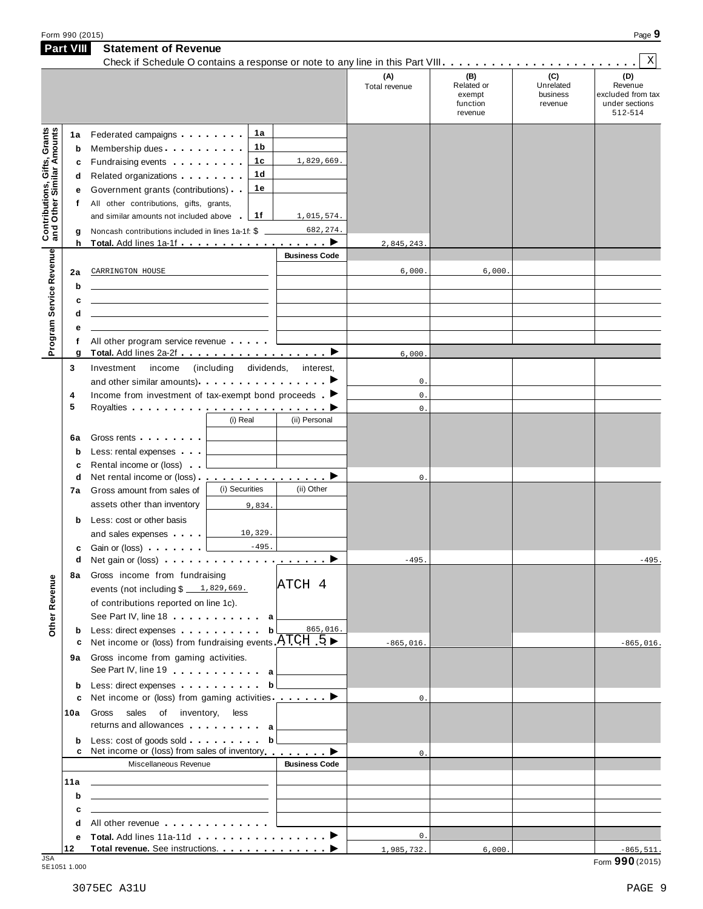|                                                           | Part VIII                        | <b>Statement of Revenue</b>                                                                                                                                                                                                                                                                                                                                                                                                                                                                                                                |                                      |                |                                             |                                  |                                                           |
|-----------------------------------------------------------|----------------------------------|--------------------------------------------------------------------------------------------------------------------------------------------------------------------------------------------------------------------------------------------------------------------------------------------------------------------------------------------------------------------------------------------------------------------------------------------------------------------------------------------------------------------------------------------|--------------------------------------|----------------|---------------------------------------------|----------------------------------|-----------------------------------------------------------|
|                                                           |                                  |                                                                                                                                                                                                                                                                                                                                                                                                                                                                                                                                            |                                      | (A)            | (B)                                         | (C)                              | Χ<br>(D)                                                  |
|                                                           |                                  |                                                                                                                                                                                                                                                                                                                                                                                                                                                                                                                                            |                                      | Total revenue  | Related or<br>exempt<br>function<br>revenue | Unrelated<br>business<br>revenue | Revenue<br>excluded from tax<br>under sections<br>512-514 |
| Contributions, Gifts, Grants<br>and Other Similar Amounts | 1a<br>b<br>c<br>d<br>е<br>f<br>g | 1a<br>Federated campaigns<br>1b<br>Membership dues<br>1с<br>Fundraising events <b>Fundraising</b><br>1d<br>Related organizations <b>and the set of the set of the set of the set of the set of the set of the set of the set of the set of the set of the set of the set of the set of the set of the set of the set of the set of the set </b><br>1е<br>Government grants (contributions)<br>All other contributions, gifts, grants,<br>1f<br>and similar amounts not included above<br>Noncash contributions included in lines 1a-1f: \$ | 1,829,669.<br>1,015,574.<br>682,274. |                |                                             |                                  |                                                           |
|                                                           | h                                | Total. Add lines 1a-1f ▶                                                                                                                                                                                                                                                                                                                                                                                                                                                                                                                   | <b>Business Code</b>                 | 2,845,243      |                                             |                                  |                                                           |
| Program Service Revenue                                   | 2a<br>b<br>c<br>d                | CARRINGTON HOUSE<br><u> 1989 - Johann Barn, mars ann an t-Amhain an t-Amhain an t-Amhain an t-Amhain an t-Amhain an t-Amhain an t-Amh</u>                                                                                                                                                                                                                                                                                                                                                                                                  |                                      | 6,000.         | 6,000                                       |                                  |                                                           |
|                                                           | е                                |                                                                                                                                                                                                                                                                                                                                                                                                                                                                                                                                            |                                      |                |                                             |                                  |                                                           |
|                                                           | f                                | All other program service revenue                                                                                                                                                                                                                                                                                                                                                                                                                                                                                                          |                                      |                |                                             |                                  |                                                           |
|                                                           | g                                |                                                                                                                                                                                                                                                                                                                                                                                                                                                                                                                                            |                                      | 6,000          |                                             |                                  |                                                           |
|                                                           | 3                                | (including<br>dividends,<br>Investment<br>income                                                                                                                                                                                                                                                                                                                                                                                                                                                                                           | interest,                            | $\mathbf 0$ .  |                                             |                                  |                                                           |
|                                                           | 4                                | Income from investment of tax-exempt bond proceeds $\blacksquare$                                                                                                                                                                                                                                                                                                                                                                                                                                                                          |                                      | $\mathbf{0}$ . |                                             |                                  |                                                           |
|                                                           | 5                                |                                                                                                                                                                                                                                                                                                                                                                                                                                                                                                                                            |                                      | $\mathbf{0}$ . |                                             |                                  |                                                           |
|                                                           | 6a<br>b                          | (i) Real<br>Gross rents<br>Less: rental expenses<br>Rental income or (loss)                                                                                                                                                                                                                                                                                                                                                                                                                                                                | (ii) Personal                        |                |                                             |                                  |                                                           |
|                                                           | c<br>d                           | Net rental income or (loss) <b>interact in the set of the set of the set of the set of the set of the set of the set of the set of the set of the set of the set of the set of the set of the set of the set of the set of the </b>                                                                                                                                                                                                                                                                                                        |                                      | $\mathsf{0}$ . |                                             |                                  |                                                           |
|                                                           | 7а                               | (i) Securities<br>Gross amount from sales of                                                                                                                                                                                                                                                                                                                                                                                                                                                                                               | (ii) Other                           |                |                                             |                                  |                                                           |
|                                                           |                                  | assets other than inventory<br>9,834.                                                                                                                                                                                                                                                                                                                                                                                                                                                                                                      |                                      |                |                                             |                                  |                                                           |
|                                                           | b                                | Less: cost or other basis<br>10,329<br>and sales expenses $\qquad \qquad \downarrow$                                                                                                                                                                                                                                                                                                                                                                                                                                                       |                                      |                |                                             |                                  |                                                           |
|                                                           | c                                | $-495$                                                                                                                                                                                                                                                                                                                                                                                                                                                                                                                                     |                                      |                |                                             |                                  |                                                           |
|                                                           | d                                | Net gain or (loss) example a property and property and property and property and property and property and property of $\blacktriangleright$                                                                                                                                                                                                                                                                                                                                                                                               |                                      | $-495.$        |                                             |                                  | $-495$                                                    |
| Revenue<br>Other                                          | 8а                               | Gross income from fundraising<br>events (not including $$1,829,669$ .<br>of contributions reported on line 1c).<br>See Part IV, line 18 and the state of the state of the state of the state of the state of the state of the state of the state of the state of the state of the state of the state of the state of the state of the state of th                                                                                                                                                                                          | ATCH 4                               |                |                                             |                                  |                                                           |
|                                                           | c                                | b Less: direct expenses<br>Net income or (loss) from fundraising events $\text{ATCH } 5$                                                                                                                                                                                                                                                                                                                                                                                                                                                   | b <br>865,016.                       | $-865,016.$    |                                             |                                  | $-865,016.$                                               |
|                                                           | 9а                               | Gross income from gaming activities.<br>See Part IV, line 19 a                                                                                                                                                                                                                                                                                                                                                                                                                                                                             |                                      |                |                                             |                                  |                                                           |
|                                                           | b                                | Less: direct expenses $\ldots$ , $\ldots$ , $\mathbf{b}$                                                                                                                                                                                                                                                                                                                                                                                                                                                                                   |                                      |                |                                             |                                  |                                                           |
|                                                           | c<br>10a                         | Net income or (loss) from gaming activities $\qquad \qquad \blacktriangleright$<br>Gross sales of inventory,<br>less<br>returns and allowances and allowances                                                                                                                                                                                                                                                                                                                                                                              |                                      | 0.             |                                             |                                  |                                                           |
|                                                           | b<br>c                           | Less: cost of goods sold $\qquad \qquad \text{b} \downarrow$                                                                                                                                                                                                                                                                                                                                                                                                                                                                               |                                      |                |                                             |                                  |                                                           |
|                                                           |                                  | Miscellaneous Revenue                                                                                                                                                                                                                                                                                                                                                                                                                                                                                                                      | <b>Business Code</b>                 | $\Omega$ .     |                                             |                                  |                                                           |
|                                                           | 11a                              | <u> 1989 - Johann Barn, mars and de Brasilian (b. 1989)</u>                                                                                                                                                                                                                                                                                                                                                                                                                                                                                |                                      |                |                                             |                                  |                                                           |
|                                                           | b                                | the control of the control of the control of the control of the control of                                                                                                                                                                                                                                                                                                                                                                                                                                                                 |                                      |                |                                             |                                  |                                                           |
|                                                           | с                                | the control of the control of the control of the control of the control of                                                                                                                                                                                                                                                                                                                                                                                                                                                                 |                                      |                |                                             |                                  |                                                           |
|                                                           | d                                | All other revenue entitled and the state of the latest                                                                                                                                                                                                                                                                                                                                                                                                                                                                                     |                                      |                |                                             |                                  |                                                           |
|                                                           | е                                |                                                                                                                                                                                                                                                                                                                                                                                                                                                                                                                                            |                                      | 0.             |                                             |                                  |                                                           |
|                                                           | 12                               |                                                                                                                                                                                                                                                                                                                                                                                                                                                                                                                                            |                                      | 1,985,732.     | 6,000.                                      |                                  | $-865, 511.$                                              |
| .ISA                                                      |                                  |                                                                                                                                                                                                                                                                                                                                                                                                                                                                                                                                            |                                      |                |                                             |                                  |                                                           |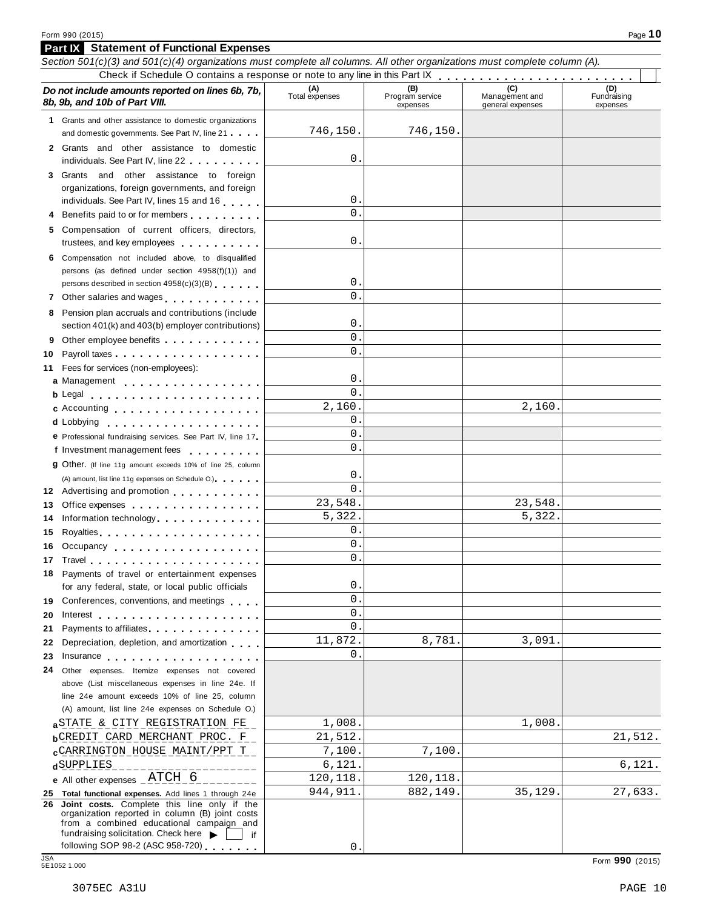**Part IX Statement of Functional Expenses**

#### Section 501(c)(3) and 501(c)(4) organizations must complete all columns. All other organizations must complete column (A). Check if Schedule O contains a response or note to any line in this Part  $X$ <br> **Check if Schedule O contains a response or note to any line in this Part**  $X$ <br> **CO** (C) (D) (D) (D) (D) (D) (D) (D) (D) management and Fundrai *Do no* **(A) (B) (C) (D)** *t include amounts reported on lines 6b, 7b,* **8b, 9b, and 10b of Part VIII.** The contract position of **Part VIII.** The contract Program services Program services expenses Management and general expenses Fundraising expenses **1** Grants and other assistance to domestic organizations and domestic governments. See Part IV, line 21 m m m **2** Grants and other assistance to domestic individuals. See Part IV, line 22 **3** Grants and other assistance to foreign organizations, foreign governments, and foreign individuals. See Part IV, lines <sup>15</sup> and <sup>16</sup> <sup>m</sup> <sup>m</sup> <sup>m</sup> <sup>m</sup> <sup>m</sup> **<sup>4</sup>** Benefits paid to or for members <sup>m</sup> <sup>m</sup> <sup>m</sup> <sup>m</sup> <sup>m</sup> <sup>m</sup> <sup>m</sup> <sup>m</sup> <sup>m</sup> **5** Compensation of current officers, directors, trustees, and key employees **6** Compensation not included above, to disqualified persons (as defined under section 4958(f)(1)) and persons described in section 4958(c)(3)(B) <sup>m</sup> <sup>m</sup> <sup>m</sup> <sup>m</sup> <sup>m</sup> <sup>m</sup> **<sup>7</sup>** Other salaries and wages <sup>m</sup> <sup>m</sup> <sup>m</sup> <sup>m</sup> <sup>m</sup> <sup>m</sup> <sup>m</sup> <sup>m</sup> <sup>m</sup> <sup>m</sup> <sup>m</sup> <sup>m</sup> **8** Pension plan accruals and contributions (include section 401(k) and 403(b) employer contributions) **9** Section 401(k) and 403(b) employer contributions<br>9 Other employee benefits 9 Other employee benefits **10** Payroll taxes **10** Fees for services (non-employees): **11** Fees for services (non-employees):<br>**a** Management ..................<br>**b** Legal ......................... Legal m m m m m m m m m m m m m m m m m m m m m c Accounting . . . . . . . . . . . . . Lobbying **cd** m m m m m m m m m m m m m m m m m m m A) amount, list line 11g expenses on Schedule O.<br>**12** Advertising and promotion **manual 13** Office expenses **13** Office expenses<br>**14** Information technology **manual manual metal of the metal of the metal of the metal of 15** Royalties m m m m m m m m m m m m m m m m m m m m **16** Occupancy m m m m m m m m m m m m m m m m m m **16** Occupancy ...................<br>17 Travel..................... **18** Payments of travel or entertainment expenses for any federal, state, or local public officials<br>**19** Conferences, conventions, and meetings **19** Conferences, conventions, and meetings **endorship.**<br>20 Interest **manual meeting 21** Payments to affiliates m m m m m m m m m m m m m m 21 Payments to affiliates<br>22 Depreciation, depletion, and amortization <sub>1</sub> , , , **22** Depreciation, depletion, and amortization **manufation**<br>23 Insurance 24 Other expenses. Itemize expenses not covered | **d** Lobbying **e**<br> **e** Professional fundraising services. See Part IV, line 17 **P** Professional fundraising services. See Part IV, line 17<br>**f** Investment management fees **g** Other. (If line 11g amount exceeds 10% of line 25, column m m m m m m m m m m m m m m m m m m (A) amount, list line 11g expenses on Schedule O.) means m m m m m m m m m m m m m m m m for any federal, state, or local public officials above (List miscellaneous expenses in line 24e. If line 24e amount exceeds 10% of line 25, column (A) amount, list line 24e expenses on Schedule O.) **a** STATE & CITY REGISTRATION FE 21,512.<br> **b** CREDIT CARD MERCHANT PROC. F 21,512. **cd** SUPPLIES 6,121. 6,121. **e** All other expenses  $ARCH_6$  120,118. 120,118. **25 Total functional expenses.** Add lines 1 through 24e **26 Joint costs.** Complete this line only if the organization reported in column (B) joint costs from a combined educational campaign and 746,150. 746,150. 0.  $\Omega$ 0. 0. 0. 0. 0. 0. 0.  $\Omega$  $\overline{0}$ 2,160. 2,160.  $\mathsf{O}$  . 0. 0. 0. 0. 23,548. 23,548. 5,322. 5,322. 0. 0. 0. 0. 0. 0.  $\mathsf{O}$  . 11,872. 8,781. 3,091 0. **a**STATE & CITY REGISTRATION FE  $\vert$  1,008.  $\vert$  1,008. cCARRINGTON HOUSE MAINT/PPT T 7,100. 7,100. 944,911. 882,149. 35,129. 27,633.

0.

fundraising solicitation. Check here  $\blacktriangleright$   $\Box$  if following SOP 98-2 (ASC 958-720)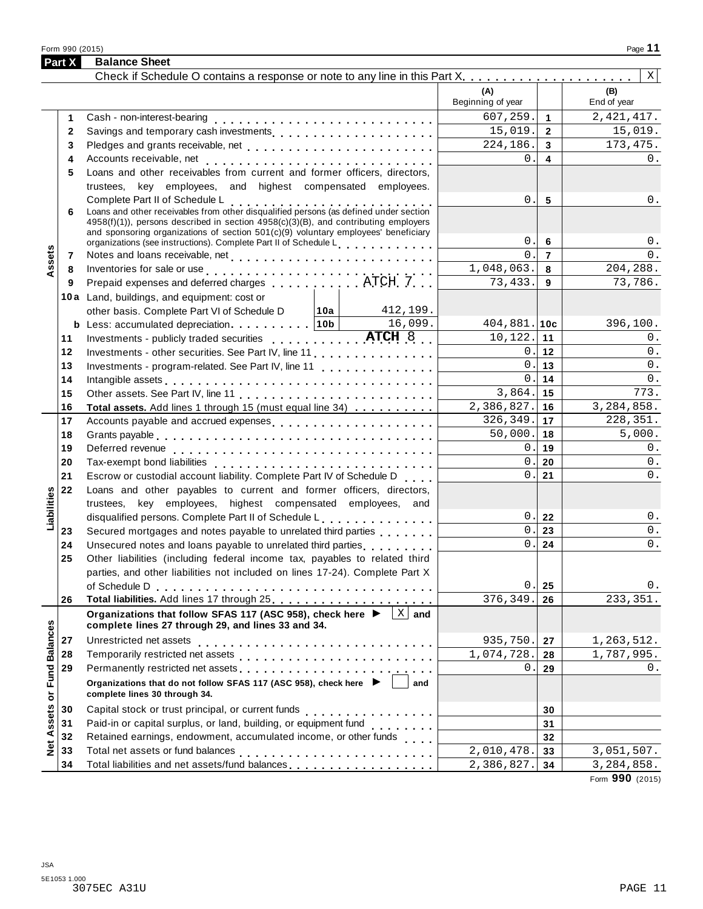Form <sup>990</sup> (2015) Page **11**

|                      | Part X       | <b>Balance Sheet</b>                                                                                                                                                                                                                           |                          |                |                    |  |  |  |  |  |
|----------------------|--------------|------------------------------------------------------------------------------------------------------------------------------------------------------------------------------------------------------------------------------------------------|--------------------------|----------------|--------------------|--|--|--|--|--|
|                      |              |                                                                                                                                                                                                                                                |                          |                | $\mathbf{x}$       |  |  |  |  |  |
|                      |              |                                                                                                                                                                                                                                                | (A)<br>Beginning of year |                | (B)<br>End of year |  |  |  |  |  |
|                      | 1            | Cash - non-interest-bearing                                                                                                                                                                                                                    | 607, 259.                | $\overline{1}$ | 2, 421, 417.       |  |  |  |  |  |
|                      | $\mathbf{2}$ | Savings and temporary cash investments                                                                                                                                                                                                         | 15,019.                  | $\overline{2}$ | 15,019.            |  |  |  |  |  |
|                      | 3            |                                                                                                                                                                                                                                                | 224,186.                 | 3 <sup>1</sup> | 173,475.           |  |  |  |  |  |
|                      | 4            |                                                                                                                                                                                                                                                | 0.1                      | 4              | 0.                 |  |  |  |  |  |
|                      | 5            | Loans and other receivables from current and former officers, directors,                                                                                                                                                                       |                          |                |                    |  |  |  |  |  |
|                      |              | trustees, key employees, and highest compensated employees.                                                                                                                                                                                    |                          |                |                    |  |  |  |  |  |
|                      |              | Complete Part II of Schedule L<br>Loans and other receivables from other disqualified persons (as defined under section                                                                                                                        | 0.1                      | 5              | 0.                 |  |  |  |  |  |
|                      | 6            | 4958(f)(1)), persons described in section 4958(c)(3)(B), and contributing employers<br>and sponsoring organizations of section 501(c)(9) voluntary employees' beneficiary<br>organizations (see instructions). Complete Part II of Schedule L. | 0.1                      | 6              | 0.                 |  |  |  |  |  |
|                      | 7            |                                                                                                                                                                                                                                                | 0.1                      | $\overline{7}$ | $0$ .              |  |  |  |  |  |
| ssets                | 8            | Inventories for sale or use enterprise to contact the sale or use of the contact the same of the same of the s                                                                                                                                 | 1,048,063.               | 8              | 204,288.           |  |  |  |  |  |
|                      | 9            | Prepaid expenses and deferred charges ATCH 7.                                                                                                                                                                                                  | 73, 433.                 | 9              | 73,786.            |  |  |  |  |  |
|                      |              | 10a Land, buildings, and equipment: cost or                                                                                                                                                                                                    |                          |                |                    |  |  |  |  |  |
|                      |              | 412,199.<br> 10a <br>other basis. Complete Part VI of Schedule D                                                                                                                                                                               |                          |                |                    |  |  |  |  |  |
|                      |              | <b>b</b> Less: accumulated depreciation $\cdots$ $\cdots$ $\cdots$ $\boxed{10b}$ 16,099.                                                                                                                                                       | $404,881.$ 10c           |                | 396,100.           |  |  |  |  |  |
|                      | 11           | Investments - publicly traded securities ATCH 8.                                                                                                                                                                                               | $10, 122.$ 11            |                | 0.                 |  |  |  |  |  |
|                      | 12           | Investments - other securities. See Part IV, line 11                                                                                                                                                                                           |                          | $0.1$ 12       | 0.                 |  |  |  |  |  |
|                      | 13           | Investments - program-related. See Part IV, line 11                                                                                                                                                                                            |                          | 0.113          | 0.                 |  |  |  |  |  |
|                      | 14           |                                                                                                                                                                                                                                                |                          | 0.114          | 0.                 |  |  |  |  |  |
|                      | 15           |                                                                                                                                                                                                                                                | $3,864.$ 15              |                | 773.               |  |  |  |  |  |
|                      | 16           | Total assets. Add lines 1 through 15 (must equal line 34)                                                                                                                                                                                      | $2,386,827.$ 16          |                | 3, 284, 858.       |  |  |  |  |  |
|                      | 17           |                                                                                                                                                                                                                                                | $326, 349.$ 17           |                | 228,351.           |  |  |  |  |  |
|                      | 18           |                                                                                                                                                                                                                                                | $50,000.$ 18             |                | 5,000.             |  |  |  |  |  |
|                      | 19           |                                                                                                                                                                                                                                                |                          | 0.19           | 0.                 |  |  |  |  |  |
|                      | 20           |                                                                                                                                                                                                                                                | 0.                       | 20             | 0.                 |  |  |  |  |  |
|                      | 21           | Escrow or custodial account liability. Complete Part IV of Schedule D.                                                                                                                                                                         | 0.1                      | 21             | 0.                 |  |  |  |  |  |
| Liabilities          | 22           | Loans and other payables to current and former officers, directors,                                                                                                                                                                            |                          |                |                    |  |  |  |  |  |
|                      |              | trustees, key employees, highest compensated employees, and<br>disqualified persons. Complete Part II of Schedule L.                                                                                                                           |                          | $0.1$ 22       | 0.                 |  |  |  |  |  |
|                      | 23           | Secured mortgages and notes payable to unrelated third parties                                                                                                                                                                                 | $0$ .                    | 23             | 0.                 |  |  |  |  |  |
|                      | 24           | Unsecured notes and loans payable to unrelated third parties                                                                                                                                                                                   | 0.                       | 24             | 0.                 |  |  |  |  |  |
|                      | 25           | Other liabilities (including federal income tax, payables to related third                                                                                                                                                                     |                          |                |                    |  |  |  |  |  |
|                      |              | parties, and other liabilities not included on lines 17-24). Complete Part X                                                                                                                                                                   |                          |                |                    |  |  |  |  |  |
|                      |              | of Schedule D                                                                                                                                                                                                                                  | 0.                       | 25             | 0.                 |  |  |  |  |  |
|                      | 26           |                                                                                                                                                                                                                                                | 376, 349.                | 26             | 233, 351.          |  |  |  |  |  |
|                      |              | $ X $ and<br>Organizations that follow SFAS 117 (ASC 958), check here ▶<br>complete lines 27 through 29, and lines 33 and 34.                                                                                                                  |                          |                |                    |  |  |  |  |  |
|                      | 27           | Unrestricted net assets                                                                                                                                                                                                                        | 935,750.                 | 27             | 1,263,512.         |  |  |  |  |  |
|                      | 28           |                                                                                                                                                                                                                                                | 1,074,728.               | 28             | 1,787,995.         |  |  |  |  |  |
| <b>Fund Balances</b> | 29           | Permanently restricted net assets entering the set of the set of the set of the set of the set of the set of the set of the set of the set of the set of the set of the set of the set of the set of the set of the set of the                 | 0.                       | 29             | 0.                 |  |  |  |  |  |
| $\bf \bar{o}$        |              | Organizations that do not follow SFAS 117 (ASC 958), check here ▶ │<br>and<br>complete lines 30 through 34.                                                                                                                                    |                          |                |                    |  |  |  |  |  |
|                      | 30           | Capital stock or trust principal, or current funds<br>.                                                                                                                                                                                        |                          | 30             |                    |  |  |  |  |  |
| <b>Net Assets</b>    | 31           |                                                                                                                                                                                                                                                |                          | 31             |                    |  |  |  |  |  |
|                      | 32           | Retained earnings, endowment, accumulated income, or other funds                                                                                                                                                                               |                          | 32             |                    |  |  |  |  |  |
|                      | 33           |                                                                                                                                                                                                                                                | 2,010,478.               | 33             | 3,051,507.         |  |  |  |  |  |
|                      | 34           | Total liabilities and net assets/fund balances                                                                                                                                                                                                 | 2,386,827.               | 34             | 3,284,858.         |  |  |  |  |  |

Form **990** (2015)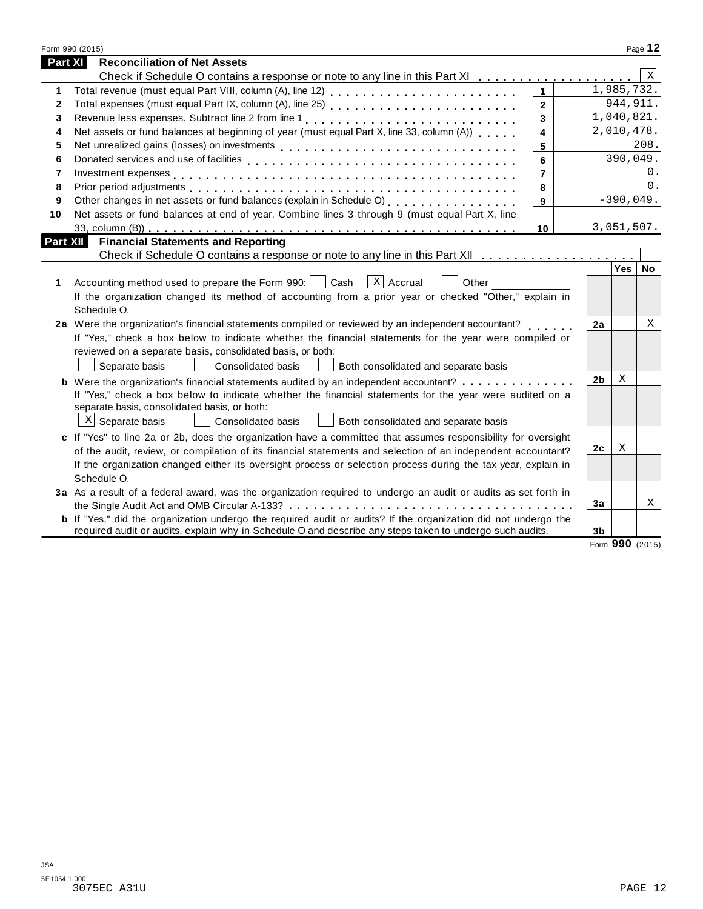| Part XI<br><b>Reconciliation of Net Assets</b><br>Check if Schedule O contains a response or note to any line in this Part XI<br>$\mathbf{1}$<br>1,985,732.<br>1<br>944, 911.<br>Total expenses (must equal Part IX, column (A), line 25)<br>$\mathbf{2}$<br>$\mathbf{2}$<br>1,040,821.<br>3<br>$\overline{3}$<br>2,010,478.<br>Net assets or fund balances at beginning of year (must equal Part X, line 33, column (A))<br>$\overline{\mathbf{4}}$<br>4<br>5<br>5<br>390,049.<br>6<br>6<br>7<br>$\overline{7}$<br>8<br>8<br>$-390,049.$<br>9<br>9<br>Net assets or fund balances at end of year. Combine lines 3 through 9 (must equal Part X, line<br>10<br>3,051,507.<br>10<br><b>Financial Statements and Reporting</b><br>Part XII<br>Check if Schedule O contains a response or note to any line in this Part XII<br>$Yes \mid$<br>$ X $ Accrual<br>Accounting method used to prepare the Form 990:     Cash<br>Other<br>1<br>If the organization changed its method of accounting from a prior year or checked "Other," explain in<br>Schedule O.<br>2a Were the organization's financial statements compiled or reviewed by an independent accountant?<br>2a<br>If "Yes," check a box below to indicate whether the financial statements for the year were compiled or<br>reviewed on a separate basis, consolidated basis, or both:<br>Separate basis<br>Consolidated basis<br>Both consolidated and separate basis<br>Χ<br>2 <sub>b</sub><br><b>b</b> Were the organization's financial statements audited by an independent accountant?<br>If "Yes," check a box below to indicate whether the financial statements for the year were audited on a<br>separate basis, consolidated basis, or both:<br>$X$ Separate basis<br><b>Consolidated basis</b><br>Both consolidated and separate basis<br>c If "Yes" to line 2a or 2b, does the organization have a committee that assumes responsibility for oversight<br>Χ<br>2 <sub>c</sub><br>of the audit, review, or compilation of its financial statements and selection of an independent accountant?<br>If the organization changed either its oversight process or selection process during the tax year, explain in<br>Schedule O.<br>3a As a result of a federal award, was the organization required to undergo an audit or audits as set forth in<br>3a<br>the Single Audit Act and OMB Circular A-133? $\ldots$<br><b>b</b> If "Yes," did the organization undergo the required audit or audits? If the organization did not undergo the<br>required audit or audits, explain why in Schedule O and describe any steps taken to undergo such audits.<br>3 <sub>b</sub><br>Form 990 (2015) | Form 990 (2015) |  | Page 12   |
|--------------------------------------------------------------------------------------------------------------------------------------------------------------------------------------------------------------------------------------------------------------------------------------------------------------------------------------------------------------------------------------------------------------------------------------------------------------------------------------------------------------------------------------------------------------------------------------------------------------------------------------------------------------------------------------------------------------------------------------------------------------------------------------------------------------------------------------------------------------------------------------------------------------------------------------------------------------------------------------------------------------------------------------------------------------------------------------------------------------------------------------------------------------------------------------------------------------------------------------------------------------------------------------------------------------------------------------------------------------------------------------------------------------------------------------------------------------------------------------------------------------------------------------------------------------------------------------------------------------------------------------------------------------------------------------------------------------------------------------------------------------------------------------------------------------------------------------------------------------------------------------------------------------------------------------------------------------------------------------------------------------------------------------------------------------------------------------------------------------------------------------------------------------------------------------------------------------------------------------------------------------------------------------------------------------------------------------------------------------------------------------------------------------------------------------------------------------------------------------------------------------------------------------------------------------------------------------------------------------------------------------------------------------|-----------------|--|-----------|
|                                                                                                                                                                                                                                                                                                                                                                                                                                                                                                                                                                                                                                                                                                                                                                                                                                                                                                                                                                                                                                                                                                                                                                                                                                                                                                                                                                                                                                                                                                                                                                                                                                                                                                                                                                                                                                                                                                                                                                                                                                                                                                                                                                                                                                                                                                                                                                                                                                                                                                                                                                                                                                                              |                 |  |           |
|                                                                                                                                                                                                                                                                                                                                                                                                                                                                                                                                                                                                                                                                                                                                                                                                                                                                                                                                                                                                                                                                                                                                                                                                                                                                                                                                                                                                                                                                                                                                                                                                                                                                                                                                                                                                                                                                                                                                                                                                                                                                                                                                                                                                                                                                                                                                                                                                                                                                                                                                                                                                                                                              |                 |  | X         |
|                                                                                                                                                                                                                                                                                                                                                                                                                                                                                                                                                                                                                                                                                                                                                                                                                                                                                                                                                                                                                                                                                                                                                                                                                                                                                                                                                                                                                                                                                                                                                                                                                                                                                                                                                                                                                                                                                                                                                                                                                                                                                                                                                                                                                                                                                                                                                                                                                                                                                                                                                                                                                                                              |                 |  |           |
|                                                                                                                                                                                                                                                                                                                                                                                                                                                                                                                                                                                                                                                                                                                                                                                                                                                                                                                                                                                                                                                                                                                                                                                                                                                                                                                                                                                                                                                                                                                                                                                                                                                                                                                                                                                                                                                                                                                                                                                                                                                                                                                                                                                                                                                                                                                                                                                                                                                                                                                                                                                                                                                              |                 |  |           |
|                                                                                                                                                                                                                                                                                                                                                                                                                                                                                                                                                                                                                                                                                                                                                                                                                                                                                                                                                                                                                                                                                                                                                                                                                                                                                                                                                                                                                                                                                                                                                                                                                                                                                                                                                                                                                                                                                                                                                                                                                                                                                                                                                                                                                                                                                                                                                                                                                                                                                                                                                                                                                                                              |                 |  |           |
|                                                                                                                                                                                                                                                                                                                                                                                                                                                                                                                                                                                                                                                                                                                                                                                                                                                                                                                                                                                                                                                                                                                                                                                                                                                                                                                                                                                                                                                                                                                                                                                                                                                                                                                                                                                                                                                                                                                                                                                                                                                                                                                                                                                                                                                                                                                                                                                                                                                                                                                                                                                                                                                              |                 |  |           |
|                                                                                                                                                                                                                                                                                                                                                                                                                                                                                                                                                                                                                                                                                                                                                                                                                                                                                                                                                                                                                                                                                                                                                                                                                                                                                                                                                                                                                                                                                                                                                                                                                                                                                                                                                                                                                                                                                                                                                                                                                                                                                                                                                                                                                                                                                                                                                                                                                                                                                                                                                                                                                                                              |                 |  | 208.      |
|                                                                                                                                                                                                                                                                                                                                                                                                                                                                                                                                                                                                                                                                                                                                                                                                                                                                                                                                                                                                                                                                                                                                                                                                                                                                                                                                                                                                                                                                                                                                                                                                                                                                                                                                                                                                                                                                                                                                                                                                                                                                                                                                                                                                                                                                                                                                                                                                                                                                                                                                                                                                                                                              |                 |  |           |
|                                                                                                                                                                                                                                                                                                                                                                                                                                                                                                                                                                                                                                                                                                                                                                                                                                                                                                                                                                                                                                                                                                                                                                                                                                                                                                                                                                                                                                                                                                                                                                                                                                                                                                                                                                                                                                                                                                                                                                                                                                                                                                                                                                                                                                                                                                                                                                                                                                                                                                                                                                                                                                                              |                 |  | 0.        |
|                                                                                                                                                                                                                                                                                                                                                                                                                                                                                                                                                                                                                                                                                                                                                                                                                                                                                                                                                                                                                                                                                                                                                                                                                                                                                                                                                                                                                                                                                                                                                                                                                                                                                                                                                                                                                                                                                                                                                                                                                                                                                                                                                                                                                                                                                                                                                                                                                                                                                                                                                                                                                                                              |                 |  | 0.        |
|                                                                                                                                                                                                                                                                                                                                                                                                                                                                                                                                                                                                                                                                                                                                                                                                                                                                                                                                                                                                                                                                                                                                                                                                                                                                                                                                                                                                                                                                                                                                                                                                                                                                                                                                                                                                                                                                                                                                                                                                                                                                                                                                                                                                                                                                                                                                                                                                                                                                                                                                                                                                                                                              |                 |  |           |
|                                                                                                                                                                                                                                                                                                                                                                                                                                                                                                                                                                                                                                                                                                                                                                                                                                                                                                                                                                                                                                                                                                                                                                                                                                                                                                                                                                                                                                                                                                                                                                                                                                                                                                                                                                                                                                                                                                                                                                                                                                                                                                                                                                                                                                                                                                                                                                                                                                                                                                                                                                                                                                                              |                 |  |           |
|                                                                                                                                                                                                                                                                                                                                                                                                                                                                                                                                                                                                                                                                                                                                                                                                                                                                                                                                                                                                                                                                                                                                                                                                                                                                                                                                                                                                                                                                                                                                                                                                                                                                                                                                                                                                                                                                                                                                                                                                                                                                                                                                                                                                                                                                                                                                                                                                                                                                                                                                                                                                                                                              |                 |  |           |
|                                                                                                                                                                                                                                                                                                                                                                                                                                                                                                                                                                                                                                                                                                                                                                                                                                                                                                                                                                                                                                                                                                                                                                                                                                                                                                                                                                                                                                                                                                                                                                                                                                                                                                                                                                                                                                                                                                                                                                                                                                                                                                                                                                                                                                                                                                                                                                                                                                                                                                                                                                                                                                                              |                 |  |           |
|                                                                                                                                                                                                                                                                                                                                                                                                                                                                                                                                                                                                                                                                                                                                                                                                                                                                                                                                                                                                                                                                                                                                                                                                                                                                                                                                                                                                                                                                                                                                                                                                                                                                                                                                                                                                                                                                                                                                                                                                                                                                                                                                                                                                                                                                                                                                                                                                                                                                                                                                                                                                                                                              |                 |  |           |
|                                                                                                                                                                                                                                                                                                                                                                                                                                                                                                                                                                                                                                                                                                                                                                                                                                                                                                                                                                                                                                                                                                                                                                                                                                                                                                                                                                                                                                                                                                                                                                                                                                                                                                                                                                                                                                                                                                                                                                                                                                                                                                                                                                                                                                                                                                                                                                                                                                                                                                                                                                                                                                                              |                 |  | <b>No</b> |
|                                                                                                                                                                                                                                                                                                                                                                                                                                                                                                                                                                                                                                                                                                                                                                                                                                                                                                                                                                                                                                                                                                                                                                                                                                                                                                                                                                                                                                                                                                                                                                                                                                                                                                                                                                                                                                                                                                                                                                                                                                                                                                                                                                                                                                                                                                                                                                                                                                                                                                                                                                                                                                                              |                 |  |           |
|                                                                                                                                                                                                                                                                                                                                                                                                                                                                                                                                                                                                                                                                                                                                                                                                                                                                                                                                                                                                                                                                                                                                                                                                                                                                                                                                                                                                                                                                                                                                                                                                                                                                                                                                                                                                                                                                                                                                                                                                                                                                                                                                                                                                                                                                                                                                                                                                                                                                                                                                                                                                                                                              |                 |  |           |
|                                                                                                                                                                                                                                                                                                                                                                                                                                                                                                                                                                                                                                                                                                                                                                                                                                                                                                                                                                                                                                                                                                                                                                                                                                                                                                                                                                                                                                                                                                                                                                                                                                                                                                                                                                                                                                                                                                                                                                                                                                                                                                                                                                                                                                                                                                                                                                                                                                                                                                                                                                                                                                                              |                 |  |           |
|                                                                                                                                                                                                                                                                                                                                                                                                                                                                                                                                                                                                                                                                                                                                                                                                                                                                                                                                                                                                                                                                                                                                                                                                                                                                                                                                                                                                                                                                                                                                                                                                                                                                                                                                                                                                                                                                                                                                                                                                                                                                                                                                                                                                                                                                                                                                                                                                                                                                                                                                                                                                                                                              |                 |  | Χ         |
|                                                                                                                                                                                                                                                                                                                                                                                                                                                                                                                                                                                                                                                                                                                                                                                                                                                                                                                                                                                                                                                                                                                                                                                                                                                                                                                                                                                                                                                                                                                                                                                                                                                                                                                                                                                                                                                                                                                                                                                                                                                                                                                                                                                                                                                                                                                                                                                                                                                                                                                                                                                                                                                              |                 |  |           |
|                                                                                                                                                                                                                                                                                                                                                                                                                                                                                                                                                                                                                                                                                                                                                                                                                                                                                                                                                                                                                                                                                                                                                                                                                                                                                                                                                                                                                                                                                                                                                                                                                                                                                                                                                                                                                                                                                                                                                                                                                                                                                                                                                                                                                                                                                                                                                                                                                                                                                                                                                                                                                                                              |                 |  |           |
|                                                                                                                                                                                                                                                                                                                                                                                                                                                                                                                                                                                                                                                                                                                                                                                                                                                                                                                                                                                                                                                                                                                                                                                                                                                                                                                                                                                                                                                                                                                                                                                                                                                                                                                                                                                                                                                                                                                                                                                                                                                                                                                                                                                                                                                                                                                                                                                                                                                                                                                                                                                                                                                              |                 |  |           |
|                                                                                                                                                                                                                                                                                                                                                                                                                                                                                                                                                                                                                                                                                                                                                                                                                                                                                                                                                                                                                                                                                                                                                                                                                                                                                                                                                                                                                                                                                                                                                                                                                                                                                                                                                                                                                                                                                                                                                                                                                                                                                                                                                                                                                                                                                                                                                                                                                                                                                                                                                                                                                                                              |                 |  |           |
|                                                                                                                                                                                                                                                                                                                                                                                                                                                                                                                                                                                                                                                                                                                                                                                                                                                                                                                                                                                                                                                                                                                                                                                                                                                                                                                                                                                                                                                                                                                                                                                                                                                                                                                                                                                                                                                                                                                                                                                                                                                                                                                                                                                                                                                                                                                                                                                                                                                                                                                                                                                                                                                              |                 |  |           |
|                                                                                                                                                                                                                                                                                                                                                                                                                                                                                                                                                                                                                                                                                                                                                                                                                                                                                                                                                                                                                                                                                                                                                                                                                                                                                                                                                                                                                                                                                                                                                                                                                                                                                                                                                                                                                                                                                                                                                                                                                                                                                                                                                                                                                                                                                                                                                                                                                                                                                                                                                                                                                                                              |                 |  |           |
|                                                                                                                                                                                                                                                                                                                                                                                                                                                                                                                                                                                                                                                                                                                                                                                                                                                                                                                                                                                                                                                                                                                                                                                                                                                                                                                                                                                                                                                                                                                                                                                                                                                                                                                                                                                                                                                                                                                                                                                                                                                                                                                                                                                                                                                                                                                                                                                                                                                                                                                                                                                                                                                              |                 |  |           |
|                                                                                                                                                                                                                                                                                                                                                                                                                                                                                                                                                                                                                                                                                                                                                                                                                                                                                                                                                                                                                                                                                                                                                                                                                                                                                                                                                                                                                                                                                                                                                                                                                                                                                                                                                                                                                                                                                                                                                                                                                                                                                                                                                                                                                                                                                                                                                                                                                                                                                                                                                                                                                                                              |                 |  |           |
|                                                                                                                                                                                                                                                                                                                                                                                                                                                                                                                                                                                                                                                                                                                                                                                                                                                                                                                                                                                                                                                                                                                                                                                                                                                                                                                                                                                                                                                                                                                                                                                                                                                                                                                                                                                                                                                                                                                                                                                                                                                                                                                                                                                                                                                                                                                                                                                                                                                                                                                                                                                                                                                              |                 |  |           |
|                                                                                                                                                                                                                                                                                                                                                                                                                                                                                                                                                                                                                                                                                                                                                                                                                                                                                                                                                                                                                                                                                                                                                                                                                                                                                                                                                                                                                                                                                                                                                                                                                                                                                                                                                                                                                                                                                                                                                                                                                                                                                                                                                                                                                                                                                                                                                                                                                                                                                                                                                                                                                                                              |                 |  |           |
|                                                                                                                                                                                                                                                                                                                                                                                                                                                                                                                                                                                                                                                                                                                                                                                                                                                                                                                                                                                                                                                                                                                                                                                                                                                                                                                                                                                                                                                                                                                                                                                                                                                                                                                                                                                                                                                                                                                                                                                                                                                                                                                                                                                                                                                                                                                                                                                                                                                                                                                                                                                                                                                              |                 |  |           |
|                                                                                                                                                                                                                                                                                                                                                                                                                                                                                                                                                                                                                                                                                                                                                                                                                                                                                                                                                                                                                                                                                                                                                                                                                                                                                                                                                                                                                                                                                                                                                                                                                                                                                                                                                                                                                                                                                                                                                                                                                                                                                                                                                                                                                                                                                                                                                                                                                                                                                                                                                                                                                                                              |                 |  |           |
|                                                                                                                                                                                                                                                                                                                                                                                                                                                                                                                                                                                                                                                                                                                                                                                                                                                                                                                                                                                                                                                                                                                                                                                                                                                                                                                                                                                                                                                                                                                                                                                                                                                                                                                                                                                                                                                                                                                                                                                                                                                                                                                                                                                                                                                                                                                                                                                                                                                                                                                                                                                                                                                              |                 |  | Χ         |
|                                                                                                                                                                                                                                                                                                                                                                                                                                                                                                                                                                                                                                                                                                                                                                                                                                                                                                                                                                                                                                                                                                                                                                                                                                                                                                                                                                                                                                                                                                                                                                                                                                                                                                                                                                                                                                                                                                                                                                                                                                                                                                                                                                                                                                                                                                                                                                                                                                                                                                                                                                                                                                                              |                 |  |           |
|                                                                                                                                                                                                                                                                                                                                                                                                                                                                                                                                                                                                                                                                                                                                                                                                                                                                                                                                                                                                                                                                                                                                                                                                                                                                                                                                                                                                                                                                                                                                                                                                                                                                                                                                                                                                                                                                                                                                                                                                                                                                                                                                                                                                                                                                                                                                                                                                                                                                                                                                                                                                                                                              |                 |  |           |
|                                                                                                                                                                                                                                                                                                                                                                                                                                                                                                                                                                                                                                                                                                                                                                                                                                                                                                                                                                                                                                                                                                                                                                                                                                                                                                                                                                                                                                                                                                                                                                                                                                                                                                                                                                                                                                                                                                                                                                                                                                                                                                                                                                                                                                                                                                                                                                                                                                                                                                                                                                                                                                                              |                 |  |           |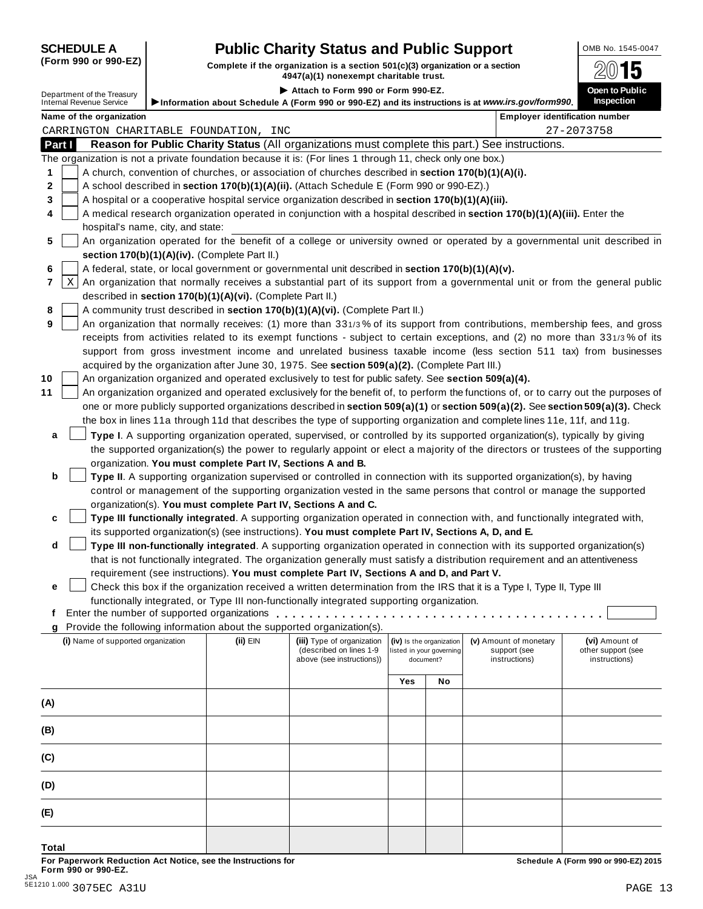# **SCHEDULE A Pub** OMB No. 1545-0047 **lic Charity Status and Public Support**

(Form 990 or 990-EZ) Complete if the organization is a section 501(c)(3) organization or a section  $4947(a)(1)$  nonexempt charitable trust.

|                                                                          |                                                            | 4947 (a) TIONEXEMPL CHANGE LIUSE                                                                                                                                                                                |     |                                                      |                                                                                                                                                                                                                                                                | — ت                                   |
|--------------------------------------------------------------------------|------------------------------------------------------------|-----------------------------------------------------------------------------------------------------------------------------------------------------------------------------------------------------------------|-----|------------------------------------------------------|----------------------------------------------------------------------------------------------------------------------------------------------------------------------------------------------------------------------------------------------------------------|---------------------------------------|
| Department of the Treasury<br>Internal Revenue Service                   |                                                            | Attach to Form 990 or Form 990-EZ.                                                                                                                                                                              |     |                                                      |                                                                                                                                                                                                                                                                | Open to Public                        |
|                                                                          |                                                            |                                                                                                                                                                                                                 |     |                                                      | Information about Schedule A (Form 990 or 990-EZ) and its instructions is at www.irs.gov/form990.                                                                                                                                                              | <b>Inspection</b>                     |
| Name of the organization                                                 |                                                            |                                                                                                                                                                                                                 |     |                                                      |                                                                                                                                                                                                                                                                | <b>Employer identification number</b> |
| CARRINGTON CHARITABLE FOUNDATION, INC                                    |                                                            |                                                                                                                                                                                                                 |     |                                                      |                                                                                                                                                                                                                                                                | 27-2073758                            |
| Part I                                                                   |                                                            |                                                                                                                                                                                                                 |     |                                                      | Reason for Public Charity Status (All organizations must complete this part.) See instructions.                                                                                                                                                                |                                       |
|                                                                          |                                                            | The organization is not a private foundation because it is: (For lines 1 through 11, check only one box.)<br>A church, convention of churches, or association of churches described in section 170(b)(1)(A)(i). |     |                                                      |                                                                                                                                                                                                                                                                |                                       |
|                                                                          |                                                            | A school described in section 170(b)(1)(A)(ii). (Attach Schedule E (Form 990 or 990-EZ).)                                                                                                                       |     |                                                      |                                                                                                                                                                                                                                                                |                                       |
|                                                                          |                                                            | A hospital or a cooperative hospital service organization described in section 170(b)(1)(A)(iii).                                                                                                               |     |                                                      |                                                                                                                                                                                                                                                                |                                       |
|                                                                          |                                                            |                                                                                                                                                                                                                 |     |                                                      | A medical research organization operated in conjunction with a hospital described in section 170(b)(1)(A)(iii). Enter the                                                                                                                                      |                                       |
| hospital's name, city, and state:                                        |                                                            |                                                                                                                                                                                                                 |     |                                                      |                                                                                                                                                                                                                                                                |                                       |
| 5                                                                        |                                                            |                                                                                                                                                                                                                 |     |                                                      | An organization operated for the benefit of a college or university owned or operated by a governmental unit described in                                                                                                                                      |                                       |
|                                                                          | section 170(b)(1)(A)(iv). (Complete Part II.)              |                                                                                                                                                                                                                 |     |                                                      |                                                                                                                                                                                                                                                                |                                       |
|                                                                          |                                                            | A federal, state, or local government or governmental unit described in section 170(b)(1)(A)(v).                                                                                                                |     |                                                      |                                                                                                                                                                                                                                                                |                                       |
| Χ<br>7                                                                   |                                                            |                                                                                                                                                                                                                 |     |                                                      | An organization that normally receives a substantial part of its support from a governmental unit or from the general public                                                                                                                                   |                                       |
|                                                                          | described in section 170(b)(1)(A)(vi). (Complete Part II.) |                                                                                                                                                                                                                 |     |                                                      |                                                                                                                                                                                                                                                                |                                       |
| 8                                                                        |                                                            | A community trust described in section 170(b)(1)(A)(vi). (Complete Part II.)                                                                                                                                    |     |                                                      |                                                                                                                                                                                                                                                                |                                       |
|                                                                          |                                                            |                                                                                                                                                                                                                 |     |                                                      | An organization that normally receives: (1) more than 331/3% of its support from contributions, membership fees, and gross                                                                                                                                     |                                       |
|                                                                          |                                                            |                                                                                                                                                                                                                 |     |                                                      | receipts from activities related to its exempt functions - subject to certain exceptions, and (2) no more than 331/3% of its                                                                                                                                   |                                       |
|                                                                          |                                                            |                                                                                                                                                                                                                 |     |                                                      | support from gross investment income and unrelated business taxable income (less section 511 tax) from businesses                                                                                                                                              |                                       |
|                                                                          |                                                            | acquired by the organization after June 30, 1975. See section 509(a)(2). (Complete Part III.)                                                                                                                   |     |                                                      |                                                                                                                                                                                                                                                                |                                       |
|                                                                          |                                                            | An organization organized and operated exclusively to test for public safety. See section 509(a)(4).                                                                                                            |     |                                                      |                                                                                                                                                                                                                                                                |                                       |
|                                                                          |                                                            |                                                                                                                                                                                                                 |     |                                                      | An organization organized and operated exclusively for the benefit of, to perform the functions of, or to carry out the purposes of                                                                                                                            |                                       |
|                                                                          |                                                            |                                                                                                                                                                                                                 |     |                                                      | one or more publicly supported organizations described in section 509(a)(1) or section 509(a)(2). See section 509(a)(3). Check<br>the box in lines 11a through 11d that describes the type of supporting organization and complete lines 11e, 11f, and 11g.    |                                       |
|                                                                          |                                                            |                                                                                                                                                                                                                 |     |                                                      |                                                                                                                                                                                                                                                                |                                       |
| a                                                                        |                                                            |                                                                                                                                                                                                                 |     |                                                      | Type I. A supporting organization operated, supervised, or controlled by its supported organization(s), typically by giving<br>the supported organization(s) the power to regularly appoint or elect a majority of the directors or trustees of the supporting |                                       |
|                                                                          | organization. You must complete Part IV, Sections A and B. |                                                                                                                                                                                                                 |     |                                                      |                                                                                                                                                                                                                                                                |                                       |
| b                                                                        |                                                            |                                                                                                                                                                                                                 |     |                                                      | Type II. A supporting organization supervised or controlled in connection with its supported organization(s), by having                                                                                                                                        |                                       |
|                                                                          |                                                            |                                                                                                                                                                                                                 |     |                                                      | control or management of the supporting organization vested in the same persons that control or manage the supported                                                                                                                                           |                                       |
|                                                                          |                                                            | organization(s). You must complete Part IV, Sections A and C.                                                                                                                                                   |     |                                                      |                                                                                                                                                                                                                                                                |                                       |
| c                                                                        |                                                            |                                                                                                                                                                                                                 |     |                                                      | Type III functionally integrated. A supporting organization operated in connection with, and functionally integrated with,                                                                                                                                     |                                       |
|                                                                          |                                                            | its supported organization(s) (see instructions). You must complete Part IV, Sections A, D, and E.                                                                                                              |     |                                                      |                                                                                                                                                                                                                                                                |                                       |
| d                                                                        |                                                            |                                                                                                                                                                                                                 |     |                                                      | Type III non-functionally integrated. A supporting organization operated in connection with its supported organization(s)                                                                                                                                      |                                       |
|                                                                          |                                                            |                                                                                                                                                                                                                 |     |                                                      | that is not functionally integrated. The organization generally must satisfy a distribution requirement and an attentiveness                                                                                                                                   |                                       |
|                                                                          |                                                            | requirement (see instructions). You must complete Part IV, Sections A and D, and Part V.                                                                                                                        |     |                                                      |                                                                                                                                                                                                                                                                |                                       |
| e                                                                        |                                                            |                                                                                                                                                                                                                 |     |                                                      | Check this box if the organization received a written determination from the IRS that it is a Type I, Type II, Type III                                                                                                                                        |                                       |
|                                                                          |                                                            | functionally integrated, or Type III non-functionally integrated supporting organization.                                                                                                                       |     |                                                      |                                                                                                                                                                                                                                                                |                                       |
| Ť.                                                                       |                                                            |                                                                                                                                                                                                                 |     |                                                      |                                                                                                                                                                                                                                                                |                                       |
| g Provide the following information about the supported organization(s). |                                                            |                                                                                                                                                                                                                 |     |                                                      |                                                                                                                                                                                                                                                                |                                       |
| (i) Name of supported organization                                       | $(ii)$ EIN                                                 | (iii) Type of organization<br>(described on lines 1-9                                                                                                                                                           |     | (iv) Is the organization<br>listed in your governing | (v) Amount of monetary<br>support (see                                                                                                                                                                                                                         | (vi) Amount of<br>other support (see  |
|                                                                          |                                                            | above (see instructions))                                                                                                                                                                                       |     | document?                                            | instructions)                                                                                                                                                                                                                                                  | instructions)                         |
|                                                                          |                                                            |                                                                                                                                                                                                                 |     |                                                      |                                                                                                                                                                                                                                                                |                                       |
|                                                                          |                                                            |                                                                                                                                                                                                                 | Yes | No                                                   |                                                                                                                                                                                                                                                                |                                       |
| (A)                                                                      |                                                            |                                                                                                                                                                                                                 |     |                                                      |                                                                                                                                                                                                                                                                |                                       |
|                                                                          |                                                            |                                                                                                                                                                                                                 |     |                                                      |                                                                                                                                                                                                                                                                |                                       |
| (B)                                                                      |                                                            |                                                                                                                                                                                                                 |     |                                                      |                                                                                                                                                                                                                                                                |                                       |
|                                                                          |                                                            |                                                                                                                                                                                                                 |     |                                                      |                                                                                                                                                                                                                                                                |                                       |
| (C)                                                                      |                                                            |                                                                                                                                                                                                                 |     |                                                      |                                                                                                                                                                                                                                                                |                                       |
| (D)                                                                      |                                                            |                                                                                                                                                                                                                 |     |                                                      |                                                                                                                                                                                                                                                                |                                       |
|                                                                          |                                                            |                                                                                                                                                                                                                 |     |                                                      |                                                                                                                                                                                                                                                                |                                       |
| (E)                                                                      |                                                            |                                                                                                                                                                                                                 |     |                                                      |                                                                                                                                                                                                                                                                |                                       |
|                                                                          |                                                            |                                                                                                                                                                                                                 |     |                                                      |                                                                                                                                                                                                                                                                |                                       |
| Total                                                                    |                                                            |                                                                                                                                                                                                                 |     |                                                      |                                                                                                                                                                                                                                                                |                                       |

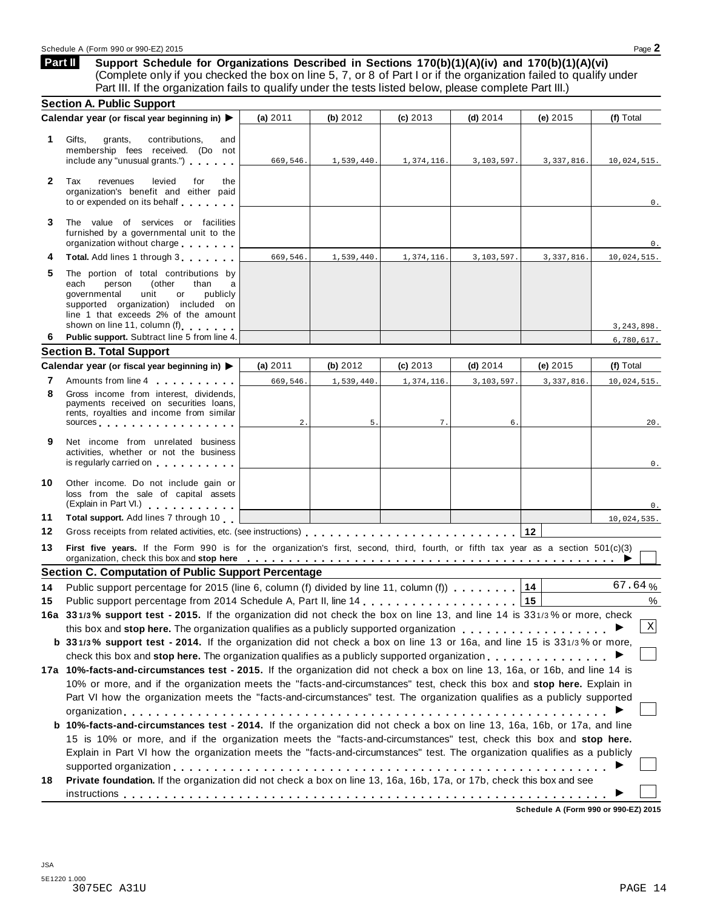**Support Schedule for Organizations Described in Sections 170(b)(1)(A)(iv) and 170(b)(1)(A)(vi)** (Complete only if you checked the box on line 5, 7, or 8 of Part I or if the organization failed to qualify under Part III. If the organization fails to qualify under the tests listed below, please complete Part III.) **Part II**

|              | <b>Section A. Public Support</b>                                                                                                                                                                                                                                                                                                                               |                                                                                                                                                                                                                                                      |                  |                  |                  |              |                    |  |  |
|--------------|----------------------------------------------------------------------------------------------------------------------------------------------------------------------------------------------------------------------------------------------------------------------------------------------------------------------------------------------------------------|------------------------------------------------------------------------------------------------------------------------------------------------------------------------------------------------------------------------------------------------------|------------------|------------------|------------------|--------------|--------------------|--|--|
|              | Calendar year (or fiscal year beginning in)                                                                                                                                                                                                                                                                                                                    | (a) 2011                                                                                                                                                                                                                                             | (b) 2012         | $(c)$ 2013       | (d) $2014$       | (e) 2015     | (f) Total          |  |  |
| 1.           | Gifts,<br>grants,<br>contributions,<br>and<br>membership fees received. (Do not<br>include any "unusual grants.")                                                                                                                                                                                                                                              | 669,546.                                                                                                                                                                                                                                             | 1,539,440.       | 1,374,116.       | 3,103,597.       | 3,337,816.   | 10,024,515.        |  |  |
| $\mathbf{2}$ | Tax<br>levied<br>revenues<br>for<br>the<br>organization's benefit and either paid<br>to or expended on its behalf                                                                                                                                                                                                                                              |                                                                                                                                                                                                                                                      |                  |                  |                  |              | 0.                 |  |  |
| 3            | The value of services or facilities<br>furnished by a governmental unit to the<br>organization without charge                                                                                                                                                                                                                                                  |                                                                                                                                                                                                                                                      |                  |                  |                  |              | 0.                 |  |  |
| 4            | Total. Add lines 1 through 3                                                                                                                                                                                                                                                                                                                                   | 669,546.                                                                                                                                                                                                                                             | 1,539,440.       | 1,374,116.       | 3,103,597.       | 3,337,816.   | 10,024,515.        |  |  |
| 5            | The portion of total contributions by<br>person<br>(other<br>each<br>than<br>a<br>unit<br>publicly<br>governmental<br>or<br>supported organization) included on<br>line 1 that exceeds 2% of the amount                                                                                                                                                        |                                                                                                                                                                                                                                                      |                  |                  |                  |              |                    |  |  |
|              | shown on line 11, column (f)                                                                                                                                                                                                                                                                                                                                   |                                                                                                                                                                                                                                                      |                  |                  |                  |              | 3, 243, 898.       |  |  |
| 6            | Public support. Subtract line 5 from line 4.                                                                                                                                                                                                                                                                                                                   |                                                                                                                                                                                                                                                      |                  |                  |                  |              | 6,780,617.         |  |  |
|              | <b>Section B. Total Support</b><br>Calendar year (or fiscal year beginning in) ▶                                                                                                                                                                                                                                                                               | (a) $2011$                                                                                                                                                                                                                                           | (b) 2012         | (c) 2013         | (d) $2014$       | (e) $2015$   | (f) Total          |  |  |
| 7            | Amounts from line 4                                                                                                                                                                                                                                                                                                                                            |                                                                                                                                                                                                                                                      |                  |                  |                  |              |                    |  |  |
| 8            | Gross income from interest, dividends,<br>payments received on securities loans,<br>rents, royalties and income from similar<br>sources and the set of the set of the set of the set of the set of the set of the set of the set of the set of the set of the set of the set of the set of the set of the set of the set of the set of the set of the set of t | 669,546.<br>$\overline{2}$ .                                                                                                                                                                                                                         | 1,539,440.<br>5. | 1,374,116.<br>7. | 3,103,597.<br>6. | 3, 337, 816. | 10,024,515.<br>20. |  |  |
|              |                                                                                                                                                                                                                                                                                                                                                                |                                                                                                                                                                                                                                                      |                  |                  |                  |              |                    |  |  |
| 9            | Net income from unrelated business<br>activities, whether or not the business<br>is regularly carried on the control of the control of the control of the control of the control of the control o                                                                                                                                                              |                                                                                                                                                                                                                                                      |                  |                  |                  |              | 0.                 |  |  |
| 10           | Other income. Do not include gain or<br>loss from the sale of capital assets<br>(Explain in Part VI.)                                                                                                                                                                                                                                                          |                                                                                                                                                                                                                                                      |                  |                  |                  |              | 0.                 |  |  |
| 11           | Total support. Add lines 7 through 10                                                                                                                                                                                                                                                                                                                          |                                                                                                                                                                                                                                                      |                  |                  |                  |              | 10,024,535.        |  |  |
| 12           |                                                                                                                                                                                                                                                                                                                                                                |                                                                                                                                                                                                                                                      |                  |                  |                  | 12           |                    |  |  |
| 13           | First five years. If the Form 990 is for the organization's first, second, third, fourth, or fifth tax year as a section 501(c)(3)                                                                                                                                                                                                                             |                                                                                                                                                                                                                                                      |                  |                  |                  |              |                    |  |  |
|              | <b>Section C. Computation of Public Support Percentage</b>                                                                                                                                                                                                                                                                                                     |                                                                                                                                                                                                                                                      |                  |                  |                  |              |                    |  |  |
| 14           | Public support percentage for 2015 (line 6, column (f) divided by line 11, column (f) $\ldots$ ,,,,,,                                                                                                                                                                                                                                                          |                                                                                                                                                                                                                                                      |                  |                  |                  | 14           | 67.64%             |  |  |
| 15           | Public support percentage from 2014 Schedule A, Part II, line 14 [Concepts 1, 1, 1, 1, 1, 1, 1, 1, 1, 1, 1, 1,                                                                                                                                                                                                                                                 |                                                                                                                                                                                                                                                      |                  |                  |                  | 15           | %                  |  |  |
|              | 16a 331/3% support test - 2015. If the organization did not check the box on line 13, and line 14 is 331/3% or more, check                                                                                                                                                                                                                                     |                                                                                                                                                                                                                                                      |                  |                  |                  |              |                    |  |  |
|              | this box and stop here. The organization qualifies as a publicly supported organization                                                                                                                                                                                                                                                                        |                                                                                                                                                                                                                                                      |                  |                  |                  |              | X                  |  |  |
|              | b 331/3% support test - 2014. If the organization did not check a box on line 13 or 16a, and line 15 is 331/3% or more,                                                                                                                                                                                                                                        |                                                                                                                                                                                                                                                      |                  |                  |                  |              |                    |  |  |
|              | check this box and stop here. The organization qualifies as a publicly supported organization $\ldots$ ,                                                                                                                                                                                                                                                       |                                                                                                                                                                                                                                                      |                  |                  |                  |              |                    |  |  |
|              | 17a 10%-facts-and-circumstances test - 2015. If the organization did not check a box on line 13, 16a, or 16b, and line 14 is                                                                                                                                                                                                                                   |                                                                                                                                                                                                                                                      |                  |                  |                  |              |                    |  |  |
|              |                                                                                                                                                                                                                                                                                                                                                                | 10% or more, and if the organization meets the "facts-and-circumstances" test, check this box and stop here. Explain in<br>Part VI how the organization meets the "facts-and-circumstances" test. The organization qualifies as a publicly supported |                  |                  |                  |              |                    |  |  |
|              |                                                                                                                                                                                                                                                                                                                                                                |                                                                                                                                                                                                                                                      |                  |                  |                  |              |                    |  |  |
|              |                                                                                                                                                                                                                                                                                                                                                                |                                                                                                                                                                                                                                                      |                  |                  |                  |              |                    |  |  |
|              | b 10%-facts-and-circumstances test - 2014. If the organization did not check a box on line 13, 16a, 16b, or 17a, and line<br>15 is 10% or more, and if the organization meets the "facts-and-circumstances" test, check this box and stop here.                                                                                                                |                                                                                                                                                                                                                                                      |                  |                  |                  |              |                    |  |  |
|              | Explain in Part VI how the organization meets the "facts-and-circumstances" test. The organization qualifies as a publicly                                                                                                                                                                                                                                     |                                                                                                                                                                                                                                                      |                  |                  |                  |              |                    |  |  |
|              | Private foundation. If the organization did not check a box on line 13, 16a, 16b, 17a, or 17b, check this box and see                                                                                                                                                                                                                                          |                                                                                                                                                                                                                                                      |                  |                  |                  |              |                    |  |  |
| 18           |                                                                                                                                                                                                                                                                                                                                                                |                                                                                                                                                                                                                                                      |                  |                  |                  |              |                    |  |  |
|              |                                                                                                                                                                                                                                                                                                                                                                |                                                                                                                                                                                                                                                      |                  |                  |                  |              |                    |  |  |

**Schedule A (Form 990 or 990-EZ) 2015**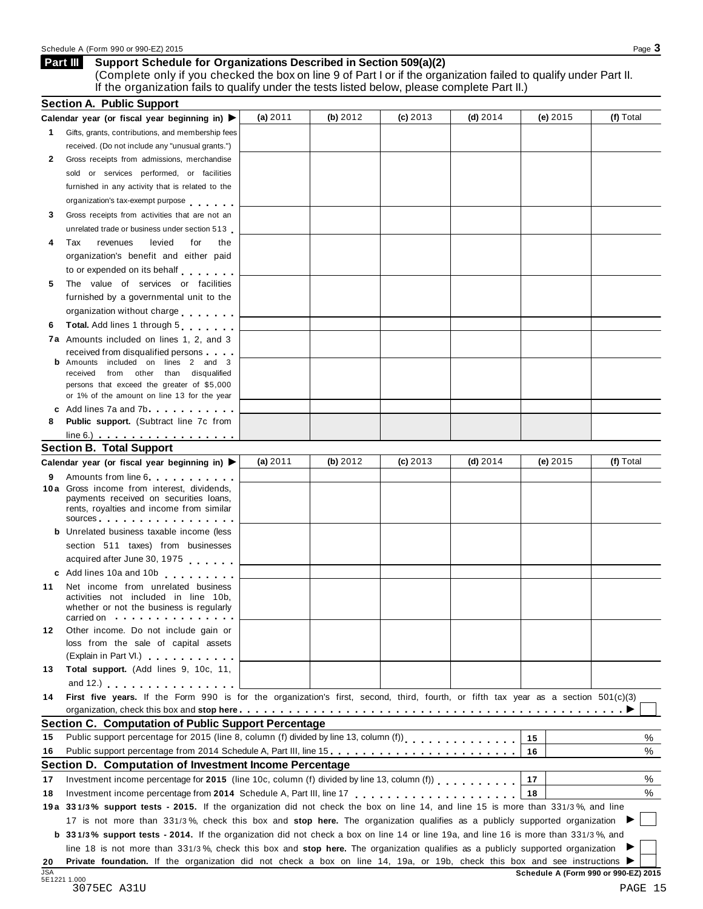#### Schedule <sup>A</sup> (Form <sup>990</sup> or 990-EZ) <sup>2015</sup> Page **3**

#### **Support Schedule for Organizations Described in Section 509(a)(2) Part III**

(Complete only if you checked the box on line 9 of Part I or if the organization failed to qualify under Part II. If the organization fails to qualify under the tests listed below, please complete Part II.)

|                            | <b>Section A. Public Support</b>                                                                                                                                                                                                                             |          |            |            |            |            |           |
|----------------------------|--------------------------------------------------------------------------------------------------------------------------------------------------------------------------------------------------------------------------------------------------------------|----------|------------|------------|------------|------------|-----------|
|                            | Calendar year (or fiscal year beginning in) $\blacktriangleright$                                                                                                                                                                                            | (a) 2011 | (b) 2012   | $(c)$ 2013 | $(d)$ 2014 | (e) 2015   | (f) Total |
| 1.                         | Gifts, grants, contributions, and membership fees                                                                                                                                                                                                            |          |            |            |            |            |           |
|                            | received. (Do not include any "unusual grants.")                                                                                                                                                                                                             |          |            |            |            |            |           |
| 2                          | Gross receipts from admissions, merchandise                                                                                                                                                                                                                  |          |            |            |            |            |           |
|                            | sold or services performed, or facilities                                                                                                                                                                                                                    |          |            |            |            |            |           |
|                            | furnished in any activity that is related to the                                                                                                                                                                                                             |          |            |            |            |            |           |
|                            | organization's tax-exempt purpose                                                                                                                                                                                                                            |          |            |            |            |            |           |
| 3                          | Gross receipts from activities that are not an                                                                                                                                                                                                               |          |            |            |            |            |           |
|                            | unrelated trade or business under section 513                                                                                                                                                                                                                |          |            |            |            |            |           |
| 4                          | Tax<br>revenues<br>levied<br>for<br>the                                                                                                                                                                                                                      |          |            |            |            |            |           |
|                            | organization's benefit and either paid                                                                                                                                                                                                                       |          |            |            |            |            |           |
|                            | to or expended on its behalf                                                                                                                                                                                                                                 |          |            |            |            |            |           |
| 5                          | The value of services or facilities                                                                                                                                                                                                                          |          |            |            |            |            |           |
|                            |                                                                                                                                                                                                                                                              |          |            |            |            |            |           |
|                            | furnished by a governmental unit to the                                                                                                                                                                                                                      |          |            |            |            |            |           |
|                            | organization without charge                                                                                                                                                                                                                                  |          |            |            |            |            |           |
| 6                          | Total. Add lines 1 through 5                                                                                                                                                                                                                                 |          |            |            |            |            |           |
|                            | <b>7a</b> Amounts included on lines 1, 2, and 3                                                                                                                                                                                                              |          |            |            |            |            |           |
|                            | received from disqualified persons<br><b>b</b> Amounts included on lines 2 and 3                                                                                                                                                                             |          |            |            |            |            |           |
|                            | received from other than disqualified                                                                                                                                                                                                                        |          |            |            |            |            |           |
|                            | persons that exceed the greater of \$5,000                                                                                                                                                                                                                   |          |            |            |            |            |           |
|                            | or 1% of the amount on line 13 for the year                                                                                                                                                                                                                  |          |            |            |            |            |           |
|                            | c Add lines 7a and 7b                                                                                                                                                                                                                                        |          |            |            |            |            |           |
| 8                          | <b>Public support.</b> (Subtract line 7c from                                                                                                                                                                                                                |          |            |            |            |            |           |
|                            | $line 6.)$ $\ldots$ $\ldots$ $\ldots$ $\ldots$                                                                                                                                                                                                               |          |            |            |            |            |           |
|                            | <b>Section B. Total Support</b>                                                                                                                                                                                                                              |          |            |            |            |            |           |
|                            | Calendar year (or fiscal year beginning in)                                                                                                                                                                                                                  | (a) 2011 | (b) $2012$ | $(c)$ 2013 | $(d)$ 2014 | (e) $2015$ | (f) Total |
| 9                          | Amounts from line 6. The state of the state of the state of the state of the state of the state of the state of the state of the state of the state of the state of the state of the state of the state of the state of the st                               |          |            |            |            |            |           |
|                            | 10 a Gross income from interest, dividends,<br>payments received on securities loans,<br>rents, royalties and income from similar                                                                                                                            |          |            |            |            |            |           |
|                            | sources and the set of the set of the set of the set of the set of the set of the set of the set of the set of                                                                                                                                               |          |            |            |            |            |           |
|                            | <b>b</b> Unrelated business taxable income (less                                                                                                                                                                                                             |          |            |            |            |            |           |
|                            | section 511 taxes) from businesses                                                                                                                                                                                                                           |          |            |            |            |            |           |
|                            | acquired after June 30, 1975                                                                                                                                                                                                                                 |          |            |            |            |            |           |
|                            | c Add lines 10a and 10b                                                                                                                                                                                                                                      |          |            |            |            |            |           |
| 11                         | Net income from unrelated business<br>activities not included in line 10b,<br>whether or not the business is regularly<br>carried on with the carried on                                                                                                     |          |            |            |            |            |           |
| 12                         | Other income. Do not include gain or                                                                                                                                                                                                                         |          |            |            |            |            |           |
|                            | loss from the sale of capital assets                                                                                                                                                                                                                         |          |            |            |            |            |           |
|                            | (Explain in Part VI.) <b>All and Strategies</b>                                                                                                                                                                                                              |          |            |            |            |            |           |
| 13                         | Total support. (Add lines 9, 10c, 11,                                                                                                                                                                                                                        |          |            |            |            |            |           |
|                            | and 12.) $\cdots$ $\cdots$ $\cdots$ $\cdots$                                                                                                                                                                                                                 |          |            |            |            |            |           |
| 14                         | First five years. If the Form 990 is for the organization's first, second, third, fourth, or fifth tax year as a section 501(c)(3)                                                                                                                           |          |            |            |            |            |           |
|                            |                                                                                                                                                                                                                                                              |          |            |            |            |            |           |
|                            |                                                                                                                                                                                                                                                              |          |            |            |            |            |           |
|                            |                                                                                                                                                                                                                                                              |          |            |            |            |            |           |
|                            | Section C. Computation of Public Support Percentage                                                                                                                                                                                                          |          |            |            |            | 15         | %         |
|                            | Public support percentage for 2015 (line 8, column (f) divided by line 13, column (f))                                                                                                                                                                       |          |            |            |            | 16         |           |
|                            | Public support percentage from 2014 Schedule A, Part III, line 15.                                                                                                                                                                                           |          |            |            |            |            | %         |
|                            | Section D. Computation of Investment Income Percentage                                                                                                                                                                                                       |          |            |            |            |            |           |
|                            | Investment income percentage for 2015 (line 10c, column (f) divided by line 13, column (f)                                                                                                                                                                   |          |            |            |            | 17         | %         |
|                            |                                                                                                                                                                                                                                                              |          |            |            |            | 18         | %         |
|                            | 19a 331/3% support tests - 2015. If the organization did not check the box on line 14, and line 15 is more than 331/3%, and line                                                                                                                             |          |            |            |            |            |           |
|                            | 17 is not more than 331/3%, check this box and stop here. The organization qualifies as a publicly supported organization                                                                                                                                    |          |            |            |            |            |           |
|                            | <b>b</b> 331/3% support tests - 2014. If the organization did not check a box on line 14 or line 19a, and line 16 is more than 331/3%, and                                                                                                                   |          |            |            |            |            |           |
| 15<br>16<br>17<br>18<br>20 | line 18 is not more than 331/3%, check this box and stop here. The organization qualifies as a publicly supported organization<br>Private foundation. If the organization did not check a box on line 14, 19a, or 19b, check this box and see instructions ▶ |          |            |            |            |            |           |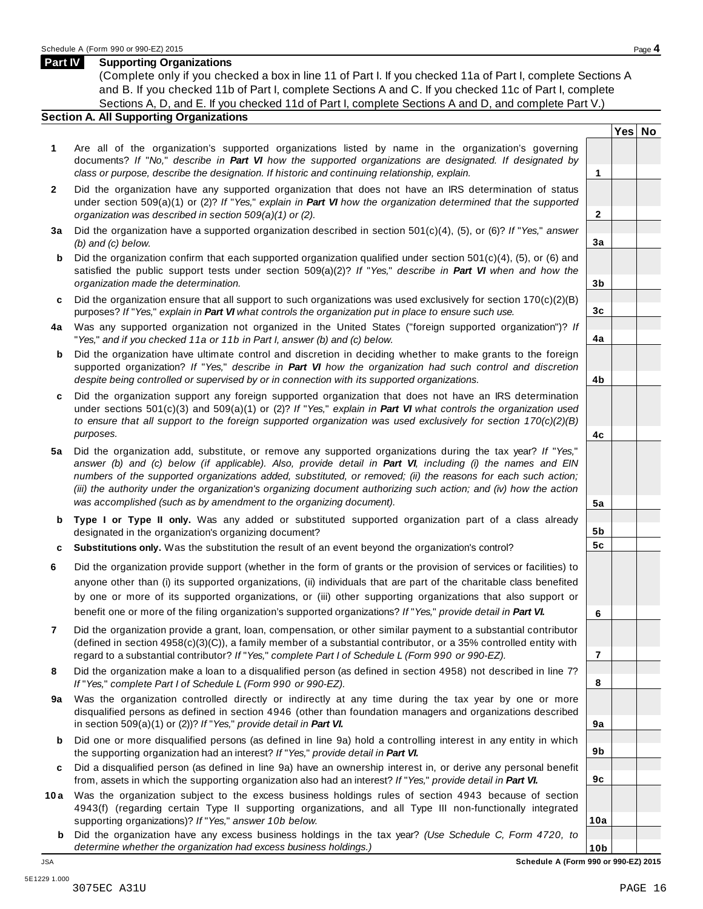## **Part IV Supporting Organizations**

(Complete only if you checked a box in line 11 of Part I. If you checked 11a of Part I, complete Sections A and B. If you checked 11b of Part I, complete Sections A and C. If you checked 11c of Part I, complete Sections A, D, and E. If you checked 11d of Part I, complete Sections A and D, and complete Part V.)

## **Section A. All Supporting Organizations**

- **1** Are all of the organization's supported organizations listed by name in the organization's governing documents? *If* "*No,*" *describe in Part VI how the supported organizations are designated. If designated by class or purpose, describe the designation. If historic and continuing relationship, explain.* **1**
- **2** Did the organization have any supported organization that does not have an IRS determination of status under section 509(a)(1) or (2)? *If*"*Yes,*" *explain in Part VI how the organization determined that the supported organization was described in section 509(a)(1) or (2).*
- **3 a** Did the organization have a supported organization described in section 501(c)(4), (5), or (6)? *If* "*Yes,*" *answer (b) and (c) below.*
- **b** Did the organization confirm that each supported organization qualified under section 501(c)(4), (5), or (6) and | satisfied the public support tests under section 509(a)(2)? *If* "*Yes,*" *describe in Part VI when and how the organization made the determination.*
- **c** Did the organization ensure that all support to such organizations was used exclusively for section 170(c)(2)(B) purposes? *If*"*Yes,*" *explain in Part VI what controls the organization put in place to ensure such use.*
- **4 a** Was any supported organization not organized in the United States ("foreign supported organization")? *If* "*Yes,*" *and if you checked 11a or 11b in Part I, answer (b) and (c) below.*
- **b** Did the organization have ultimate control and discretion in deciding whether to make grants to the foreign | supported organization? *If* "*Yes,*" *describe in Part VI how the organization had such control and discretion despite being controlled or supervised by or in connection with its supported organizations.*
- **c** Did the organization support any foreign supported organization that does not have an IRS determination | under sections 501(c)(3) and 509(a)(1) or (2)? *If* "*Yes,*" *explain in Part VI what controls the organization used to ensure that all support to the foreign supported organization was used exclusively for section 170(c)(2)(B) purposes.*
- **5 a** Did the organization add, substitute, or remove any supported organizations during the tax year? *If* "*Yes,*" answer (b) and (c) below (if applicable). Also, provide detail in Part VI, including (i) the names and EIN *numbers of the supported organizations added, substituted, or removed; (ii) the reasons for each such action;* (iii) the authority under the organization's organizing document authorizing such action; and (iv) how the action *was accomplished (such as by amendment to the organizing document).*
- **b** Type I or Type II only. Was any added or substituted supported organization part of a class already | designated in the organization's organizing document?
- **c Substitutions only.** Was the substitution the result of an event beyond the organization's control?
- **6** Did the organization provide support (whether in the form of grants or the provision of services or facilities) to anyone other than (i) its supported organizations, (ii) individuals that are part of the charitable class benefited by one or more of its supported organizations, or (iii) other supporting organizations that also support or benefit one or more of the filing organization's supported organizations? *If*"*Yes,*" *provide detail in Part VI.*
- **7** Did the organization provide a grant, loan, compensation, or other similar payment to a substantial contributor (defined in section 4958(c)(3)(C)), a family member of a substantial contributor, or a 35% controlled entity with regard to a substantial contributor? *If*"*Yes,*" *complete Part I of Schedule L (Form 990 or 990-EZ).*
- **8** Did the organization make a loan to a disqualified person (as defined in section 4958) not described in line 7? *If* "*Yes,*" *complete Part I of Schedule L (Form 990 or 990-EZ).*
- **a** Was the organization controlled directly or indirectly at any time during the tax year by one or more | **9** disqualified persons as defined in section 4946 (other than foundation managers and organizations described in section 509(a)(1) or (2))? *If*"*Yes,*" *provide detail in Part VI.*
- **b** Did one or more disqualified persons (as defined in line 9a) hold a controlling interest in any entity in which | the supporting organization had an interest? *If*"*Yes,*" *provide detail in Part VI.*
- **c** Did a disqualified person (as defined in line 9a) have an ownership interest in, or derive any personal benefit from, assets in which the supporting organization also had an interest? *If*"*Yes,*" *provide detail in Part VI.*
- **10a** Was the organization subject to the excess business holdings rules of section 4943 because of section | 4943(f) (regarding certain Type II supporting organizations, and all Type III non-functionally integrated supporting organizations)? *If*"*Yes,*" *answer 10b below.*
	- **b** Did the organization have any excess business holdings in the tax year? *(Use Schedule C, Form 4720, to determine whether the organization had excess business holdings.)*

**Yes No**

**2**

**3a**

**3b**

**3c**

**4a**

**4b**

**4c**

**5a**

**5b 5c**

**6**

**7**

**8**

**9a**

**9b**

**9c**

**10a**

**10b** JSA **Schedule A (Form 990 or 990-EZ) 2015**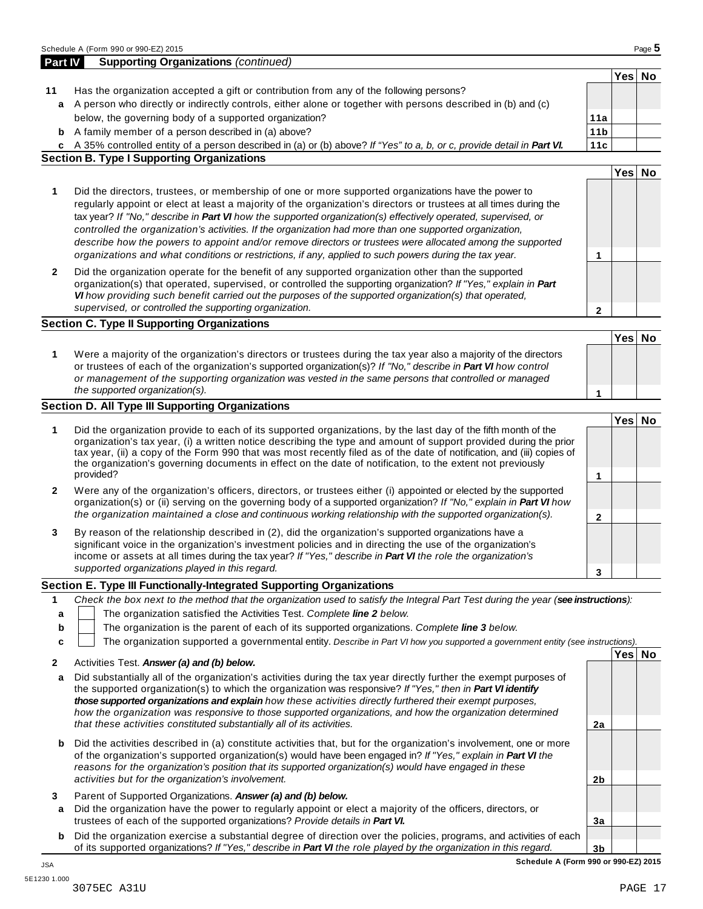|             | a A person who directly or indirectly controls, either alone or together with persons described in (b) and (c)                                                                                                                                                                                                                                                                                                                                                                                                                                                     |                 |        |  |
|-------------|--------------------------------------------------------------------------------------------------------------------------------------------------------------------------------------------------------------------------------------------------------------------------------------------------------------------------------------------------------------------------------------------------------------------------------------------------------------------------------------------------------------------------------------------------------------------|-----------------|--------|--|
|             | below, the governing body of a supported organization?                                                                                                                                                                                                                                                                                                                                                                                                                                                                                                             | 11a             |        |  |
|             | <b>b</b> A family member of a person described in (a) above?                                                                                                                                                                                                                                                                                                                                                                                                                                                                                                       | 11 <sub>b</sub> |        |  |
|             | c A 35% controlled entity of a person described in (a) or (b) above? If "Yes" to a, b, or c, provide detail in Part VI.                                                                                                                                                                                                                                                                                                                                                                                                                                            | 11c             |        |  |
|             | <b>Section B. Type I Supporting Organizations</b>                                                                                                                                                                                                                                                                                                                                                                                                                                                                                                                  |                 |        |  |
|             |                                                                                                                                                                                                                                                                                                                                                                                                                                                                                                                                                                    |                 | Yes No |  |
| 1           | Did the directors, trustees, or membership of one or more supported organizations have the power to<br>regularly appoint or elect at least a majority of the organization's directors or trustees at all times during the<br>tax year? If "No," describe in Part VI how the supported organization(s) effectively operated, supervised, or<br>controlled the organization's activities. If the organization had more than one supported organization,<br>describe how the powers to appoint and/or remove directors or trustees were allocated among the supported |                 |        |  |
|             | organizations and what conditions or restrictions, if any, applied to such powers during the tax year.                                                                                                                                                                                                                                                                                                                                                                                                                                                             | 1               |        |  |
| 2           | Did the organization operate for the benefit of any supported organization other than the supported<br>organization(s) that operated, supervised, or controlled the supporting organization? If "Yes," explain in Part<br>VI how providing such benefit carried out the purposes of the supported organization(s) that operated,<br>supervised, or controlled the supporting organization.                                                                                                                                                                         | $\mathbf 2$     |        |  |
|             | <b>Section C. Type II Supporting Organizations</b>                                                                                                                                                                                                                                                                                                                                                                                                                                                                                                                 |                 |        |  |
|             |                                                                                                                                                                                                                                                                                                                                                                                                                                                                                                                                                                    |                 | Yes No |  |
| 1           | Were a majority of the organization's directors or trustees during the tax year also a majority of the directors<br>or trustees of each of the organization's supported organization(s)? If "No," describe in Part VI how control<br>or management of the supporting organization was vested in the same persons that controlled or managed<br>the supported organization(s).                                                                                                                                                                                      | 1               |        |  |
|             | <b>Section D. All Type III Supporting Organizations</b>                                                                                                                                                                                                                                                                                                                                                                                                                                                                                                            |                 |        |  |
|             |                                                                                                                                                                                                                                                                                                                                                                                                                                                                                                                                                                    |                 | Yes No |  |
| 1           | Did the organization provide to each of its supported organizations, by the last day of the fifth month of the<br>organization's tax year, (i) a written notice describing the type and amount of support provided during the prior<br>tax year, (ii) a copy of the Form 990 that was most recently filed as of the date of notification, and (iii) copies of<br>the organization's governing documents in effect on the date of notification, to the extent not previously<br>provided?                                                                           | 1               |        |  |
| 2           | Were any of the organization's officers, directors, or trustees either (i) appointed or elected by the supported<br>organization(s) or (ii) serving on the governing body of a supported organization? If "No," explain in Part VI how<br>the organization maintained a close and continuous working relationship with the supported organization(s).                                                                                                                                                                                                              | $\mathbf{2}$    |        |  |
| 3           | By reason of the relationship described in (2), did the organization's supported organizations have a<br>significant voice in the organization's investment policies and in directing the use of the organization's<br>income or assets at all times during the tax year? If "Yes," describe in Part VI the role the organization's<br>supported organizations played in this regard.                                                                                                                                                                              |                 |        |  |
|             |                                                                                                                                                                                                                                                                                                                                                                                                                                                                                                                                                                    | 3               |        |  |
|             | Section E. Type III Functionally-Integrated Supporting Organizations                                                                                                                                                                                                                                                                                                                                                                                                                                                                                               |                 |        |  |
| 1<br>b<br>C | Check the box next to the method that the organization used to satisfy the Integral Part Test during the year (see instructions):<br>The organization satisfied the Activities Test. Complete line 2 below.<br>The organization is the parent of each of its supported organizations. Complete line 3 below.<br>The organization supported a governmental entity. Describe in Part VI how you supported a government entity (see instructions).                                                                                                                    |                 |        |  |
| 2           | Activities Test. Answer (a) and (b) below.                                                                                                                                                                                                                                                                                                                                                                                                                                                                                                                         |                 | Yes No |  |
| a           | Did substantially all of the organization's activities during the tax year directly further the exempt purposes of<br>the supported organization(s) to which the organization was responsive? If "Yes," then in Part VI identify<br>those supported organizations and explain how these activities directly furthered their exempt purposes,<br>how the organization was responsive to those supported organizations, and how the organization determined<br>that these activities constituted substantially all of its activities.                                | 2a              |        |  |
| b           | Did the activities described in (a) constitute activities that, but for the organization's involvement, one or more<br>of the organization's supported organization(s) would have been engaged in? If "Yes," explain in Part VI the<br>reasons for the organization's position that its supported organization(s) would have engaged in these<br>activities but for the organization's involvement.                                                                                                                                                                | 2 <sub>b</sub>  |        |  |
| 3<br>a      | Parent of Supported Organizations. Answer (a) and (b) below.<br>Did the organization have the power to regularly appoint or elect a majority of the officers, directors, or<br>trustees of each of the supported organizations? Provide details in Part VI.                                                                                                                                                                                                                                                                                                        | 3a              |        |  |
| b           | Did the organization exercise a substantial degree of direction over the policies, programs, and activities of each<br>of its supported organizations? If "Yes," describe in Part VI the role played by the organization in this regard.                                                                                                                                                                                                                                                                                                                           | 3 <sub>b</sub>  |        |  |

**Part IV Supporting Organizations** *(continued)*

**11** Has the organization accepted a gift or contribution from any of the following persons?

**Yes No**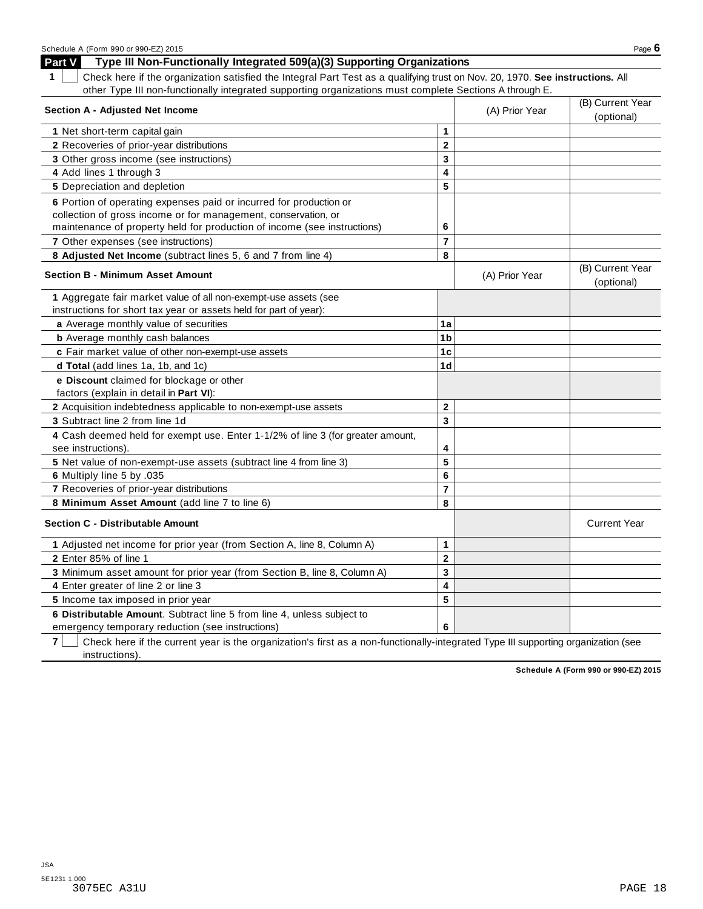| Schedule A (Form 990 or 990-EZ) 2015                                                                                                         |                         |                | Page $6$                       |
|----------------------------------------------------------------------------------------------------------------------------------------------|-------------------------|----------------|--------------------------------|
| Type III Non-Functionally Integrated 509(a)(3) Supporting Organizations<br><b>Part V</b>                                                     |                         |                |                                |
| $\mathbf 1$<br>Check here if the organization satisfied the Integral Part Test as a qualifying trust on Nov. 20, 1970. See instructions. All |                         |                |                                |
| other Type III non-functionally integrated supporting organizations must complete Sections A through E.                                      |                         |                |                                |
| Section A - Adjusted Net Income                                                                                                              |                         | (A) Prior Year | (B) Current Year<br>(optional) |
| 1 Net short-term capital gain                                                                                                                | 1                       |                |                                |
| 2 Recoveries of prior-year distributions                                                                                                     | $\mathbf{2}$            |                |                                |
| 3 Other gross income (see instructions)                                                                                                      | 3                       |                |                                |
| 4 Add lines 1 through 3                                                                                                                      | 4                       |                |                                |
| 5 Depreciation and depletion                                                                                                                 | 5                       |                |                                |
| 6 Portion of operating expenses paid or incurred for production or                                                                           |                         |                |                                |
| collection of gross income or for management, conservation, or                                                                               |                         |                |                                |
| maintenance of property held for production of income (see instructions)                                                                     | 6                       |                |                                |
| 7 Other expenses (see instructions)                                                                                                          | $\overline{\mathbf{r}}$ |                |                                |
| 8 Adjusted Net Income (subtract lines 5, 6 and 7 from line 4)                                                                                | 8                       |                |                                |
| <b>Section B - Minimum Asset Amount</b>                                                                                                      |                         | (A) Prior Year | (B) Current Year<br>(optional) |
| 1 Aggregate fair market value of all non-exempt-use assets (see                                                                              |                         |                |                                |
| instructions for short tax year or assets held for part of year):                                                                            |                         |                |                                |
| a Average monthly value of securities                                                                                                        | 1a                      |                |                                |
| <b>b</b> Average monthly cash balances                                                                                                       | 1 <sub>b</sub>          |                |                                |
| c Fair market value of other non-exempt-use assets                                                                                           | 1c                      |                |                                |
| d Total (add lines 1a, 1b, and 1c)                                                                                                           | 1d                      |                |                                |
| e Discount claimed for blockage or other<br>factors (explain in detail in Part VI):                                                          |                         |                |                                |
| 2 Acquisition indebtedness applicable to non-exempt-use assets                                                                               | $\mathbf{2}$            |                |                                |
| 3 Subtract line 2 from line 1d                                                                                                               | 3                       |                |                                |
| 4 Cash deemed held for exempt use. Enter 1-1/2% of line 3 (for greater amount,<br>see instructions).                                         | 4                       |                |                                |
| 5 Net value of non-exempt-use assets (subtract line 4 from line 3)                                                                           | 5                       |                |                                |
| 6 Multiply line 5 by .035                                                                                                                    | 6                       |                |                                |
| 7 Recoveries of prior-year distributions                                                                                                     | $\overline{\mathbf{7}}$ |                |                                |
| 8 Minimum Asset Amount (add line 7 to line 6)                                                                                                | 8                       |                |                                |
| <b>Section C - Distributable Amount</b>                                                                                                      |                         |                | <b>Current Year</b>            |
| 1 Adjusted net income for prior year (from Section A, line 8, Column A)                                                                      | $\mathbf 1$             |                |                                |
| 2 Enter 85% of line 1                                                                                                                        | $\mathbf 2$             |                |                                |
| 3 Minimum asset amount for prior year (from Section B, line 8, Column A)                                                                     | 3                       |                |                                |
| 4 Enter greater of line 2 or line 3                                                                                                          | 4                       |                |                                |
| 5 Income tax imposed in prior year                                                                                                           | 5                       |                |                                |
| 6 Distributable Amount. Subtract line 5 from line 4, unless subject to                                                                       |                         |                |                                |
| emergency temporary reduction (see instructions)                                                                                             | 6                       |                |                                |

**7** Check here if the current year is the organization's first as a non-functionally-integrated Type III supporting organization (see instructions).

**Schedule A (Form 990 or 990-EZ) 2015**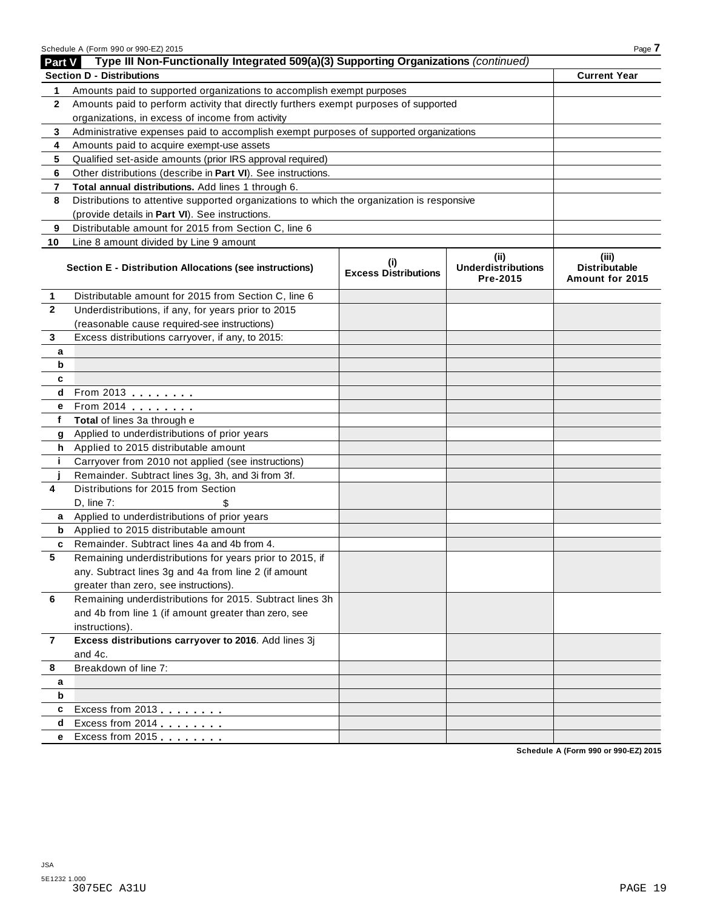|                | Schedule A (Form 990 or 990-EZ) 2015                                                       |                                    |                                               | Page 7                                           |
|----------------|--------------------------------------------------------------------------------------------|------------------------------------|-----------------------------------------------|--------------------------------------------------|
| Part V         | Type III Non-Functionally Integrated 509(a)(3) Supporting Organizations (continued)        |                                    |                                               |                                                  |
|                | <b>Section D - Distributions</b>                                                           |                                    |                                               | <b>Current Year</b>                              |
| 1              | Amounts paid to supported organizations to accomplish exempt purposes                      |                                    |                                               |                                                  |
| 2              | Amounts paid to perform activity that directly furthers exempt purposes of supported       |                                    |                                               |                                                  |
|                | organizations, in excess of income from activity                                           |                                    |                                               |                                                  |
| 3              | Administrative expenses paid to accomplish exempt purposes of supported organizations      |                                    |                                               |                                                  |
| 4              | Amounts paid to acquire exempt-use assets                                                  |                                    |                                               |                                                  |
| 5              | Qualified set-aside amounts (prior IRS approval required)                                  |                                    |                                               |                                                  |
| 6              | Other distributions (describe in Part VI). See instructions.                               |                                    |                                               |                                                  |
| 7              | Total annual distributions. Add lines 1 through 6.                                         |                                    |                                               |                                                  |
| 8              | Distributions to attentive supported organizations to which the organization is responsive |                                    |                                               |                                                  |
|                | (provide details in Part VI). See instructions.                                            |                                    |                                               |                                                  |
| 9              | Distributable amount for 2015 from Section C, line 6                                       |                                    |                                               |                                                  |
| 10             | Line 8 amount divided by Line 9 amount                                                     |                                    |                                               |                                                  |
|                | Section E - Distribution Allocations (see instructions)                                    | (i)<br><b>Excess Distributions</b> | (ii)<br><b>Underdistributions</b><br>Pre-2015 | (iii)<br><b>Distributable</b><br>Amount for 2015 |
| 1              | Distributable amount for 2015 from Section C, line 6                                       |                                    |                                               |                                                  |
| $\mathbf{2}$   | Underdistributions, if any, for years prior to 2015                                        |                                    |                                               |                                                  |
|                | (reasonable cause required-see instructions)                                               |                                    |                                               |                                                  |
| 3              | Excess distributions carryover, if any, to 2015:                                           |                                    |                                               |                                                  |
| a              |                                                                                            |                                    |                                               |                                                  |
| b              |                                                                                            |                                    |                                               |                                                  |
| c              |                                                                                            |                                    |                                               |                                                  |
| d              | From 2013                                                                                  |                                    |                                               |                                                  |
| е              | From 2014 <b></b>                                                                          |                                    |                                               |                                                  |
| f              | Total of lines 3a through e                                                                |                                    |                                               |                                                  |
| g              | Applied to underdistributions of prior years                                               |                                    |                                               |                                                  |
| h              | Applied to 2015 distributable amount                                                       |                                    |                                               |                                                  |
| j.             | Carryover from 2010 not applied (see instructions)                                         |                                    |                                               |                                                  |
|                | Remainder. Subtract lines 3g, 3h, and 3i from 3f.                                          |                                    |                                               |                                                  |
| 4              | Distributions for 2015 from Section                                                        |                                    |                                               |                                                  |
|                | D, line 7:<br>\$                                                                           |                                    |                                               |                                                  |
| a              | Applied to underdistributions of prior years                                               |                                    |                                               |                                                  |
| b              | Applied to 2015 distributable amount                                                       |                                    |                                               |                                                  |
| c              | Remainder. Subtract lines 4a and 4b from 4.                                                |                                    |                                               |                                                  |
| 5.             | Remaining underdistributions for years prior to 2015, if                                   |                                    |                                               |                                                  |
|                | any. Subtract lines 3g and 4a from line 2 (if amount                                       |                                    |                                               |                                                  |
|                | greater than zero, see instructions).                                                      |                                    |                                               |                                                  |
| 6              | Remaining underdistributions for 2015. Subtract lines 3h                                   |                                    |                                               |                                                  |
|                | and 4b from line 1 (if amount greater than zero, see                                       |                                    |                                               |                                                  |
|                | instructions).                                                                             |                                    |                                               |                                                  |
| $\overline{7}$ | Excess distributions carryover to 2016. Add lines 3j                                       |                                    |                                               |                                                  |
|                | and 4c.                                                                                    |                                    |                                               |                                                  |
| 8              | Breakdown of line 7:                                                                       |                                    |                                               |                                                  |
| а              |                                                                                            |                                    |                                               |                                                  |
| b              |                                                                                            |                                    |                                               |                                                  |
| c              | Excess from 2013                                                                           |                                    |                                               |                                                  |
| d              | Excess from 2014                                                                           |                                    |                                               |                                                  |
| е              | Excess from 2015                                                                           |                                    |                                               |                                                  |
|                |                                                                                            |                                    |                                               |                                                  |

**Schedule A (Form 990 or 990-EZ) 2015**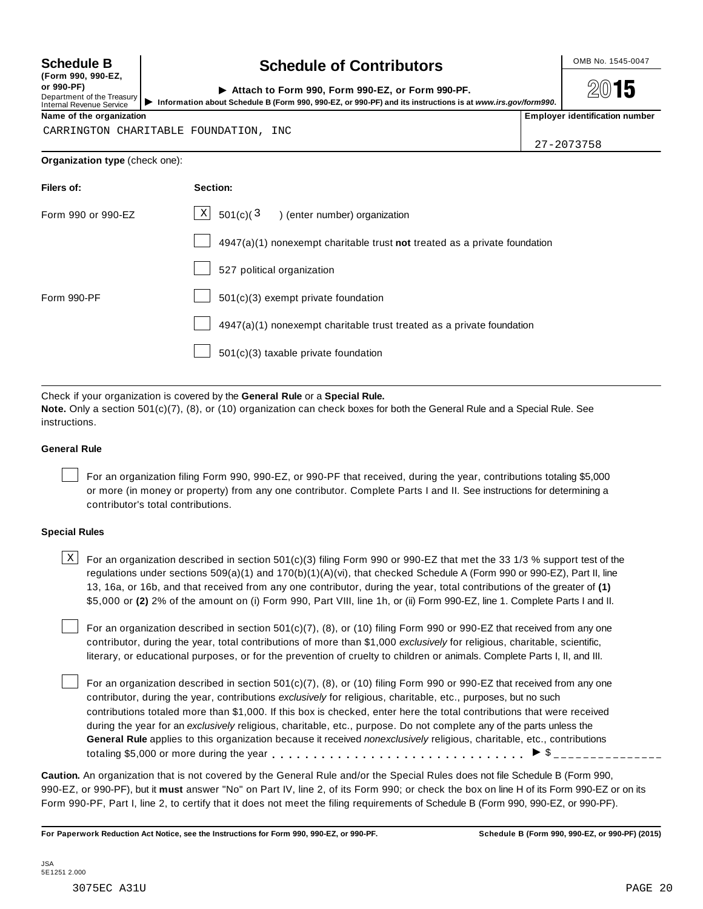**(Form 990, 990-EZ, or 990-PF)** Department of the Treasury<br>Internal Revenue Service

## **Schedule B chedule of Contributors**

15

|  | Attach to Form 990, Form 990-EZ, or Form 990-PF. |  |
|--|--------------------------------------------------|--|
|  |                                                  |  |

Department of the freadory |▶ Information about Schedule B (Form 990, 990-EZ, or 990-PF) and its instructions is at www.irs.gov/form990. |<br>Name of the organization<br>Name of the organization

|  |  | CARRINGTON CHARITABLE FOUNDATION, INC |  |
|--|--|---------------------------------------|--|
|--|--|---------------------------------------|--|

27-2073758

| Filers of:         | Section:                                                                    |
|--------------------|-----------------------------------------------------------------------------|
| Form 990 or 990-EZ | $\mathbf{X}$<br>$501(c)(3)$ (enter number) organization                     |
|                    | $4947(a)(1)$ nonexempt charitable trust not treated as a private foundation |
|                    | 527 political organization                                                  |
| Form 990-PF        | $501(c)(3)$ exempt private foundation                                       |
|                    | 4947(a)(1) nonexempt charitable trust treated as a private foundation       |
|                    | 501(c)(3) taxable private foundation                                        |
|                    |                                                                             |

Check if your organization is covered by the **General Rule** or a **Special Rule.**

**Note.** Only a section 501(c)(7), (8), or (10) organization can check boxes for both the General Rule and a Special Rule. See instructions.

#### **General Rule**

For an organization filing Form 990, 990-EZ, or 990-PF that received, during the year, contributions totaling \$5,000 or more (in money or property) from any one contributor. Complete Parts I and II. See instructions for determining a contributor's total contributions.

#### **Special Rules**

 $\text{X}$  For an organization described in section 501(c)(3) filing Form 990 or 990-EZ that met the 33 1/3 % support test of the regulations under sections 509(a)(1) and 170(b)(1)(A)(vi), that checked Schedule A (Form 990 or 990-EZ), Part II, line 13, 16a, or 16b, and that received from any one contributor, during the year, total contributions of the greater of **(1)** \$5,000 or **(2)** 2% of the amount on (i) Form 990, Part VIII, line 1h, or (ii) Form 990-EZ, line 1. Complete Parts I and II.

For an organization described in section 501(c)(7), (8), or (10) filing Form 990 or 990-EZ that received from any one contributor, during the year, total contributions of more than \$1,000 *exclusively* for religious, charitable, scientific, literary, or educational purposes, or for the prevention of cruelty to children or animals. Complete Parts I, II, and III.

For an organization described in section 501(c)(7), (8), or (10) filing Form 990 or 990-EZ that received from any one contributor, during the year, contributions *exclusively* for religious, charitable, etc., purposes, but no such contributions totaled more than \$1,000. If this box is checked, enter here the total contributions that were received during the year for an *exclusively* religious, charitable, etc., purpose. Do not complete any of the parts unless the **General Rule** applies to this organization because it received *nonexclusively* religious, charitable, etc., contributions totaling \$5,000 or more during the year m, m, m, m, m, m, m, m, m, m, m, m, m m  $\frac{1}{2}$   $\frac{1}{2}$ 

**Caution.** An organization that is not covered by the General Rule and/or the Special Rules does not file Schedule B (Form 990, 990-EZ, or 990-PF), but it **must** answer "No" on Part IV, line 2, of its Form 990; or check the box on line H of its Form 990-EZ or on its Form 990-PF, Part I, line 2, to certify that it does not meet the filing requirements of Schedule B (Form 990, 990-EZ, or 990-PF).

For Paperwork Reduction Act Notice, see the Instructions for Form 990, 990-EZ, or 990-PF. Schedule B (Form 990, 990-EZ, or 990-PF) (2015)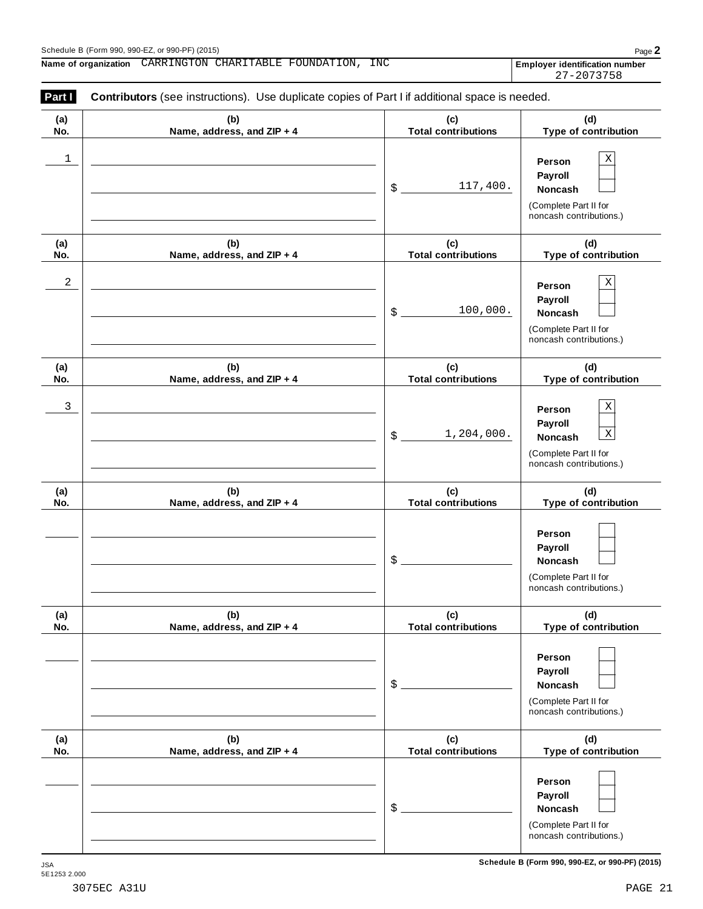**Name of organization Employer identification number** CARRINGTON CHARITABLE FOUNDATION, INC

27-2073758

| (a)<br>No. | (b)<br>Name, address, and ZIP + 4 | (c)<br><b>Total contributions</b> | (d)<br>Type of contribution                                                                                           |
|------------|-----------------------------------|-----------------------------------|-----------------------------------------------------------------------------------------------------------------------|
| 1          |                                   | 117,400.<br>\$                    | $\mathbf X$<br>Person<br>Payroll<br><b>Noncash</b><br>(Complete Part II for                                           |
| (a)<br>No. | (b)<br>Name, address, and ZIP + 4 | (c)<br><b>Total contributions</b> | noncash contributions.)<br>(d)<br>Type of contribution                                                                |
| 2          |                                   | 100,000.<br>\$                    | Χ<br>Person<br>Payroll<br><b>Noncash</b><br>(Complete Part II for<br>noncash contributions.)                          |
| (a)<br>No. | (b)<br>Name, address, and ZIP + 4 | (c)<br><b>Total contributions</b> | (d)<br>Type of contribution                                                                                           |
| 3          |                                   | 1,204,000.<br>\$                  | $\mathbf X$<br>Person<br>Payroll<br>$\mathbf X$<br><b>Noncash</b><br>(Complete Part II for<br>noncash contributions.) |
| (a)<br>No. | (b)<br>Name, address, and ZIP + 4 | (c)<br><b>Total contributions</b> | (d)<br>Type of contribution                                                                                           |
|            |                                   | \$                                | Person<br>Payroll<br><b>Noncash</b><br>(Complete Part II for<br>noncash contributions.)                               |
| (a)<br>No. | (b)<br>Name, address, and ZIP + 4 | (c)<br><b>Total contributions</b> | (d)<br>Type of contribution                                                                                           |
|            |                                   | \$                                | Person<br>Payroll<br><b>Noncash</b><br>(Complete Part II for<br>noncash contributions.)                               |
| (a)<br>No. | (b)<br>Name, address, and ZIP + 4 | (c)<br><b>Total contributions</b> | (d)<br>Type of contribution                                                                                           |
|            |                                   | \$                                | Person<br>Payroll<br><b>Noncash</b><br>(Complete Part II for<br>noncash contributions.)                               |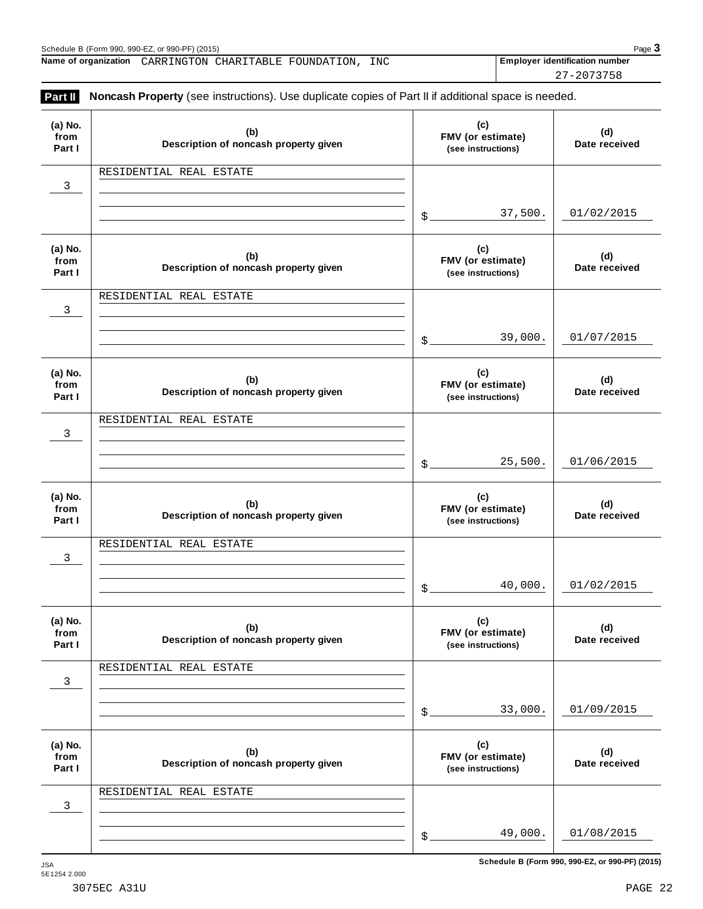# Schedule B (Form 990, 990-EZ, or 990-PF) (2015)<br> **Name of organization** CARRINGTON CHARITABLE FOUNDATION, INC **Frame of organization number** Page **3**

**Name of organization Employer identification number** CARRINGTON CHARITABLE FOUNDATION, INC

27-2073758

| from<br>Part I            | (b)<br>Description of noncash property given | (c)<br>FMV (or estimate)<br>(see instructions) | (d)<br>Date received  |
|---------------------------|----------------------------------------------|------------------------------------------------|-----------------------|
| 3                         | RESIDENTIAL REAL ESTATE                      |                                                |                       |
|                           |                                              | $\mathcal{S}_{-}$                              | 37,500.<br>01/02/2015 |
| (a) No.<br>from<br>Part I | (b)<br>Description of noncash property given | (c)<br>FMV (or estimate)<br>(see instructions) | (d)<br>Date received  |
| 3                         | RESIDENTIAL REAL ESTATE                      |                                                |                       |
|                           |                                              | $\mathcal{S}_{-}$                              | 39,000.<br>01/07/2015 |
| (a) No.<br>from<br>Part I | (b)<br>Description of noncash property given | (c)<br>FMV (or estimate)<br>(see instructions) | (d)<br>Date received  |
| 3                         | RESIDENTIAL REAL ESTATE                      |                                                |                       |
|                           |                                              | $\mathcal{S}_{-}$                              | 25,500.<br>01/06/2015 |
| (a) No.<br>from<br>Part I | (b)<br>Description of noncash property given | (c)<br>FMV (or estimate)<br>(see instructions) | (d)<br>Date received  |
| 3                         | RESIDENTIAL REAL ESTATE                      |                                                |                       |
|                           |                                              | \$.                                            | 40,000.<br>01/02/2015 |
| (a) No.<br>from<br>Part I | (b)<br>Description of noncash property given | (c)<br>FMV (or estimate)<br>(see instructions) | (d)<br>Date received  |
| $\mathbf{3}$              | RESIDENTIAL REAL ESTATE                      |                                                |                       |
|                           |                                              | \$                                             | 33,000.<br>01/09/2015 |
| (a) No.<br>from<br>Part I | (b)<br>Description of noncash property given | (c)<br>FMV (or estimate)<br>(see instructions) | (d)<br>Date received  |
|                           |                                              |                                                |                       |
| 3                         | RESIDENTIAL REAL ESTATE                      |                                                |                       |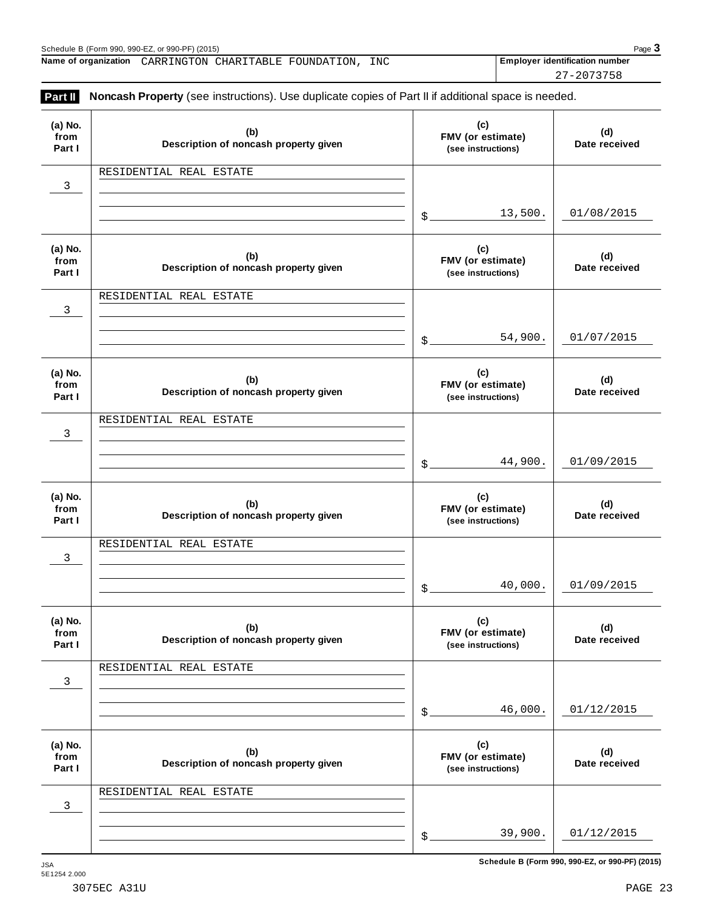# Schedule B (Form 990, 990-EZ, or 990-PF) (2015)<br> **Name of organization** CARRINGTON CHARITABLE FOUNDATION, INC **Property and Employer identification number**

**Name of organization Employer identification number** CARRINGTON CHARITABLE FOUNDATION, INC

27-2073758

| (a) No.                   |                                              |                 | (c)                                            |                      |
|---------------------------|----------------------------------------------|-----------------|------------------------------------------------|----------------------|
| from<br>Part I            | (b)<br>Description of noncash property given |                 | FMV (or estimate)<br>(see instructions)        | (d)<br>Date received |
| $\mathbf{3}$              | RESIDENTIAL REAL ESTATE                      |                 |                                                |                      |
|                           |                                              | $\frac{2}{3}$   | 13,500.                                        | 01/08/2015           |
| (a) No.<br>from<br>Part I | (b)<br>Description of noncash property given |                 | (c)<br>FMV (or estimate)<br>(see instructions) | (d)<br>Date received |
| 3                         | RESIDENTIAL REAL ESTATE                      |                 |                                                |                      |
|                           |                                              | $\mathsf{\$}$ . | 54,900.                                        | 01/07/2015           |
| (a) No.<br>from<br>Part I | (b)<br>Description of noncash property given |                 | (c)<br>FMV (or estimate)<br>(see instructions) | (d)<br>Date received |
| 3                         | RESIDENTIAL REAL ESTATE                      |                 |                                                |                      |
|                           |                                              | $\mathsf{\$}$ . | 44,900.                                        | 01/09/2015           |
| (a) No.<br>from<br>Part I | (b)<br>Description of noncash property given |                 | (c)<br>FMV (or estimate)<br>(see instructions) | (d)<br>Date received |
| 3                         | RESIDENTIAL REAL ESTATE                      |                 |                                                |                      |
|                           |                                              | \$.             | 40,000.                                        | 01/09/2015           |
| (a) No.<br>from<br>Part I | (b)<br>Description of noncash property given |                 | (c)<br>FMV (or estimate)<br>(see instructions) | (d)<br>Date received |
| $\mathbf{3}$              | RESIDENTIAL REAL ESTATE                      |                 |                                                |                      |
|                           |                                              | \$              | 46,000.                                        | 01/12/2015           |
| (a) No.<br>from<br>Part I | (b)<br>Description of noncash property given |                 | (c)<br>FMV (or estimate)<br>(see instructions) | (d)<br>Date received |
| $\mathbf{3}$              | RESIDENTIAL REAL ESTATE                      |                 |                                                |                      |
|                           |                                              |                 |                                                |                      |
|                           |                                              | \$              | 39,900.                                        | 01/12/2015           |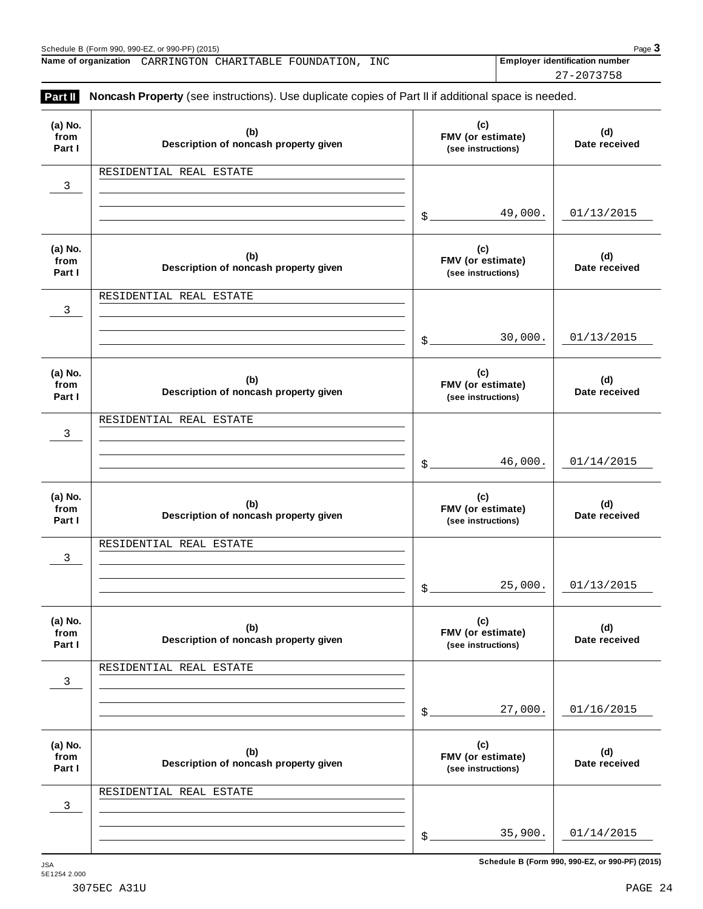27-2073758

| from<br>Part I                              | (b)<br>Description of noncash property given | (c)<br>FMV (or estimate)<br>(see instructions) | (d)<br>Date received |
|---------------------------------------------|----------------------------------------------|------------------------------------------------|----------------------|
| 3                                           | RESIDENTIAL REAL ESTATE                      |                                                |                      |
|                                             |                                              | 49,000.<br>$\frac{1}{2}$                       | 01/13/2015           |
| (a) No.<br>from<br>Part I                   | (b)<br>Description of noncash property given | (c)<br>FMV (or estimate)<br>(see instructions) | (d)<br>Date received |
| 3                                           | RESIDENTIAL REAL ESTATE                      |                                                |                      |
|                                             |                                              | 30,000.<br>$s_{-}$                             | 01/13/2015           |
| (a) No.<br>from<br>Part I                   | (b)<br>Description of noncash property given | (c)<br>FMV (or estimate)<br>(see instructions) | (d)<br>Date received |
| 3                                           | RESIDENTIAL REAL ESTATE                      |                                                |                      |
|                                             |                                              | 46,000.<br>$\frac{1}{2}$                       | 01/14/2015           |
| (a) No.<br>from<br>Part I                   | (b)<br>Description of noncash property given | (c)<br>FMV (or estimate)<br>(see instructions) | (d)<br>Date received |
| 3                                           | RESIDENTIAL REAL ESTATE                      |                                                |                      |
|                                             |                                              | 25,000.<br>$\mathcal{S}_{-}$                   | 01/13/2015           |
| (a) No.<br>from<br>Part I                   | (b)<br>Description of noncash property given | (c)<br>FMV (or estimate)<br>(see instructions) | (d)<br>Date received |
| $\mathsf{3}$                                | RESIDENTIAL REAL ESTATE                      |                                                |                      |
|                                             |                                              | 27,000.<br>$\mathcal{S}_{-}$                   | 01/16/2015           |
|                                             |                                              | (c)                                            |                      |
|                                             | (b)<br>Description of noncash property given | FMV (or estimate)<br>(see instructions)        | (d)<br>Date received |
| (a) No.<br>from<br>Part I<br>$\mathfrak{Z}$ | RESIDENTIAL REAL ESTATE                      |                                                |                      |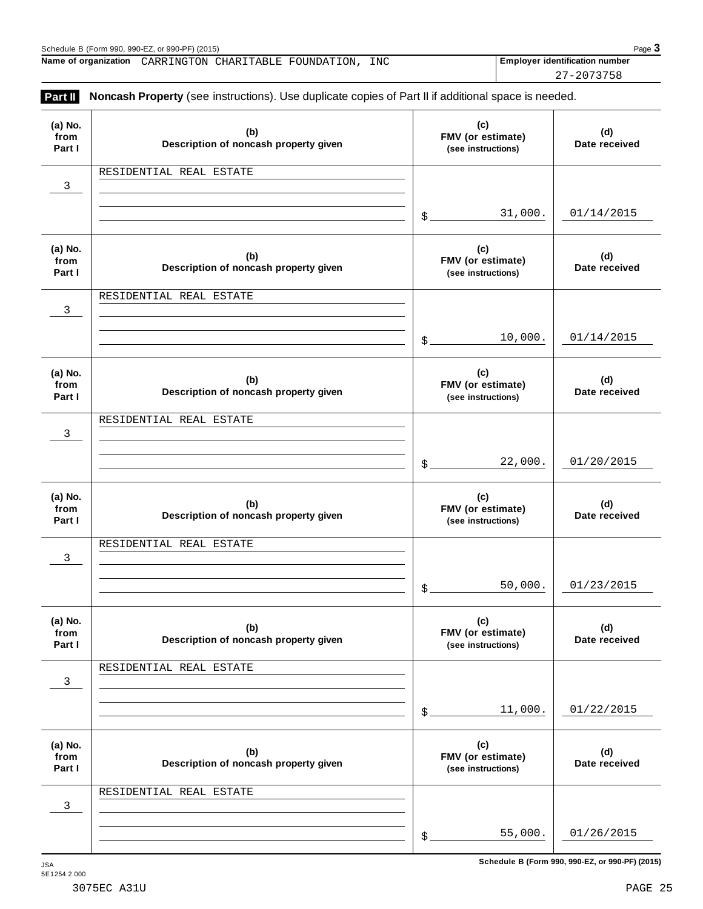27-2073758

| <b>Part II</b>            | Noncash Property (see instructions). Use duplicate copies of Part II if additional space is needed. |                                                |                      |  |  |  |
|---------------------------|-----------------------------------------------------------------------------------------------------|------------------------------------------------|----------------------|--|--|--|
| (a) No.<br>from<br>Part I | (b)<br>Description of noncash property given                                                        | (c)<br>FMV (or estimate)<br>(see instructions) | (d)<br>Date received |  |  |  |
| $\mathfrak{Z}$            | RESIDENTIAL REAL ESTATE                                                                             |                                                |                      |  |  |  |
|                           |                                                                                                     | 31,000.<br>$\mathcal{S}_{-}$                   | 01/14/2015           |  |  |  |
| (a) No.<br>from<br>Part I | (b)<br>Description of noncash property given                                                        | (c)<br>FMV (or estimate)<br>(see instructions) | (d)<br>Date received |  |  |  |
| 3                         | RESIDENTIAL REAL ESTATE                                                                             |                                                |                      |  |  |  |
|                           |                                                                                                     | 10,000.<br>$\mathcal{S}_{-}$                   | 01/14/2015           |  |  |  |
| (a) No.<br>from<br>Part I | (b)<br>Description of noncash property given                                                        | (c)<br>FMV (or estimate)<br>(see instructions) | (d)<br>Date received |  |  |  |
| 3                         | RESIDENTIAL REAL ESTATE                                                                             |                                                |                      |  |  |  |
|                           |                                                                                                     | 22,000.<br>\$                                  | 01/20/2015           |  |  |  |
| (a) No.<br>from<br>Part I | (b)<br>Description of noncash property given                                                        | (c)<br>FMV (or estimate)<br>(see instructions) | (d)<br>Date received |  |  |  |
| 3                         | RESIDENTIAL REAL ESTATE                                                                             |                                                |                      |  |  |  |
|                           |                                                                                                     | 50,000.<br>\$                                  | 01/23/2015           |  |  |  |
| (a) No.<br>from<br>Part I | (b)<br>Description of noncash property given                                                        | (c)<br>FMV (or estimate)<br>(see instructions) | (d)<br>Date received |  |  |  |
| 3                         | RESIDENTIAL REAL ESTATE                                                                             |                                                |                      |  |  |  |
|                           |                                                                                                     | 11,000.<br>\$                                  | 01/22/2015           |  |  |  |
| (a) No.<br>from<br>Part I | (b)<br>Description of noncash property given                                                        | (c)<br>FMV (or estimate)<br>(see instructions) | (d)<br>Date received |  |  |  |
| $\mathbf{3}$              | RESIDENTIAL REAL ESTATE                                                                             |                                                |                      |  |  |  |
|                           |                                                                                                     | 55,000.                                        | 01/26/2015           |  |  |  |
|                           |                                                                                                     | \$                                             |                      |  |  |  |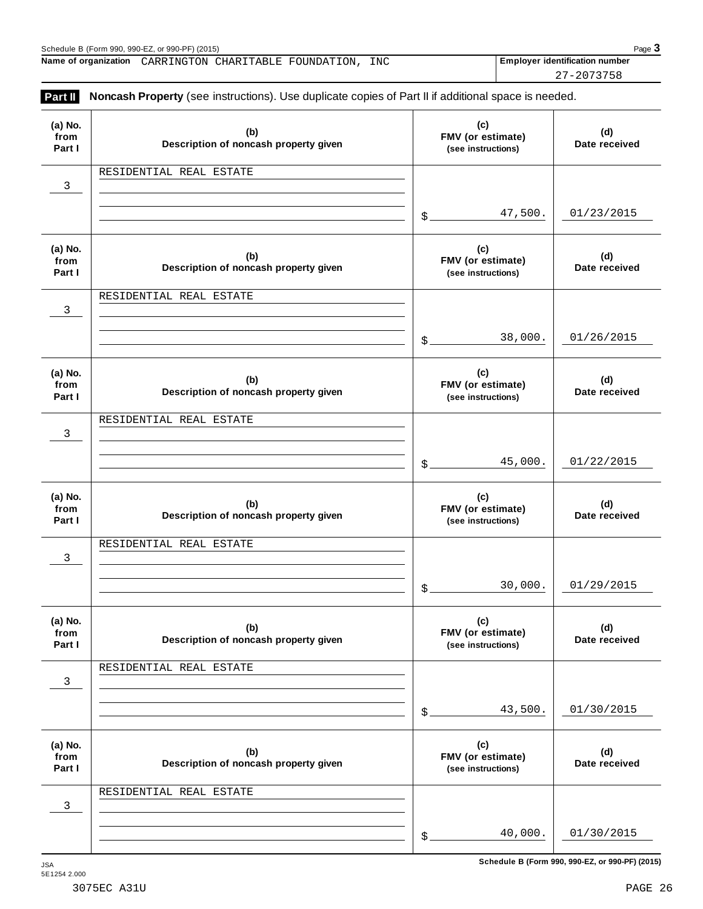27-2073758

| Part II                   | Noncash Property (see instructions). Use duplicate copies of Part II if additional space is needed. |                                                |                      |
|---------------------------|-----------------------------------------------------------------------------------------------------|------------------------------------------------|----------------------|
| (a) No.<br>from<br>Part I | (b)<br>Description of noncash property given                                                        | (c)<br>FMV (or estimate)<br>(see instructions) | (d)<br>Date received |
| $\mathfrak{Z}$            | RESIDENTIAL REAL ESTATE                                                                             |                                                |                      |
|                           |                                                                                                     |                                                |                      |
|                           |                                                                                                     | 47,500.<br>$\mathcal{S}_{-}$                   | 01/23/2015           |
| (a) No.<br>from<br>Part I | (b)<br>Description of noncash property given                                                        | (c)<br>FMV (or estimate)<br>(see instructions) | (d)<br>Date received |
| $\mathfrak{Z}$            | RESIDENTIAL REAL ESTATE                                                                             |                                                |                      |
|                           |                                                                                                     | 38,000.<br>$\mathcal{S}_{-}$                   | 01/26/2015           |
| (a) No.<br>from<br>Part I | (b)<br>Description of noncash property given                                                        | (c)<br>FMV (or estimate)<br>(see instructions) | (d)<br>Date received |
| 3                         | RESIDENTIAL REAL ESTATE                                                                             |                                                |                      |
|                           |                                                                                                     | 45,000.<br>$\mathcal{S}_{-}$                   | 01/22/2015           |
| (a) No.<br>from<br>Part I | (b)<br>Description of noncash property given                                                        | (c)<br>FMV (or estimate)<br>(see instructions) | (d)<br>Date received |
|                           | RESIDENTIAL REAL ESTATE                                                                             |                                                |                      |
| 3                         |                                                                                                     |                                                |                      |
|                           |                                                                                                     | 30,000.<br>$\mathcal{S}_{-}$                   | 01/29/2015           |
| (a) No.<br>from<br>Part I | (b)<br>Description of noncash property given                                                        | (c)<br>FMV (or estimate)<br>(see instructions) | (d)<br>Date received |
|                           | RESIDENTIAL REAL ESTATE                                                                             |                                                |                      |
| $\mathfrak{Z}$            |                                                                                                     |                                                |                      |
|                           |                                                                                                     | 43,500.<br>\$                                  | 01/30/2015           |
| (a) No.<br>from<br>Part I | (b)<br>Description of noncash property given                                                        | (c)<br>FMV (or estimate)<br>(see instructions) | (d)<br>Date received |
|                           | RESIDENTIAL REAL ESTATE                                                                             |                                                |                      |
| $\mathfrak{Z}$            |                                                                                                     |                                                |                      |
|                           |                                                                                                     | 40,000.<br>\$                                  | 01/30/2015           |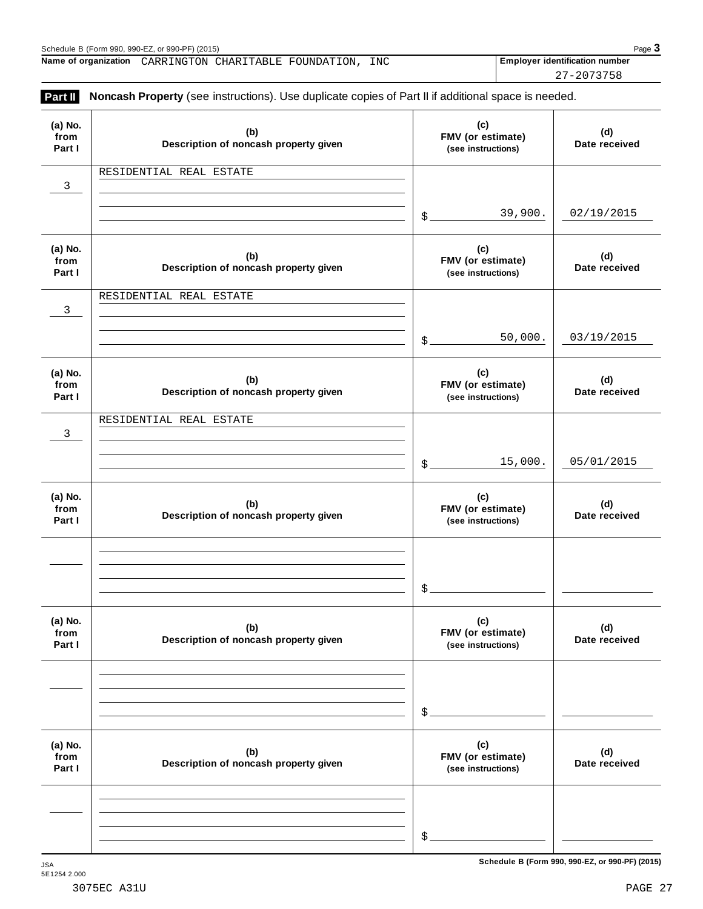27-2073758

| (a) No.<br>from<br>Part I | (c)<br>(b)<br>FMV (or estimate)<br>Description of noncash property given<br>(see instructions) |                   | (d)<br>Date received                           |                      |
|---------------------------|------------------------------------------------------------------------------------------------|-------------------|------------------------------------------------|----------------------|
| $\mathbf{3}$              | RESIDENTIAL REAL ESTATE                                                                        |                   |                                                |                      |
|                           |                                                                                                | $\mathcal{S}_{-}$ | 39,900.                                        | 02/19/2015           |
| (a) No.<br>from<br>Part I | (b)<br>Description of noncash property given                                                   |                   | (c)<br>FMV (or estimate)<br>(see instructions) | (d)<br>Date received |
| $\mathfrak{Z}$            | RESIDENTIAL REAL ESTATE                                                                        |                   |                                                |                      |
|                           |                                                                                                | $\mathcal{S}_{-}$ | 50,000.                                        | 03/19/2015           |
| (a) No.<br>from<br>Part I | (b)<br>Description of noncash property given                                                   |                   | (c)<br>FMV (or estimate)<br>(see instructions) | (d)<br>Date received |
| $\mathfrak{Z}$            | RESIDENTIAL REAL ESTATE                                                                        |                   |                                                |                      |
|                           |                                                                                                | $\mathcal{S}_{-}$ | 15,000.                                        | 05/01/2015           |
| (a) No.<br>from<br>Part I | (b)<br>Description of noncash property given                                                   |                   | (c)<br>FMV (or estimate)<br>(see instructions) | (d)<br>Date received |
|                           |                                                                                                |                   |                                                |                      |
|                           |                                                                                                | \$                |                                                |                      |
| (a) No.<br>from<br>Part I | (b)<br>Description of noncash property given                                                   |                   | (c)<br>FMV (or estimate)<br>(see instructions) | (d)<br>Date received |
|                           |                                                                                                |                   |                                                |                      |
|                           |                                                                                                | \$                |                                                |                      |
| (a) No.<br>from<br>Part I | (b)<br>Description of noncash property given                                                   |                   | (c)<br>FMV (or estimate)<br>(see instructions) | (d)<br>Date received |
|                           |                                                                                                |                   |                                                |                      |
|                           |                                                                                                | \$                |                                                |                      |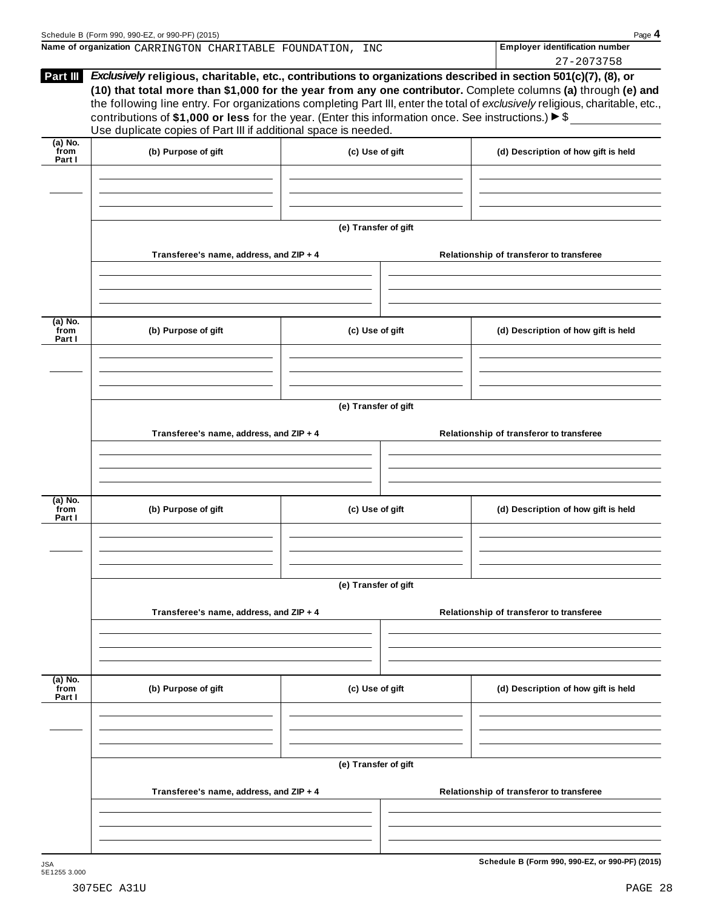|                             |                                                                                                                                                                                                                                                                                                                                                                                                                                                                          |                      |  | 27-2073758                               |
|-----------------------------|--------------------------------------------------------------------------------------------------------------------------------------------------------------------------------------------------------------------------------------------------------------------------------------------------------------------------------------------------------------------------------------------------------------------------------------------------------------------------|----------------------|--|------------------------------------------|
| Part III                    | Exclusively religious, charitable, etc., contributions to organizations described in section 501(c)(7), (8), or<br>(10) that total more than \$1,000 for the year from any one contributor. Complete columns (a) through (e) and<br>the following line entry. For organizations completing Part III, enter the total of exclusively religious, charitable, etc.,<br>contributions of \$1,000 or less for the year. (Enter this information once. See instructions.) ▶ \$ |                      |  |                                          |
|                             | Use duplicate copies of Part III if additional space is needed.                                                                                                                                                                                                                                                                                                                                                                                                          |                      |  |                                          |
| (a) No.<br>from<br>Part I   | (b) Purpose of gift                                                                                                                                                                                                                                                                                                                                                                                                                                                      | (c) Use of gift      |  | (d) Description of how gift is held      |
|                             |                                                                                                                                                                                                                                                                                                                                                                                                                                                                          | (e) Transfer of gift |  |                                          |
|                             | Transferee's name, address, and ZIP + 4                                                                                                                                                                                                                                                                                                                                                                                                                                  |                      |  | Relationship of transferor to transferee |
| (a) No.<br>from             | (b) Purpose of gift                                                                                                                                                                                                                                                                                                                                                                                                                                                      | (c) Use of gift      |  | (d) Description of how gift is held      |
| Part I                      |                                                                                                                                                                                                                                                                                                                                                                                                                                                                          |                      |  |                                          |
|                             |                                                                                                                                                                                                                                                                                                                                                                                                                                                                          | (e) Transfer of gift |  |                                          |
|                             | Transferee's name, address, and ZIP + 4                                                                                                                                                                                                                                                                                                                                                                                                                                  |                      |  | Relationship of transferor to transferee |
| (a) No.<br>from<br>Part I   | (b) Purpose of gift                                                                                                                                                                                                                                                                                                                                                                                                                                                      | (c) Use of gift      |  | (d) Description of how gift is held      |
|                             |                                                                                                                                                                                                                                                                                                                                                                                                                                                                          | (e) Transfer of gift |  |                                          |
|                             | Transferee's name, address, and ZIP + 4                                                                                                                                                                                                                                                                                                                                                                                                                                  |                      |  | Relationship of transferor to transferee |
| $(a)$ No.<br>from<br>Part I | (b) Purpose of gift                                                                                                                                                                                                                                                                                                                                                                                                                                                      | (c) Use of gift      |  | (d) Description of how gift is held      |
|                             |                                                                                                                                                                                                                                                                                                                                                                                                                                                                          |                      |  |                                          |
|                             |                                                                                                                                                                                                                                                                                                                                                                                                                                                                          | (e) Transfer of gift |  |                                          |
|                             | Transferee's name, address, and ZIP + 4                                                                                                                                                                                                                                                                                                                                                                                                                                  |                      |  | Relationship of transferor to transferee |
|                             |                                                                                                                                                                                                                                                                                                                                                                                                                                                                          |                      |  |                                          |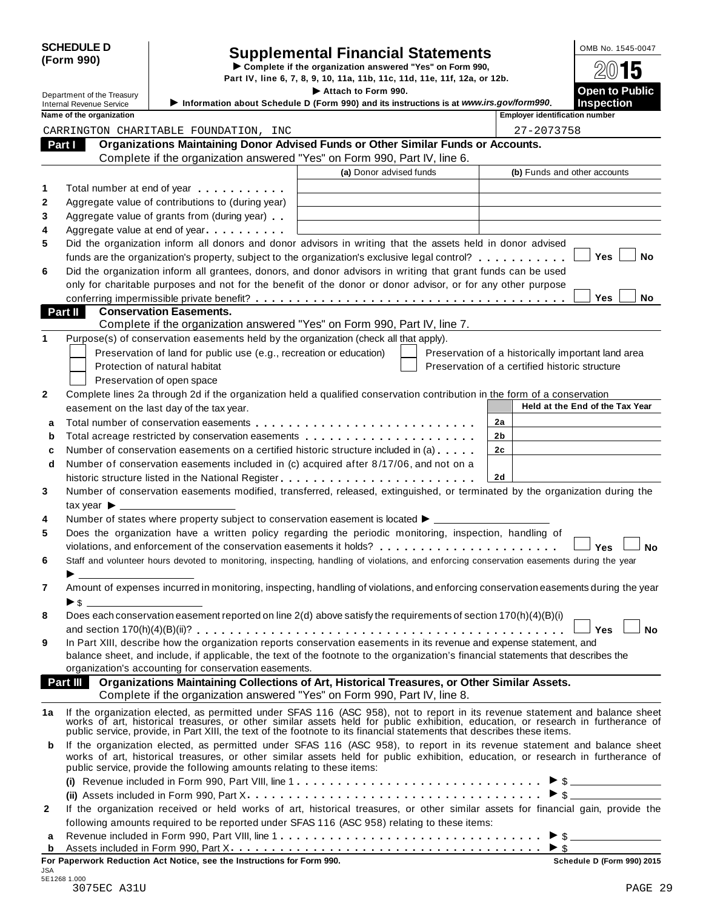| <b>SCHEDULE D</b> |  |
|-------------------|--|
| (Form 990)        |  |

# Supplemental Financial Statements<br>  $\triangleright$  Complete if the organization answered "Yes" on Form 990,<br>
Part IV, line 6, 7, 8, 9, 10, 11a, 11b, 11c, 11d, 11e, 11f, 12a, or 12b.

Department of the Treasury **I act is a compart of the Treasury** I **Attach Example 2011 C Public Public Example 2012 Consumer to Public Consumer to Public Consumer to Public Consumer to Public Consumer t** Internal Revenue Service I**Information about Schedule <sup>D</sup> (Form 990) and its instructions is at** *www.irs.gov/form990***. Inspection Name of the organization intervalse the control of the control of the control of the control of the organization number Organizations Maintaining Donor Advised Funds or Other Similar Funds or Accounts. Part I Property:** Organizations Maintaining Donor Advised Funds or Other Similar Funds<br>Complete if the organization answered "Yes" on Form 990, Part IV, line 6. **(a)** Donor advised funds **(b)** Funds and other accounts **1 2 3 4 5 6** Total number at end of year  $\dots\dots\dots\dots$ Aggregate value of contributions to (during year) Aggregate value of contributions to (during year)<br>Aggregate value of grants from (during year) Aggregate value of grants from (during year)<br>Aggregate value at end of year Did the organization inform all donors and donor advisors in writing that the assets held in donor advised funds are the organization's property, subject to the organization's exclusive legal control? **matures**  $\Box$  Yes  $\Box$  Yes Did the organization inform all grantees, donors, and donor advisors in writing that grant funds can be used only for charitable purposes and not for the benefit of the donor or donor advisor, or for any other purpose **conferring impermissible private benefit?** metals are metals and more matured more metals of  $\blacksquare$  The  $\blacksquare$  Noor **Conservation Easements. Part II Conservation Easements.**<br>Complete if the organization answered "Yes" on Form 990, Part IV, line 7. **1** Purpose(s) of conservation easements held by the organization (check all that apply). Preservation of land for public use (e.g., recreation or education) Protection of natural habitat Preservation of open space Preservation of a historically important land area Preservation of a certified historic structure **2** Complete lines 2a through 2d if the organization held a qualified conservation contribution in the form of a conservation easement on the last day of the tax year. **Held at the End** of the Tax Year **2a 2b 2c 2d a** Total number of conservation easements m m m m m m m m m m m m m m m m m m m m m m m m m m m **a** Total number of conservation easements ............................<br>**b** Total acreage restricted by conservation easements ..................... **b** Total acreage restricted by conservation easements<br>**c** Number of conservation easements on a certified historic structure included in (a) . . . . . . **d** Number of conservation easements included in (c) acquired after 8/17/06, and not on a  $\mid$ historic structure listed in the National Register m m m m m m m m m m m m m m m m m m m m m m m m **3 4 5 6 7 8 9** Number of conservation easements modified, transferred, released, extinguished, or terminated by the organization during the tax vear  $\blacktriangleright$ Number of states where property subject to conservation easement is located  $\blacktriangleright$ . Does the organization have a written policy regarding the periodic monitoring, inspection, handling of violations, and enforcement of the conservation easements it holds? musical manager mann m m m m **y** es  $\Box$  No Staff and volunteer hours devoted to monitoring, inspecting, handling of violations, and enforcing conservation easements during the year <br>
> Amount of expenses incurred in monitoring, inspecting, handling of violations, and enforcing conservation easements during the year  $\blacktriangleright$  \$ Does each conservation easement reported on line 2(d) above satisfy the requirements of section 170(h)(4)(B)(i) and section 170(h)(4)(B)(ii)? m m m m m m m m m m m m m m m m m m m m m m m m m m m m m m m m m m m m m m m m m m m m m **Yes No** In Part XIII, describe how the organization reports conservation easements in its revenue and expense statement, and balance sheet, and include, if applicable, the text of the footnote to the organization's financial statements that describes the organization's accounting for conservation easements. **Organizations Maintaining Collections of Art, Historical Treasures, or Other Similar Assets. Part III Organizations Maintaining Collections of Art, Historical Treasures, or Organization answered "Yes" on Form 990, Part IV, line 8.** 1a If the organization elected, as permitted under SFAS 116 (ASC 958), not to report in its revenue statement and balance sheet<br>works of art, historical treasures, or other similar assets held for public exhibition, educat public service, provide, in Part XIII, the text of the footnote to its financial statements that describes these items. **b** If the organization elected, as permitted under SFAS 116 (ASC 958), to report in its revenue statement and balance sheet works of art, historical treasures, or other similar assets held for public exhibition, education, or research in furtherance of public service, provide the following amounts relating to these items: **(i)** I Revenue included in Form 990, Part VIII, line 1 m m m m m m m m m m m m m m m m m m m m m m m m m m m m m m \$ **(ii)** Assets included in Form 990, Part X m m m m m m m m m m m m m m m m m m m m m m m m m m m m m m m m m m m m I \$ **2** If the organization received or held works of art, historical treasures, or other similar assets for financial gain, provide the following amounts required to be reported under SFAS 116 (ASC 958) relating to these items: following amounts required to be reported under SFAS 116 (ASC 958) relating to these items:<br>**a** Revenue included in Form 990, Part VIII, line 1 **a** a more contained in Form 200, Dart Y. **a** Revenue included in Form 990, Part VIII, line 1  $\ldots$   $\ldots$   $\ldots$   $\ldots$   $\ldots$   $\ldots$   $\ldots$   $\ldots$   $\ldots$   $\ldots$   $\ldots$   $\ldots$   $\ldots$   $\ldots$   $\ldots$   $\ldots$   $\ldots$   $\ldots$   $\ldots$   $\ldots$   $\ldots$   $\ldots$   $\ldots$   $\ldots$   $\ldots$   $\ldots$   $\ldots$   $\ldots$  CARRINGTON CHARITABLE FOUNDATION, INC  $\vert$  27-2073758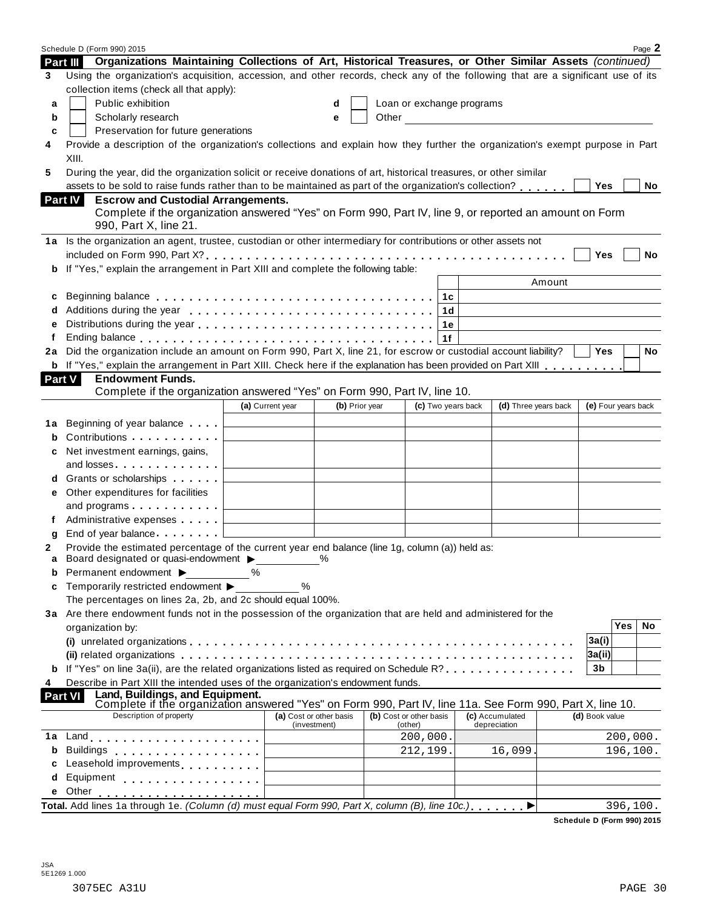|               | Schedule D (Form 990) 2015                                                                                                                                                                                                         |                         |   |                |                           |                                                                                                                                                                                                                                      |                     |          | Page 2 |
|---------------|------------------------------------------------------------------------------------------------------------------------------------------------------------------------------------------------------------------------------------|-------------------------|---|----------------|---------------------------|--------------------------------------------------------------------------------------------------------------------------------------------------------------------------------------------------------------------------------------|---------------------|----------|--------|
| Part III      | Organizations Maintaining Collections of Art, Historical Treasures, or Other Similar Assets (continued)                                                                                                                            |                         |   |                |                           |                                                                                                                                                                                                                                      |                     |          |        |
| 3             | Using the organization's acquisition, accession, and other records, check any of the following that are a significant use of its                                                                                                   |                         |   |                |                           |                                                                                                                                                                                                                                      |                     |          |        |
|               | collection items (check all that apply):                                                                                                                                                                                           |                         |   |                |                           |                                                                                                                                                                                                                                      |                     |          |        |
| a             | Public exhibition                                                                                                                                                                                                                  |                         | d |                | Loan or exchange programs |                                                                                                                                                                                                                                      |                     |          |        |
| b             | Scholarly research                                                                                                                                                                                                                 |                         | е |                |                           | Other <u>Contract of the Contract of the Contract of the Contract of the Contract of the Contract of the Contract of the Contract of the Contract of the Contract of the Contract of the Contract of the Contract of the Contrac</u> |                     |          |        |
| c             | Preservation for future generations                                                                                                                                                                                                |                         |   |                |                           |                                                                                                                                                                                                                                      |                     |          |        |
|               | Provide a description of the organization's collections and explain how they further the organization's exempt purpose in Part                                                                                                     |                         |   |                |                           |                                                                                                                                                                                                                                      |                     |          |        |
|               | XIII.                                                                                                                                                                                                                              |                         |   |                |                           |                                                                                                                                                                                                                                      |                     |          |        |
| 5             | During the year, did the organization solicit or receive donations of art, historical treasures, or other similar                                                                                                                  |                         |   |                |                           |                                                                                                                                                                                                                                      |                     |          |        |
|               | assets to be sold to raise funds rather than to be maintained as part of the organization's collection?                                                                                                                            |                         |   |                |                           |                                                                                                                                                                                                                                      | <b>Yes</b>          |          | No     |
|               | <b>Escrow and Custodial Arrangements.</b><br><b>Part IV</b>                                                                                                                                                                        |                         |   |                |                           |                                                                                                                                                                                                                                      |                     |          |        |
|               | Complete if the organization answered "Yes" on Form 990, Part IV, line 9, or reported an amount on Form                                                                                                                            |                         |   |                |                           |                                                                                                                                                                                                                                      |                     |          |        |
|               | 990, Part X, line 21.                                                                                                                                                                                                              |                         |   |                |                           |                                                                                                                                                                                                                                      |                     |          |        |
|               | 1a Is the organization an agent, trustee, custodian or other intermediary for contributions or other assets not                                                                                                                    |                         |   |                |                           |                                                                                                                                                                                                                                      |                     |          |        |
|               |                                                                                                                                                                                                                                    |                         |   |                |                           |                                                                                                                                                                                                                                      | Yes                 |          | No     |
|               | If "Yes," explain the arrangement in Part XIII and complete the following table:                                                                                                                                                   |                         |   |                |                           |                                                                                                                                                                                                                                      |                     |          |        |
| b             |                                                                                                                                                                                                                                    |                         |   |                |                           | Amount                                                                                                                                                                                                                               |                     |          |        |
|               |                                                                                                                                                                                                                                    |                         |   |                |                           |                                                                                                                                                                                                                                      |                     |          |        |
| c             |                                                                                                                                                                                                                                    |                         |   |                | 1c                        |                                                                                                                                                                                                                                      |                     |          |        |
|               |                                                                                                                                                                                                                                    |                         |   |                | 1d                        |                                                                                                                                                                                                                                      |                     |          |        |
|               |                                                                                                                                                                                                                                    |                         |   |                | 1е                        |                                                                                                                                                                                                                                      |                     |          |        |
|               |                                                                                                                                                                                                                                    |                         |   |                | 1f                        |                                                                                                                                                                                                                                      |                     |          |        |
| 2a            | Did the organization include an amount on Form 990, Part X, line 21, for escrow or custodial account liability?                                                                                                                    |                         |   |                |                           |                                                                                                                                                                                                                                      | <b>Yes</b>          |          | No     |
|               | <b>b</b> If "Yes," explain the arrangement in Part XIII. Check here if the explanation has been provided on Part XIII                                                                                                              |                         |   |                |                           |                                                                                                                                                                                                                                      |                     |          |        |
| <b>Part V</b> | <b>Endowment Funds.</b>                                                                                                                                                                                                            |                         |   |                |                           |                                                                                                                                                                                                                                      |                     |          |        |
|               | Complete if the organization answered "Yes" on Form 990, Part IV, line 10.                                                                                                                                                         |                         |   |                |                           |                                                                                                                                                                                                                                      |                     |          |        |
|               |                                                                                                                                                                                                                                    | (a) Current year        |   | (b) Prior year | (c) Two years back        | (d) Three years back                                                                                                                                                                                                                 | (e) Four years back |          |        |
| 1а            | Beginning of year balance [15]                                                                                                                                                                                                     |                         |   |                |                           |                                                                                                                                                                                                                                      |                     |          |        |
| b             | Contributions <b>Contributions</b>                                                                                                                                                                                                 |                         |   |                |                           |                                                                                                                                                                                                                                      |                     |          |        |
| c             | Net investment earnings, gains,                                                                                                                                                                                                    |                         |   |                |                           |                                                                                                                                                                                                                                      |                     |          |        |
|               | and losses experiences and losses                                                                                                                                                                                                  |                         |   |                |                           |                                                                                                                                                                                                                                      |                     |          |        |
| d             | Grants or scholarships                                                                                                                                                                                                             |                         |   |                |                           |                                                                                                                                                                                                                                      |                     |          |        |
| е             | Other expenditures for facilities                                                                                                                                                                                                  |                         |   |                |                           |                                                                                                                                                                                                                                      |                     |          |        |
|               | and programs $\ldots \ldots \ldots$                                                                                                                                                                                                |                         |   |                |                           |                                                                                                                                                                                                                                      |                     |          |        |
|               |                                                                                                                                                                                                                                    |                         |   |                |                           |                                                                                                                                                                                                                                      |                     |          |        |
| f             | Administrative expenses                                                                                                                                                                                                            |                         |   |                |                           |                                                                                                                                                                                                                                      |                     |          |        |
| g             | End of year balance                                                                                                                                                                                                                |                         |   |                |                           |                                                                                                                                                                                                                                      |                     |          |        |
| 2             | Provide the estimated percentage of the current year end balance (line 1g, column (a)) held as:<br>Board designated or quasi-endowment $\blacktriangleright$                                                                       |                         | ℅ |                |                           |                                                                                                                                                                                                                                      |                     |          |        |
| a<br>b        | Permanent endowment ▶<br>℅                                                                                                                                                                                                         |                         |   |                |                           |                                                                                                                                                                                                                                      |                     |          |        |
|               | Temporarily restricted endowment ▶                                                                                                                                                                                                 | %                       |   |                |                           |                                                                                                                                                                                                                                      |                     |          |        |
| c             |                                                                                                                                                                                                                                    |                         |   |                |                           |                                                                                                                                                                                                                                      |                     |          |        |
|               | The percentages on lines 2a, 2b, and 2c should equal 100%.                                                                                                                                                                         |                         |   |                |                           |                                                                                                                                                                                                                                      |                     |          |        |
|               | 3a Are there endowment funds not in the possession of the organization that are held and administered for the                                                                                                                      |                         |   |                |                           |                                                                                                                                                                                                                                      |                     | Yes      |        |
|               | organization by:                                                                                                                                                                                                                   |                         |   |                |                           |                                                                                                                                                                                                                                      |                     |          | No     |
|               |                                                                                                                                                                                                                                    |                         |   |                |                           |                                                                                                                                                                                                                                      | 3a(i)               |          |        |
|               |                                                                                                                                                                                                                                    |                         |   |                |                           |                                                                                                                                                                                                                                      | 3a(ii)              |          |        |
| b             | If "Yes" on line 3a(ii), are the related organizations listed as required on Schedule R?                                                                                                                                           |                         |   |                |                           |                                                                                                                                                                                                                                      | 3b                  |          |        |
| 4             | Describe in Part XIII the intended uses of the organization's endowment funds.                                                                                                                                                     |                         |   |                |                           |                                                                                                                                                                                                                                      |                     |          |        |
|               | Land, Buildings, and Equipment.<br>Complete if the organization answered "Yes" on Form 990, Part IV, line 11a. See Form 990, Part X, line 10.<br><b>Part VI</b>                                                                    |                         |   |                |                           |                                                                                                                                                                                                                                      |                     |          |        |
|               | Description of property                                                                                                                                                                                                            | (a) Cost or other basis |   |                | (b) Cost or other basis   | (c) Accumulated                                                                                                                                                                                                                      | (d) Book value      |          |        |
|               |                                                                                                                                                                                                                                    | (investment)            |   |                | (other)                   | depreciation                                                                                                                                                                                                                         |                     |          |        |
| 1a            |                                                                                                                                                                                                                                    |                         |   |                | 200,000.                  |                                                                                                                                                                                                                                      |                     | 200,000. |        |
| b             | <b>Buildings</b>                                                                                                                                                                                                                   |                         |   |                | 212,199.                  | 16,099.                                                                                                                                                                                                                              |                     | 196,100. |        |
| c             | Leasehold improvements [1,1,1,1,1,1,1]                                                                                                                                                                                             |                         |   |                |                           |                                                                                                                                                                                                                                      |                     |          |        |
| d             | Equipment <b>Example 20</b> is a set of the set of the set of the set of the set of the set of the set of the set of the set of the set of the set of the set of the set of the set of the set of the set of the set of the set of |                         |   |                |                           |                                                                                                                                                                                                                                      |                     |          |        |
| е             | Other                                                                                                                                                                                                                              |                         |   |                |                           |                                                                                                                                                                                                                                      |                     |          |        |
|               | Total. Add lines 1a through 1e. (Column (d) must equal Form 990, Part X, column (B), line 10c.),                                                                                                                                   |                         |   |                |                           |                                                                                                                                                                                                                                      |                     | 396,100. |        |
|               |                                                                                                                                                                                                                                    |                         |   |                |                           |                                                                                                                                                                                                                                      |                     |          |        |

**Schedule D (Form 990) 2015**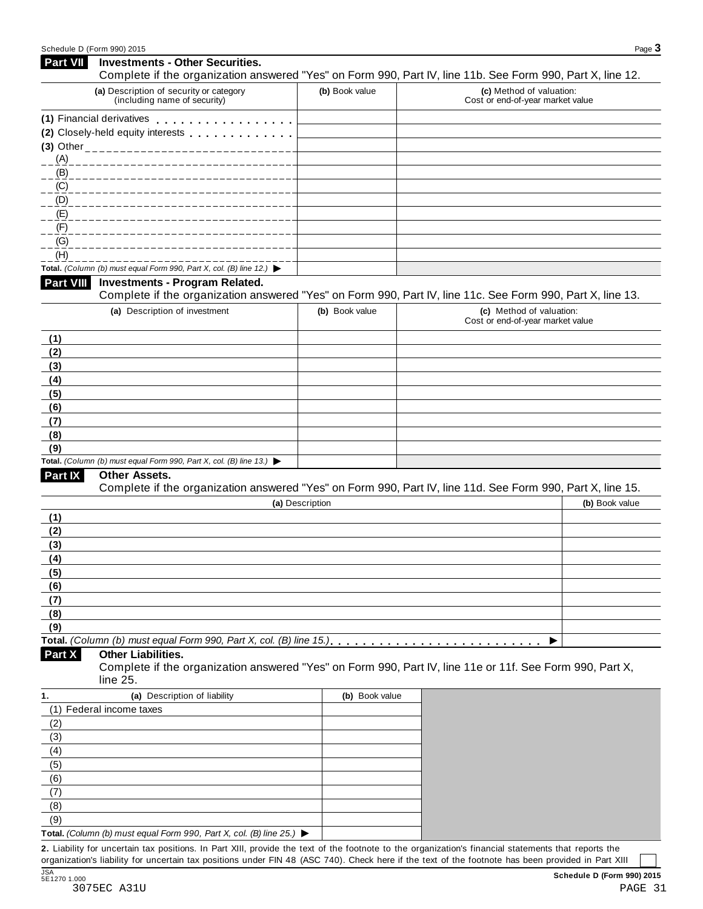| Schedule D (Form 990) 2015 |                                                                                                                                                      |                 |                                                              | Page 3         |
|----------------------------|------------------------------------------------------------------------------------------------------------------------------------------------------|-----------------|--------------------------------------------------------------|----------------|
| <b>Part VII</b>            | <b>Investments - Other Securities.</b><br>Complete if the organization answered "Yes" on Form 990, Part IV, line 11b. See Form 990, Part X, line 12. |                 |                                                              |                |
|                            | (a) Description of security or category<br>(including name of security)                                                                              | (b) Book value  | (c) Method of valuation:<br>Cost or end-of-year market value |                |
|                            | (1) Financial derivatives                                                                                                                            |                 |                                                              |                |
|                            | (2) Closely-held equity interests entitled and closely-held equity interests                                                                         |                 |                                                              |                |
|                            |                                                                                                                                                      |                 |                                                              |                |
| (A)                        | ------------------------------                                                                                                                       |                 |                                                              |                |
| (B)                        |                                                                                                                                                      |                 |                                                              |                |
| (C)                        |                                                                                                                                                      |                 |                                                              |                |
| (D)                        |                                                                                                                                                      |                 |                                                              |                |
| (E)                        |                                                                                                                                                      |                 |                                                              |                |
| (F)                        |                                                                                                                                                      |                 |                                                              |                |
| (G)                        |                                                                                                                                                      |                 |                                                              |                |
| (H)                        |                                                                                                                                                      |                 |                                                              |                |
|                            | Total. (Column (b) must equal Form 990, Part X, col. (B) line 12.) $\blacktriangleright$                                                             |                 |                                                              |                |
| <b>Part VIII</b>           | <b>Investments - Program Related.</b>                                                                                                                |                 |                                                              |                |
|                            | Complete if the organization answered "Yes" on Form 990, Part IV, line 11c. See Form 990, Part X, line 13.                                           |                 |                                                              |                |
|                            |                                                                                                                                                      |                 |                                                              |                |
|                            | (a) Description of investment                                                                                                                        | (b) Book value  | (c) Method of valuation:<br>Cost or end-of-year market value |                |
| (1)                        |                                                                                                                                                      |                 |                                                              |                |
| (2)                        |                                                                                                                                                      |                 |                                                              |                |
| (3)                        |                                                                                                                                                      |                 |                                                              |                |
| (4)                        |                                                                                                                                                      |                 |                                                              |                |
| (5)                        |                                                                                                                                                      |                 |                                                              |                |
| (6)                        |                                                                                                                                                      |                 |                                                              |                |
| (7)                        |                                                                                                                                                      |                 |                                                              |                |
| (8)                        |                                                                                                                                                      |                 |                                                              |                |
| (9)                        |                                                                                                                                                      |                 |                                                              |                |
|                            | Total. (Column (b) must equal Form 990, Part X, col. (B) line 13.) $\blacktriangleright$                                                             |                 |                                                              |                |
| Part IX                    | <b>Other Assets.</b>                                                                                                                                 |                 |                                                              |                |
|                            | Complete if the organization answered "Yes" on Form 990, Part IV, line 11d. See Form 990, Part X, line 15.                                           |                 |                                                              |                |
|                            |                                                                                                                                                      | (a) Description |                                                              | (b) Book value |
| (1)                        |                                                                                                                                                      |                 |                                                              |                |
| (2)                        |                                                                                                                                                      |                 |                                                              |                |
| (3)                        |                                                                                                                                                      |                 |                                                              |                |
| (4)                        |                                                                                                                                                      |                 |                                                              |                |
| (5)                        |                                                                                                                                                      |                 |                                                              |                |
| (6)                        |                                                                                                                                                      |                 |                                                              |                |
| (7)                        |                                                                                                                                                      |                 |                                                              |                |
| (8)                        |                                                                                                                                                      |                 |                                                              |                |
| (9)                        |                                                                                                                                                      |                 |                                                              |                |
|                            |                                                                                                                                                      |                 |                                                              |                |
| <b>Part X</b>              | <b>Other Liabilities.</b><br>Complete if the organization answered "Yes" on Form 990, Part IV, line 11e or 11f. See Form 990, Part X,<br>line 25.    |                 |                                                              |                |
| 1.                         | (a) Description of liability                                                                                                                         | (b) Book value  |                                                              |                |
|                            | (1) Federal income taxes                                                                                                                             |                 |                                                              |                |
| (2)                        |                                                                                                                                                      |                 |                                                              |                |
| (3)                        |                                                                                                                                                      |                 |                                                              |                |
| (4)                        |                                                                                                                                                      |                 |                                                              |                |
| (5)                        |                                                                                                                                                      |                 |                                                              |                |
|                            |                                                                                                                                                      |                 |                                                              |                |
| (6)                        |                                                                                                                                                      |                 |                                                              |                |
| (7)                        |                                                                                                                                                      |                 |                                                              |                |
| (8)                        |                                                                                                                                                      |                 |                                                              |                |
| (9)                        |                                                                                                                                                      |                 |                                                              |                |
|                            | Total. (Column (b) must equal Form 990, Part X, col. (B) line 25.) $\blacktriangleright$                                                             |                 |                                                              |                |
|                            | $In$ Dort VIII                                                                                                                                       |                 |                                                              |                |

**2.** Liability for uncertain tax positions. In Part XIII, provide the text of the footnote to the organization's financial statements that reports the organization's liability for uncertain tax positions under FIN 48 (ASC 740). Check here ifthe text of the footnote has been provided in Part XIII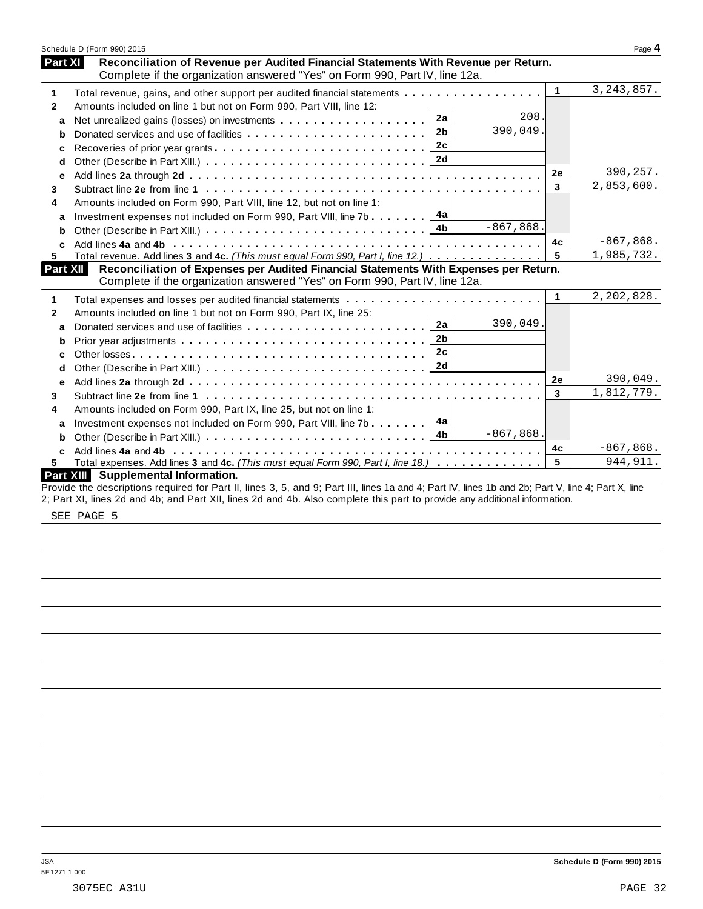|                | Schedule D (Form 990) 2015                                                                                                                                         |              | Page 4       |
|----------------|--------------------------------------------------------------------------------------------------------------------------------------------------------------------|--------------|--------------|
| <b>Part XI</b> | Reconciliation of Revenue per Audited Financial Statements With Revenue per Return.<br>Complete if the organization answered "Yes" on Form 990, Part IV, line 12a. |              |              |
| 1              | Total revenue, gains, and other support per audited financial statements                                                                                           | $\mathbf{1}$ | 3, 243, 857. |
| $\mathbf{2}$   | Amounts included on line 1 but not on Form 990, Part VIII, line 12:                                                                                                |              |              |
| a              | 208.<br>2a                                                                                                                                                         |              |              |
| b              | 390,049.<br>2 <sub>b</sub>                                                                                                                                         |              |              |
| c              |                                                                                                                                                                    |              |              |
| d              |                                                                                                                                                                    |              |              |
| е              |                                                                                                                                                                    | <b>2e</b>    | 390,257.     |
| 3              |                                                                                                                                                                    | 3            | 2,853,600.   |
| 4              | Amounts included on Form 990, Part VIII, line 12, but not on line 1:                                                                                               |              |              |
| a              | Investment expenses not included on Form 990, Part VIII, line 7b $\boxed{4a}$                                                                                      |              |              |
| b              | $-867, 868.$                                                                                                                                                       |              |              |
| C.             |                                                                                                                                                                    | 4c           | $-867, 868.$ |
| 5.             | Total revenue. Add lines 3 and 4c. (This must equal Form 990, Part I, line 12.)                                                                                    | 5            | 1,985,732.   |
| Part XII       | Reconciliation of Expenses per Audited Financial Statements With Expenses per Return.                                                                              |              |              |
|                | Complete if the organization answered "Yes" on Form 990, Part IV, line 12a.                                                                                        |              |              |
| 1              |                                                                                                                                                                    | 1            | 2,202,828.   |
| 2              | Amounts included on line 1 but not on Form 990, Part IX, line 25:                                                                                                  |              |              |
| a              | 390,049.<br>2a                                                                                                                                                     |              |              |
| b              | 2 <sub>b</sub>                                                                                                                                                     |              |              |
| c              | 2c                                                                                                                                                                 |              |              |
| d              |                                                                                                                                                                    |              |              |
| е              |                                                                                                                                                                    | 2e           | 390,049.     |
| 3              |                                                                                                                                                                    | 3            | 1,812,779.   |
| 4              | Amounts included on Form 990, Part IX, line 25, but not on line 1:                                                                                                 |              |              |
| a              | Investment expenses not included on Form 990, Part VIII, line 7b $\boxed{4a}$                                                                                      |              |              |
| b              | $-867, 868.$                                                                                                                                                       |              |              |
|                |                                                                                                                                                                    | 4c           | $-867, 868.$ |
| 5.             | Total expenses. Add lines 3 and 4c. (This must equal Form 990, Part I, line 18.)                                                                                   | 5            | 944, 911.    |
|                | Part XIII Supplemental Information.                                                                                                                                |              |              |
|                | Provide the descriptions required for Part II, lines 3, 5, and 9; Part III, lines 1a and 4; Part IV, lines 1b and 2b; Part V, line 4; Part X, line                 |              |              |

2; Part XI, lines 2d and 4b; and Part XII, lines 2d and 4b. Also complete this part to provide any additional information.

SEE PAGE 5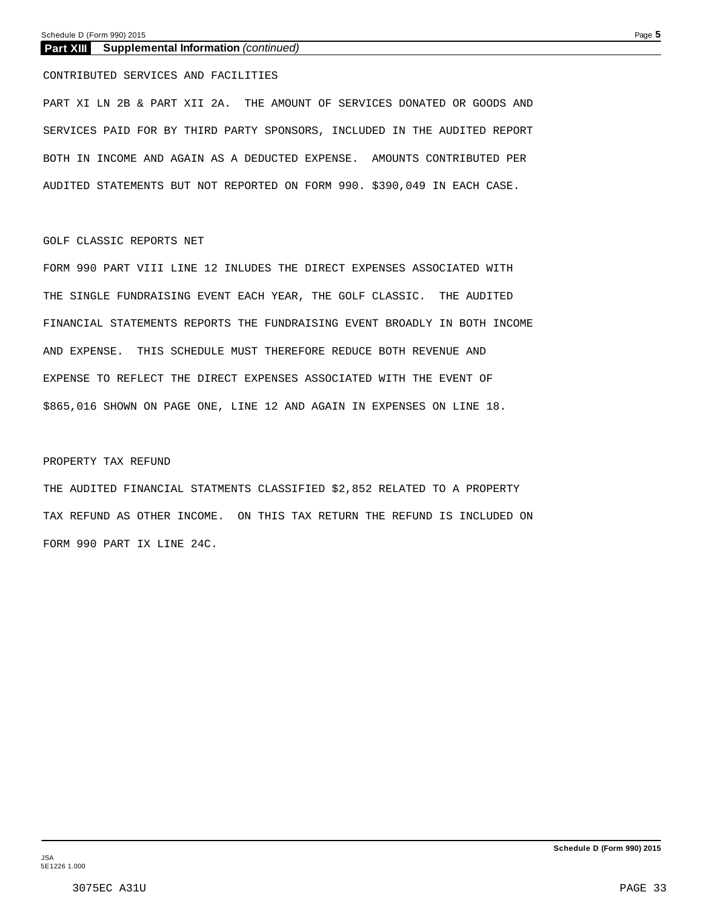## **Part XIII Supplemental Information** *(continued)*

CONTRIBUTED SERVICES AND FACILITIES PART XI LN 2B & PART XII 2A. THE AMOUNT OF SERVICES DONATED OR GOODS AND SERVICES PAID FOR BY THIRD PARTY SPONSORS, INCLUDED IN THE AUDITED REPORT BOTH IN INCOME AND AGAIN AS A DEDUCTED EXPENSE. AMOUNTS CONTRIBUTED PER AUDITED STATEMENTS BUT NOT REPORTED ON FORM 990. \$390,049 IN EACH CASE.

## GOLF CLASSIC REPORTS NET

FORM 990 PART VIII LINE 12 INLUDES THE DIRECT EXPENSES ASSOCIATED WITH THE SINGLE FUNDRAISING EVENT EACH YEAR, THE GOLF CLASSIC. THE AUDITED FINANCIAL STATEMENTS REPORTS THE FUNDRAISING EVENT BROADLY IN BOTH INCOME AND EXPENSE. THIS SCHEDULE MUST THEREFORE REDUCE BOTH REVENUE AND EXPENSE TO REFLECT THE DIRECT EXPENSES ASSOCIATED WITH THE EVENT OF \$865,016 SHOWN ON PAGE ONE, LINE 12 AND AGAIN IN EXPENSES ON LINE 18.

#### PROPERTY TAX REFUND

THE AUDITED FINANCIAL STATMENTS CLASSIFIED \$2,852 RELATED TO A PROPERTY TAX REFUND AS OTHER INCOME. ON THIS TAX RETURN THE REFUND IS INCLUDED ON FORM 990 PART IX LINE 24C.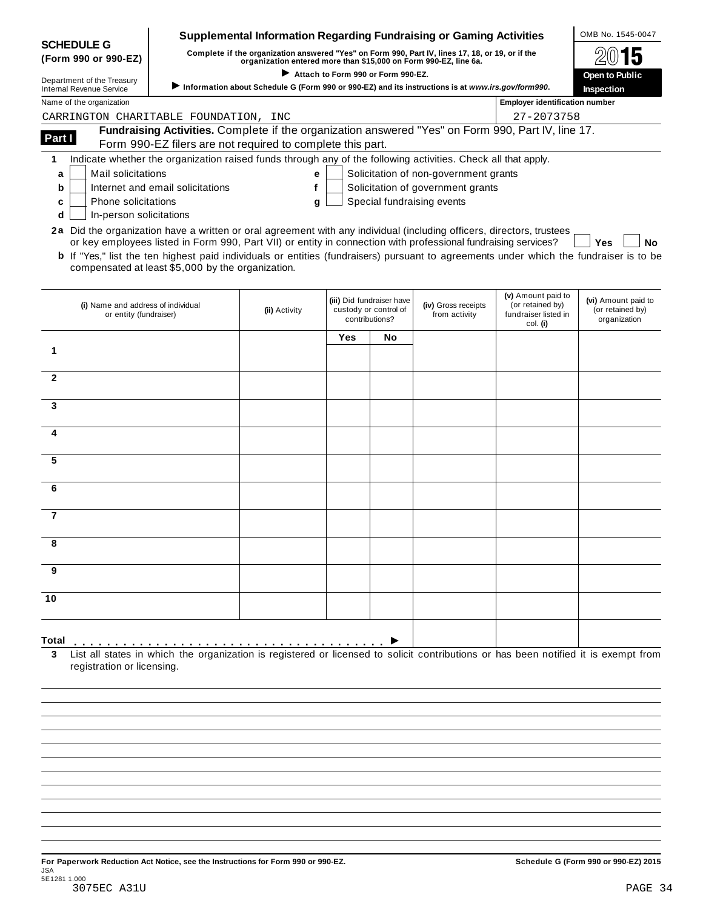|                                                                                                                       |                                                                                                                                               | <b>Supplemental Information Regarding Fundraising or Gaming Activities</b>                        |                                                                                                                                                                      |                                                                      |                                       |                                                                            | OMB No. 1545-0047                                       |
|-----------------------------------------------------------------------------------------------------------------------|-----------------------------------------------------------------------------------------------------------------------------------------------|---------------------------------------------------------------------------------------------------|----------------------------------------------------------------------------------------------------------------------------------------------------------------------|----------------------------------------------------------------------|---------------------------------------|----------------------------------------------------------------------------|---------------------------------------------------------|
| <b>SCHEDULE G</b><br>(Form 990 or 990-EZ)                                                                             |                                                                                                                                               |                                                                                                   | Complete if the organization answered "Yes" on Form 990, Part IV, lines 17, 18, or 19, or if the<br>organization entered more than \$15,000 on Form 990-EZ, line 6a. |                                                                      |                                       |                                                                            |                                                         |
| Department of the Treasury                                                                                            |                                                                                                                                               |                                                                                                   | Attach to Form 990 or Form 990-EZ.                                                                                                                                   |                                                                      | <b>Open to Public</b>                 |                                                                            |                                                         |
| <b>Internal Revenue Service</b>                                                                                       |                                                                                                                                               | Information about Schedule G (Form 990 or 990-EZ) and its instructions is at www.irs.gov/form990. |                                                                                                                                                                      |                                                                      |                                       |                                                                            | Inspection                                              |
| Name of the organization                                                                                              |                                                                                                                                               |                                                                                                   |                                                                                                                                                                      |                                                                      |                                       | <b>Employer identification number</b>                                      |                                                         |
| CARRINGTON CHARITABLE FOUNDATION, INC                                                                                 |                                                                                                                                               |                                                                                                   |                                                                                                                                                                      |                                                                      |                                       | 27-2073758                                                                 |                                                         |
| Part I                                                                                                                | Fundraising Activities. Complete if the organization answered "Yes" on Form 990, Part IV, line 17.                                            |                                                                                                   |                                                                                                                                                                      |                                                                      |                                       |                                                                            |                                                         |
|                                                                                                                       | Form 990-EZ filers are not required to complete this part.                                                                                    |                                                                                                   |                                                                                                                                                                      |                                                                      |                                       |                                                                            |                                                         |
| 1                                                                                                                     | Indicate whether the organization raised funds through any of the following activities. Check all that apply.                                 |                                                                                                   |                                                                                                                                                                      |                                                                      |                                       |                                                                            |                                                         |
| Mail solicitations<br>a                                                                                               |                                                                                                                                               | е                                                                                                 |                                                                                                                                                                      |                                                                      | Solicitation of non-government grants |                                                                            |                                                         |
| b                                                                                                                     | Internet and email solicitations                                                                                                              | f                                                                                                 |                                                                                                                                                                      |                                                                      | Solicitation of government grants     |                                                                            |                                                         |
| <b>Phone solicitations</b><br>c                                                                                       |                                                                                                                                               | g                                                                                                 |                                                                                                                                                                      |                                                                      | Special fundraising events            |                                                                            |                                                         |
| In-person solicitations<br>d                                                                                          |                                                                                                                                               |                                                                                                   |                                                                                                                                                                      |                                                                      |                                       |                                                                            |                                                         |
| 2a Did the organization have a written or oral agreement with any individual (including officers, directors, trustees | or key employees listed in Form 990, Part VII) or entity in connection with professional fundraising services?                                |                                                                                                   |                                                                                                                                                                      |                                                                      |                                       |                                                                            | Yes<br>No                                               |
|                                                                                                                       | <b>b</b> If "Yes," list the ten highest paid individuals or entities (fundraisers) pursuant to agreements under which the fundraiser is to be |                                                                                                   |                                                                                                                                                                      |                                                                      |                                       |                                                                            |                                                         |
|                                                                                                                       | compensated at least \$5,000 by the organization.                                                                                             |                                                                                                   |                                                                                                                                                                      |                                                                      |                                       |                                                                            |                                                         |
|                                                                                                                       |                                                                                                                                               |                                                                                                   |                                                                                                                                                                      |                                                                      |                                       |                                                                            |                                                         |
| (i) Name and address of individual<br>or entity (fundraiser)                                                          |                                                                                                                                               | (ii) Activity                                                                                     |                                                                                                                                                                      | (iii) Did fundraiser have<br>custody or control of<br>contributions? | (iv) Gross receipts<br>from activity  | (v) Amount paid to<br>(or retained by)<br>fundraiser listed in<br>col. (i) | (vi) Amount paid to<br>(or retained by)<br>organization |
|                                                                                                                       |                                                                                                                                               |                                                                                                   | Yes                                                                                                                                                                  | No                                                                   |                                       |                                                                            |                                                         |
| 1                                                                                                                     |                                                                                                                                               |                                                                                                   |                                                                                                                                                                      |                                                                      |                                       |                                                                            |                                                         |
|                                                                                                                       |                                                                                                                                               |                                                                                                   |                                                                                                                                                                      |                                                                      |                                       |                                                                            |                                                         |
| $\mathbf{2}$                                                                                                          |                                                                                                                                               |                                                                                                   |                                                                                                                                                                      |                                                                      |                                       |                                                                            |                                                         |
|                                                                                                                       |                                                                                                                                               |                                                                                                   |                                                                                                                                                                      |                                                                      |                                       |                                                                            |                                                         |
| 3                                                                                                                     |                                                                                                                                               |                                                                                                   |                                                                                                                                                                      |                                                                      |                                       |                                                                            |                                                         |
|                                                                                                                       |                                                                                                                                               |                                                                                                   |                                                                                                                                                                      |                                                                      |                                       |                                                                            |                                                         |
|                                                                                                                       |                                                                                                                                               |                                                                                                   |                                                                                                                                                                      |                                                                      |                                       |                                                                            |                                                         |
| 5                                                                                                                     |                                                                                                                                               |                                                                                                   |                                                                                                                                                                      |                                                                      |                                       |                                                                            |                                                         |
|                                                                                                                       |                                                                                                                                               |                                                                                                   |                                                                                                                                                                      |                                                                      |                                       |                                                                            |                                                         |
| 6                                                                                                                     |                                                                                                                                               |                                                                                                   |                                                                                                                                                                      |                                                                      |                                       |                                                                            |                                                         |
|                                                                                                                       |                                                                                                                                               |                                                                                                   |                                                                                                                                                                      |                                                                      |                                       |                                                                            |                                                         |
| 7                                                                                                                     |                                                                                                                                               |                                                                                                   |                                                                                                                                                                      |                                                                      |                                       |                                                                            |                                                         |
|                                                                                                                       |                                                                                                                                               |                                                                                                   |                                                                                                                                                                      |                                                                      |                                       |                                                                            |                                                         |
| 8                                                                                                                     |                                                                                                                                               |                                                                                                   |                                                                                                                                                                      |                                                                      |                                       |                                                                            |                                                         |
|                                                                                                                       |                                                                                                                                               |                                                                                                   |                                                                                                                                                                      |                                                                      |                                       |                                                                            |                                                         |
| 9                                                                                                                     |                                                                                                                                               |                                                                                                   |                                                                                                                                                                      |                                                                      |                                       |                                                                            |                                                         |
|                                                                                                                       |                                                                                                                                               |                                                                                                   |                                                                                                                                                                      |                                                                      |                                       |                                                                            |                                                         |
| 10                                                                                                                    |                                                                                                                                               |                                                                                                   |                                                                                                                                                                      |                                                                      |                                       |                                                                            |                                                         |
|                                                                                                                       |                                                                                                                                               |                                                                                                   |                                                                                                                                                                      |                                                                      |                                       |                                                                            |                                                         |
|                                                                                                                       |                                                                                                                                               |                                                                                                   |                                                                                                                                                                      |                                                                      |                                       |                                                                            |                                                         |
| Total<br>3                                                                                                            | List all states in which the organization is registered or licensed to solicit contributions or has been notified it is exempt from           |                                                                                                   |                                                                                                                                                                      |                                                                      |                                       |                                                                            |                                                         |
| registration or licensing.                                                                                            |                                                                                                                                               |                                                                                                   |                                                                                                                                                                      |                                                                      |                                       |                                                                            |                                                         |

 $\overline{1}$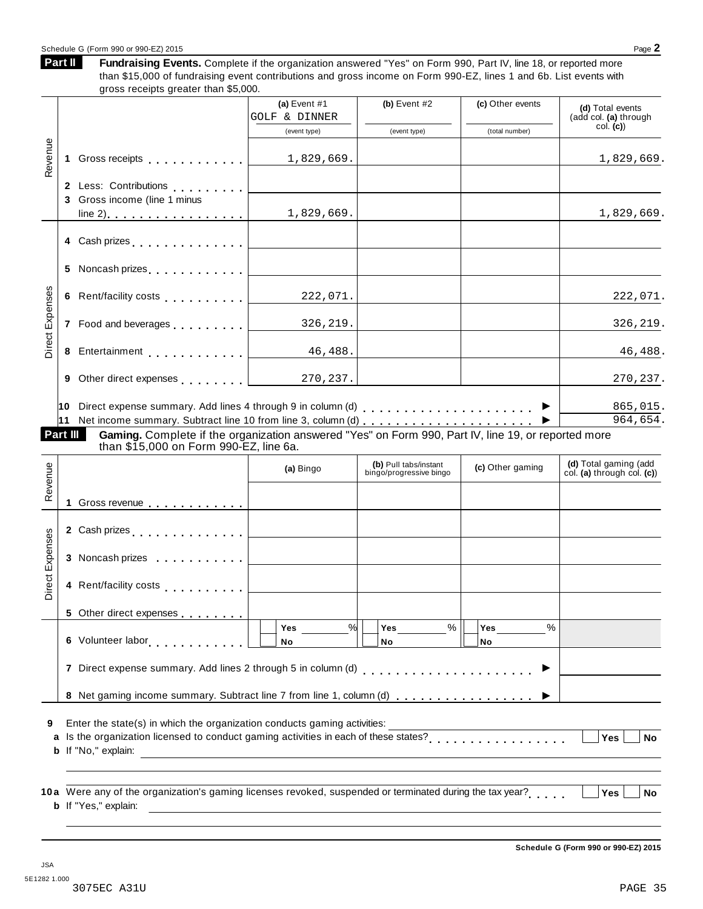#### Schedule <sup>G</sup> (Form <sup>990</sup> or 990-EZ) <sup>2015</sup> Page **2**

**Part II**

Fundraising Events. Complete if the organization answered "Yes" on Form 990, Part IV, line 18, or reported more than \$15,000 of fundraising event contributions and gross income on Form 990-EZ, lines 1 and 6b. List events with gross receipts greater than \$5,000.

|                 |              |                                                                                                                                                                                                                                    | (a) Event $#1$<br>GOLF & DINNER               | (b) Event $#2$          | (c) Other events      | (d) Total events<br>(add col. (a) through |
|-----------------|--------------|------------------------------------------------------------------------------------------------------------------------------------------------------------------------------------------------------------------------------------|-----------------------------------------------|-------------------------|-----------------------|-------------------------------------------|
|                 |              |                                                                                                                                                                                                                                    | (event type)                                  | (event type)            | (total number)        | col. (c)                                  |
| Revenue         | $\mathbf{1}$ | Gross receipts <b>Container and Street Bank</b>                                                                                                                                                                                    | 1,829,669.                                    |                         |                       | 1,829,669.                                |
|                 |              | 2 Less: Contributions                                                                                                                                                                                                              |                                               |                         |                       |                                           |
|                 |              | 3 Gross income (line 1 minus                                                                                                                                                                                                       |                                               |                         |                       |                                           |
|                 |              | line 2). . <u>.</u>                                                                                                                                                                                                                | 1,829,669.                                    |                         |                       | 1,829,669.                                |
|                 |              | 4 Cash prizes                                                                                                                                                                                                                      |                                               |                         |                       |                                           |
|                 |              | 5 Noncash prizes [19]                                                                                                                                                                                                              |                                               |                         |                       |                                           |
|                 | 6            | Rent/facility costs <b>Community</b> Rent Manuscription                                                                                                                                                                            | 222,071.                                      |                         |                       | 222,071.                                  |
| Direct Expenses |              | 7 Food and beverages [19]                                                                                                                                                                                                          | 326,219.                                      |                         |                       | 326,219.                                  |
|                 | 8            | Entertainment                                                                                                                                                                                                                      | 46,488.                                       |                         |                       | 46,488.                                   |
|                 | 9            | Other direct expenses <b>contained and the set of the set of the set of the set of the set of the set of the set of the set of the set of the set of the set of the set of the set of the set of the set of the set of the set</b> | 270,237.                                      |                         |                       | 270,237.                                  |
|                 |              |                                                                                                                                                                                                                                    |                                               |                         |                       | 865,015.                                  |
|                 |              |                                                                                                                                                                                                                                    |                                               |                         | ▶                     | 964,654.                                  |
| Part III        |              | Gaming. Complete if the organization answered "Yes" on Form 990, Part IV, line 19, or reported more<br>than \$15,000 on Form 990-EZ, line 6a.                                                                                      |                                               |                         |                       |                                           |
|                 |              |                                                                                                                                                                                                                                    | (a) Bingo                                     | (b) Pull tabs/instant   | (c) Other gaming      | (d) Total gaming (add                     |
|                 |              |                                                                                                                                                                                                                                    |                                               | bingo/progressive bingo |                       | col. (a) through col. (c))                |
| Revenue         |              | 1 Gross revenue                                                                                                                                                                                                                    |                                               |                         |                       |                                           |
|                 |              | 2 Cash prizes experience and the contract of the contract of the contract of the contract of the contract of the contract of the contract of the contract of the contract of the contract of the contract of the contract of t     |                                               |                         |                       |                                           |
|                 |              | 3 Noncash prizes                                                                                                                                                                                                                   |                                               |                         |                       |                                           |
| Direct Expenses |              |                                                                                                                                                                                                                                    |                                               |                         |                       |                                           |
|                 |              | 5 Other direct expenses                                                                                                                                                                                                            |                                               |                         |                       |                                           |
|                 |              | 6 Volunteer labor                                                                                                                                                                                                                  | $\%$<br>Yes<br>No                             | %<br>Yes<br>No          | <b>Yes</b><br>%<br>No |                                           |
|                 |              |                                                                                                                                                                                                                                    |                                               |                         |                       |                                           |
|                 |              |                                                                                                                                                                                                                                    |                                               |                         |                       |                                           |
|                 |              | 8 Net gaming income summary. Subtract line 7 from line 1, column (d)                                                                                                                                                               |                                               |                         |                       |                                           |
| 9               |              | Enter the state(s) in which the organization conducts gaming activities:<br>Is the organization licensed to conduct gaming activities in each of these states?                                                                     |                                               |                         |                       | <b>Yes</b><br>No                          |
| b               |              | If "No," explain:                                                                                                                                                                                                                  | <u> 1989 - Andrea Andrew Maria (h. 1989).</u> |                         |                       |                                           |
|                 |              | 10a Were any of the organization's gaming licenses revoked, suspended or terminated during the tax year?<br><b>b</b> If "Yes," explain:                                                                                            |                                               |                         |                       | <b>Yes</b><br><b>No</b>                   |

**Schedule G (Form 990 or 990-EZ) 2015**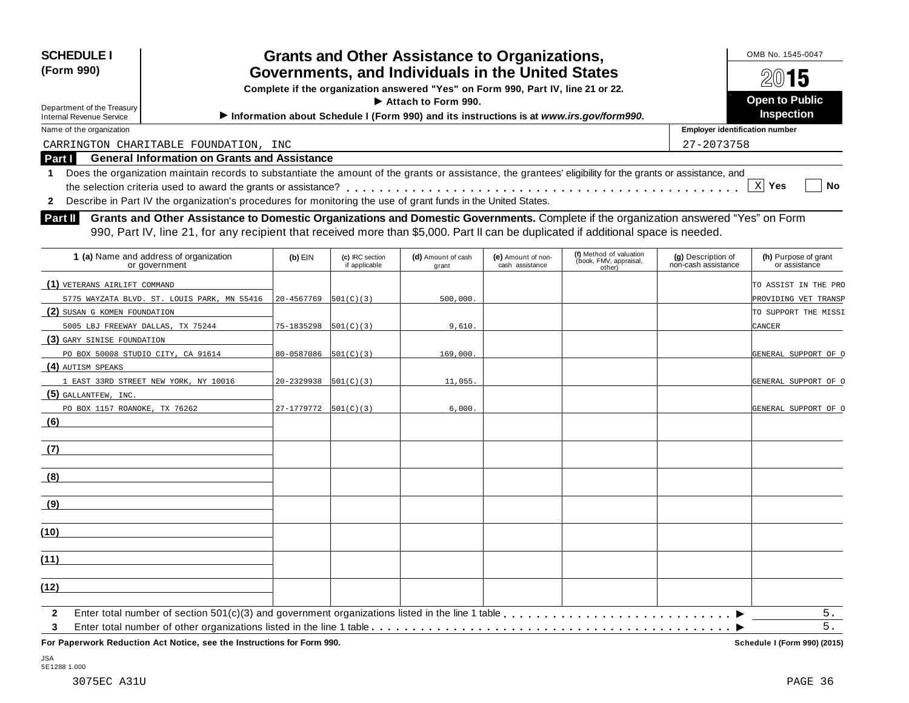| <b>SCHEDULE I</b><br>(Form 990)<br>Department of the Treasury<br><b>Internal Revenue Service</b> | <b>Grants and Other Assistance to Organizations,</b><br>Governments, and Individuals in the United States<br>Complete if the organization answered "Yes" on Form 990, Part IV, line 21 or 22.<br>Information about Schedule I (Form 990) and its instructions is at www.irs.gov/form990. |           | OMB No. 1545-0047<br>2015<br><b>Open to Public</b><br><b>Inspection</b> |                             |                                       |                                                             |                                           |                                       |
|--------------------------------------------------------------------------------------------------|------------------------------------------------------------------------------------------------------------------------------------------------------------------------------------------------------------------------------------------------------------------------------------------|-----------|-------------------------------------------------------------------------|-----------------------------|---------------------------------------|-------------------------------------------------------------|-------------------------------------------|---------------------------------------|
| Name of the organization                                                                         |                                                                                                                                                                                                                                                                                          |           |                                                                         |                             |                                       |                                                             | <b>Employer identification number</b>     |                                       |
|                                                                                                  | CARRINGTON CHARITABLE FOUNDATION, INC                                                                                                                                                                                                                                                    |           |                                                                         |                             |                                       |                                                             | 27-2073758                                |                                       |
| Part I                                                                                           | <b>General Information on Grants and Assistance</b>                                                                                                                                                                                                                                      |           |                                                                         |                             |                                       |                                                             |                                           |                                       |
| $\mathbf{2}$                                                                                     | Does the organization maintain records to substantiate the amount of the grants or assistance, the grantees' eligibility for the grants or assistance, and<br>Describe in Part IV the organization's procedures for monitoring the use of grant funds in the United States.              |           |                                                                         |                             |                                       |                                                             |                                           | $\mathbf{x}$<br><b>Yes</b><br>No      |
| Part II                                                                                          | Grants and Other Assistance to Domestic Organizations and Domestic Governments. Complete if the organization answered "Yes" on Form<br>990, Part IV, line 21, for any recipient that received more than \$5,000. Part II can be duplicated if additional space is needed.                |           |                                                                         |                             |                                       |                                                             |                                           |                                       |
|                                                                                                  | 1 (a) Name and address of organization<br>or government                                                                                                                                                                                                                                  | $(b)$ EIN | (c) IRC section<br>if applicable                                        | (d) Amount of cash<br>grant | (e) Amount of non-<br>cash assistance | (f) Method of valuation<br>(book, FMV, appraisal,<br>other) | (g) Description of<br>non-cash assistance | (h) Purpose of grant<br>or assistance |
| (1) VETERANS AIRLIFT COMMAND                                                                     |                                                                                                                                                                                                                                                                                          |           |                                                                         |                             |                                       |                                                             |                                           | TO ASSIST IN THE PRO                  |

**(2)** SUSAN G KOMEN FOUNDATION THE MISSI

5005 LBJ FREEWAY DALLAS, TX 75244 75-1835298 501(C)(3) 9,610. CANCER

5775 WAYZATA BLVD. ST. LOUIS PARK, MN 55416 20-4567769 501(C)(3) 500,000. S00,000.

PO BOX 50008 STUDIO CITY, CA 91614 80-0587086 501(C)(3) 169,000. GENERAL SUPPORT OF O

1 EAST 33RD STREET NEW YORK, NY 10016 20-2329938 501(C)(3) 11,055.

PO BOX 1157 ROANOKE, TX 76262 27-1779772 501(C)(3) 6,000. GENERAL SUPPORT OF O

Enter total number of section 501(c)(3) and government organizations listed in the line 1 table  $\dots \dots \dots \dots \dots \dots \dots \dots \dots \dots \dots \dots \dots \dots \dots \longleftarrow \_$ 

I Enter total number of other organizations listed in the line 1 table m m m m m m m m m m m m m m m m m m m m m m m m m m m m m m m m m m m m m m m m m m m m **For Paperwork Reduction Act Notice, see the Instructions for Form 990. Schedule I (Form 990) (2015)**

JSA 5E1288 1.000

**(3)** GARY SINISE FOUNDATION

**(4)** AUTISM SPEAKS

**(6)**

**(7)**

**(8)**

**(9)**

**(10)**

**(11)**

**(12)**

**2 3**

**(5)** GALLANTFEW, INC.

5. 5.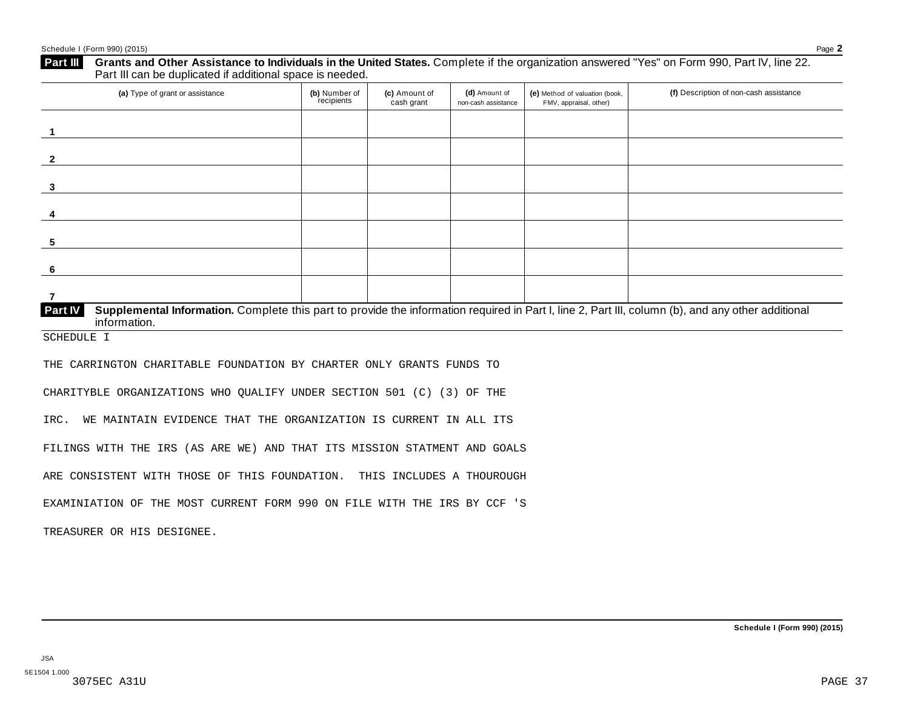| (a) Type of grant or assistance                                                                                                                                                                    | (b) Number of<br>recipients | (c) Amount of<br>cash grant | (d) Amount of<br>non-cash assistance | (e) Method of valuation (book,<br>FMV, appraisal, other) | (f) Description of non-cash assistance |
|----------------------------------------------------------------------------------------------------------------------------------------------------------------------------------------------------|-----------------------------|-----------------------------|--------------------------------------|----------------------------------------------------------|----------------------------------------|
| $\overline{1}$                                                                                                                                                                                     |                             |                             |                                      |                                                          |                                        |
| $\mathbf{2}$                                                                                                                                                                                       |                             |                             |                                      |                                                          |                                        |
| 3                                                                                                                                                                                                  |                             |                             |                                      |                                                          |                                        |
| 4                                                                                                                                                                                                  |                             |                             |                                      |                                                          |                                        |
| 5                                                                                                                                                                                                  |                             |                             |                                      |                                                          |                                        |
| 6                                                                                                                                                                                                  |                             |                             |                                      |                                                          |                                        |
| $\overline{7}$                                                                                                                                                                                     |                             |                             |                                      |                                                          |                                        |
| Part IV<br>Supplemental Information. Complete this part to provide the information required in Part I, line 2, Part III, column (b), and any other additional<br>information.<br><b>SCHEDULE I</b> |                             |                             |                                      |                                                          |                                        |
| THE CARRINGTON CHARITABLE FOUNDATION BY CHARTER ONLY GRANTS FUNDS TO                                                                                                                               |                             |                             |                                      |                                                          |                                        |
| CHARITYBLE ORGANIZATIONS WHO QUALIFY UNDER SECTION 501 (C) (3) OF THE                                                                                                                              |                             |                             |                                      |                                                          |                                        |
| WE MAINTAIN EVIDENCE THAT THE ORGANIZATION IS CURRENT IN ALL ITS<br>IRC.                                                                                                                           |                             |                             |                                      |                                                          |                                        |
| FILINGS WITH THE IRS (AS ARE WE) AND THAT ITS MISSION STATMENT AND GOALS                                                                                                                           |                             |                             |                                      |                                                          |                                        |
| ARE CONSISTENT WITH THOSE OF THIS FOUNDATION. THIS INCLUDES A THOUROUGH                                                                                                                            |                             |                             |                                      |                                                          |                                        |
|                                                                                                                                                                                                    |                             |                             |                                      |                                                          |                                        |
| EXAMINIATION OF THE MOST CURRENT FORM 990 ON FILE WITH THE IRS BY CCF 'S                                                                                                                           |                             |                             |                                      |                                                          |                                        |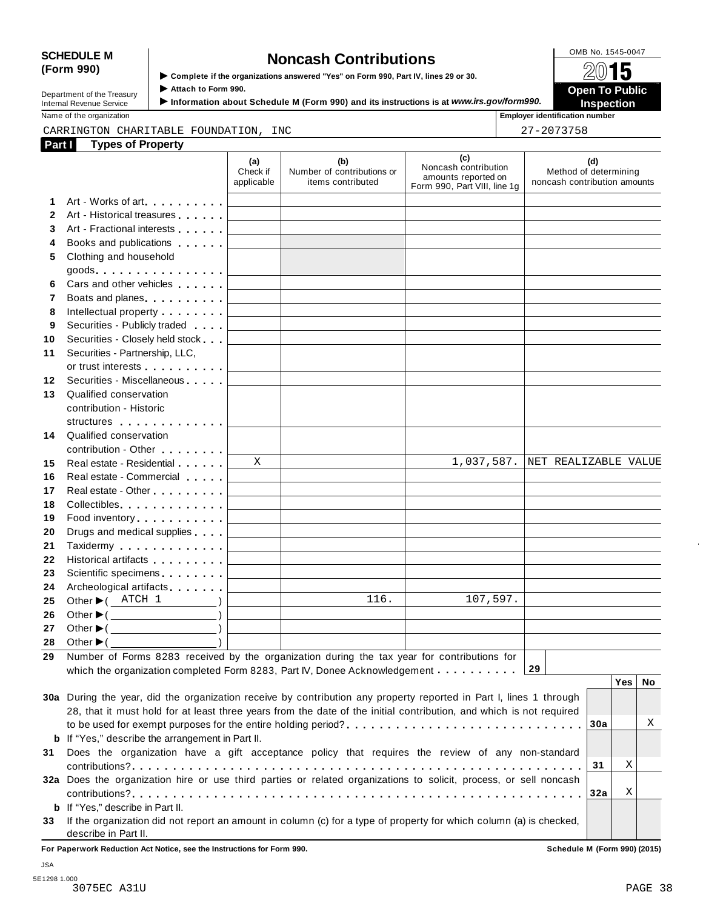|                            | $\blacktriangleright$ Complete if the organizations answered "Yes" on Form 990, Part IV, lines 29 or 30. | $(40)$ iv      |
|----------------------------|----------------------------------------------------------------------------------------------------------|----------------|
| Department of the Treasury | Attach to Form 990.                                                                                      | Open To Public |
|                            |                                                                                                          |                |

**Internal Revenue Service** I<br>Information about Schedule M (Form 990) and its instructions is at *www.irs.gov/form990.* Inspection<br>Name of the organization

**Name of the organization** 

## CARRINGTON CHARITABLE FOUNDATION, INC 27-2073758

| Employer identification |
|-------------------------|
| os oossare              |

| Part I | <b>Types of Property</b>                                                                                                                   |                               |                                                        |                                                                                    |                                                              |
|--------|--------------------------------------------------------------------------------------------------------------------------------------------|-------------------------------|--------------------------------------------------------|------------------------------------------------------------------------------------|--------------------------------------------------------------|
|        |                                                                                                                                            | (a)<br>Check if<br>applicable | (b)<br>Number of contributions or<br>items contributed | (c)<br>Noncash contribution<br>amounts reported on<br>Form 990, Part VIII, line 1g | (d)<br>Method of determining<br>noncash contribution amounts |
| 1      | Art - Works of art                                                                                                                         |                               |                                                        |                                                                                    |                                                              |
| 2      | Art - Historical treasures                                                                                                                 |                               |                                                        |                                                                                    |                                                              |
| 3      | Art - Fractional interests                                                                                                                 |                               |                                                        |                                                                                    |                                                              |
| 4      | Books and publications <b>Solutions</b>                                                                                                    |                               |                                                        |                                                                                    |                                                              |
| 5      | Clothing and household                                                                                                                     |                               |                                                        |                                                                                    |                                                              |
|        | $goods.$                                                                                                                                   |                               |                                                        |                                                                                    |                                                              |
| 6      | Cars and other vehicles <b>Cars</b>                                                                                                        |                               |                                                        |                                                                                    |                                                              |
| 7      | Boats and planes experience and planes                                                                                                     |                               |                                                        |                                                                                    |                                                              |
| 8      | Intellectual property <b>Algebra</b>                                                                                                       |                               |                                                        |                                                                                    |                                                              |
| 9      | Securities - Publicly traded                                                                                                               |                               |                                                        |                                                                                    |                                                              |
| 10     | Securities - Closely held stock                                                                                                            |                               |                                                        |                                                                                    |                                                              |
| 11     | Securities - Partnership, LLC,                                                                                                             |                               |                                                        |                                                                                    |                                                              |
|        |                                                                                                                                            |                               |                                                        |                                                                                    |                                                              |
| 12     | Securities - Miscellaneous                                                                                                                 |                               |                                                        |                                                                                    |                                                              |
| 13     | Qualified conservation                                                                                                                     |                               |                                                        |                                                                                    |                                                              |
|        | contribution - Historic                                                                                                                    |                               |                                                        |                                                                                    |                                                              |
|        | structures                                                                                                                                 |                               |                                                        |                                                                                    |                                                              |
| 14     | Qualified conservation                                                                                                                     |                               |                                                        |                                                                                    |                                                              |
|        | contribution - Other <b>Canada and Taylor</b>                                                                                              |                               |                                                        |                                                                                    |                                                              |
| 15     | Real estate - Residential                                                                                                                  | $\mathbf X$                   |                                                        | 1,037,587.                                                                         | NET REALIZABLE VALUE                                         |
| 16     | Real estate - Commercial                                                                                                                   |                               |                                                        |                                                                                    |                                                              |
| 17     | Real estate - Other <b>Called Accord Principles</b>                                                                                        |                               |                                                        |                                                                                    |                                                              |
| 18     | Collectibles                                                                                                                               |                               |                                                        |                                                                                    |                                                              |
| 19     | Food inventory                                                                                                                             |                               |                                                        |                                                                                    |                                                              |
| 20     | Drugs and medical supplies                                                                                                                 |                               |                                                        |                                                                                    |                                                              |
| 21     | Taxidermy                                                                                                                                  |                               |                                                        |                                                                                    |                                                              |
| 22     | Historical artifacts <b>All Accords</b>                                                                                                    |                               |                                                        |                                                                                    |                                                              |
| 23     | Scientific specimens <b>Scientific specimens</b>                                                                                           |                               |                                                        |                                                                                    |                                                              |
| 24     | Archeological artifacts                                                                                                                    |                               |                                                        |                                                                                    |                                                              |
| 25     | Other $\blacktriangleright$ ( ATCH 1                                                                                                       |                               | 116.                                                   | 107,597.                                                                           |                                                              |
| 26     | Other $\blacktriangleright$ ( $\_\_\_\_\_\_\_\_$ )                                                                                         |                               |                                                        |                                                                                    |                                                              |
| 27     | Other $\blacktriangleright$ ( $\qquad \qquad$                                                                                              |                               |                                                        |                                                                                    |                                                              |
| 28     | Other $\blacktriangleright$ (                                                                                                              |                               |                                                        |                                                                                    |                                                              |
| 29     | Number of Forms 8283 received by the organization during the tax year for contributions for                                                |                               |                                                        |                                                                                    |                                                              |
|        | which the organization completed Form 8283, Part IV, Donee Acknowledgement $\dots \dots \dots$                                             |                               |                                                        |                                                                                    | 29                                                           |
|        |                                                                                                                                            |                               |                                                        |                                                                                    | Yes  <br>No                                                  |
|        | 30a During the year, did the organization receive by contribution any property reported in Part I, lines 1 through                         |                               |                                                        |                                                                                    |                                                              |
|        | 28, that it must hold for at least three years from the date of the initial contribution, and which is not required                        |                               |                                                        |                                                                                    | Χ                                                            |
|        |                                                                                                                                            |                               |                                                        |                                                                                    | 30a                                                          |
|        | <b>b</b> If "Yes," describe the arrangement in Part II.                                                                                    |                               |                                                        |                                                                                    |                                                              |
| 31     | Does the organization have a gift acceptance policy that requires the review of any non-standard                                           |                               |                                                        |                                                                                    | Χ                                                            |
|        |                                                                                                                                            |                               |                                                        |                                                                                    | 31                                                           |
|        | 32a Does the organization hire or use third parties or related organizations to solicit, process, or sell noncash                          |                               |                                                        |                                                                                    | Χ                                                            |
|        |                                                                                                                                            |                               |                                                        |                                                                                    | 32a                                                          |
|        | <b>b</b> If "Yes," describe in Part II.                                                                                                    |                               |                                                        |                                                                                    |                                                              |
| 33     | If the organization did not report an amount in column (c) for a type of property for which column (a) is checked,<br>describe in Part II. |                               |                                                        |                                                                                    |                                                              |

**For Paperwork Reduction Act Notice, see the Instructions for Form 990. Schedule M (Form 990) (2015)**

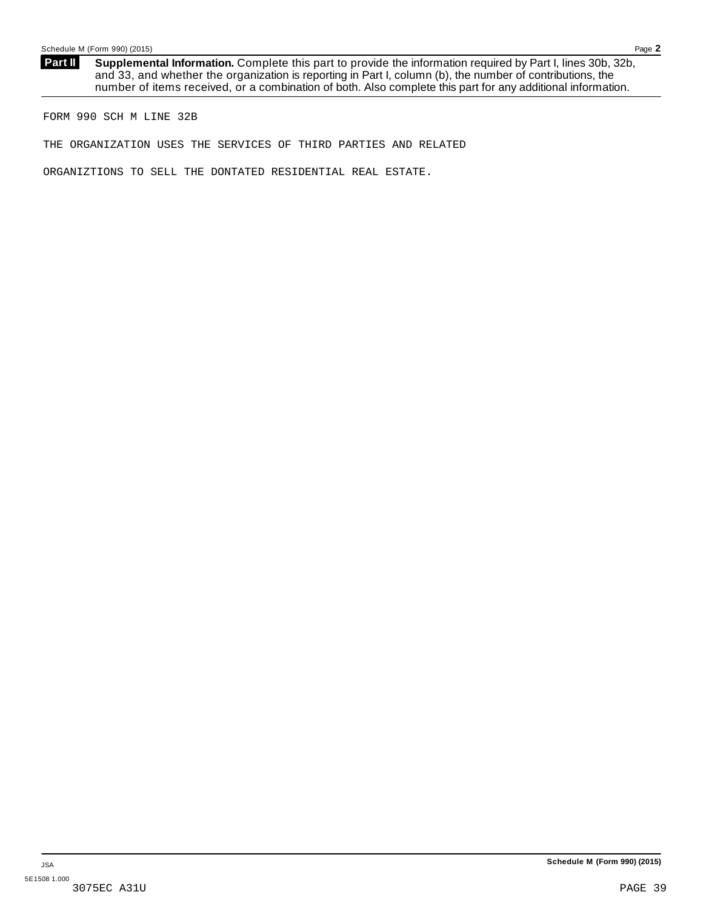**Supplemental Information.** Complete this part to provide the information required by Part I, lines 30b, 32b, and 33, and whether the organization is reporting in Part I, column (b), the number of contributions, the number of items received, or a combination of both. Also complete this part for any additional information. **Part II**

FORM 990 SCH M LINE 32B

THE ORGANIZATION USES THE SERVICES OF THIRD PARTIES AND RELATED

ORGANIZTIONS TO SELL THE DONTATED RESIDENTIAL REAL ESTATE.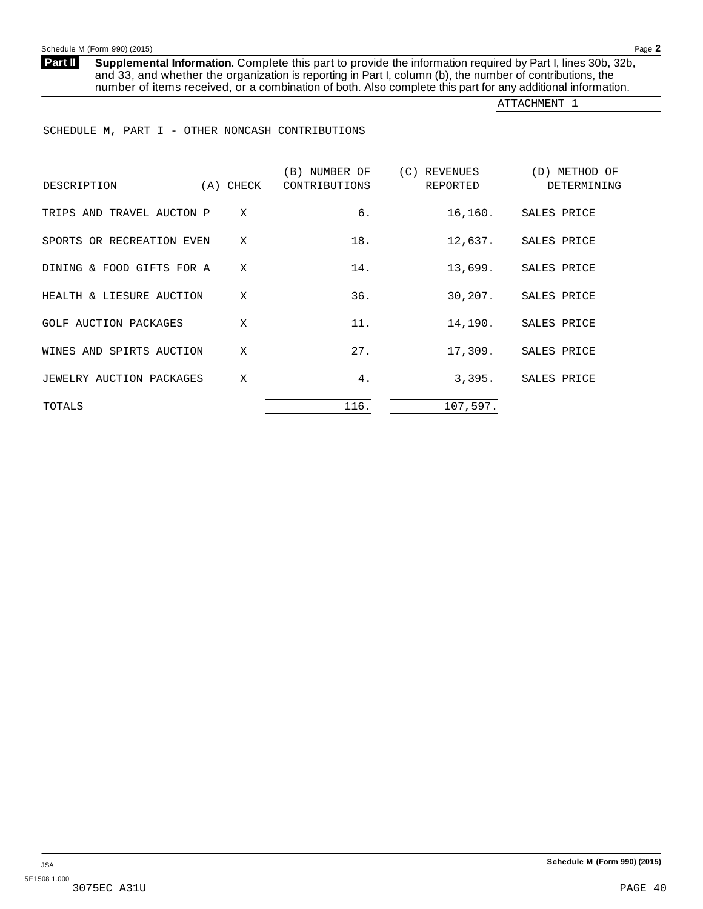<span id="page-39-0"></span>**Supplemental Information.** Complete this part to provide the information required by Part I, lines 30b, 32b, and 33, and whether the organization is reporting in Part I, column (b), the number of contributions, the number of items received, or a combination of both. Also complete this part for any additional information. **Part II**

ATTACHMENT 1

#### SCHEDULE M, PART I - OTHER NONCASH CONTRIBUTIONS

| DESCRIPTION               | (A) CHECK | (B) NUMBER OF<br>CONTRIBUTIONS | (C)<br>REVENUES<br>REPORTED | (D) METHOD OF<br>DETERMINING |
|---------------------------|-----------|--------------------------------|-----------------------------|------------------------------|
| TRIPS AND TRAVEL AUCTON P | X         | б.                             | 16, 160.                    | SALES PRICE                  |
| SPORTS OR RECREATION EVEN | X         | 18.                            | 12,637.                     | SALES PRICE                  |
| DINING & FOOD GIFTS FOR A | X         | 14.                            | 13,699.                     | SALES PRICE                  |
| HEALTH & LIESURE AUCTION  | X         | 36.                            | 30, 207.                    | SALES PRICE                  |
| GOLF AUCTION PACKAGES     | X         | 11.                            | 14,190.                     | SALES PRICE                  |
| WINES AND SPIRTS AUCTION  | X         | 27.                            | 17,309.                     | SALES PRICE                  |
| JEWELRY AUCTION PACKAGES  | X         | $4$ .                          | 3,395.                      | SALES PRICE                  |
| TOTALS                    |           | 116.                           | 107,597.                    |                              |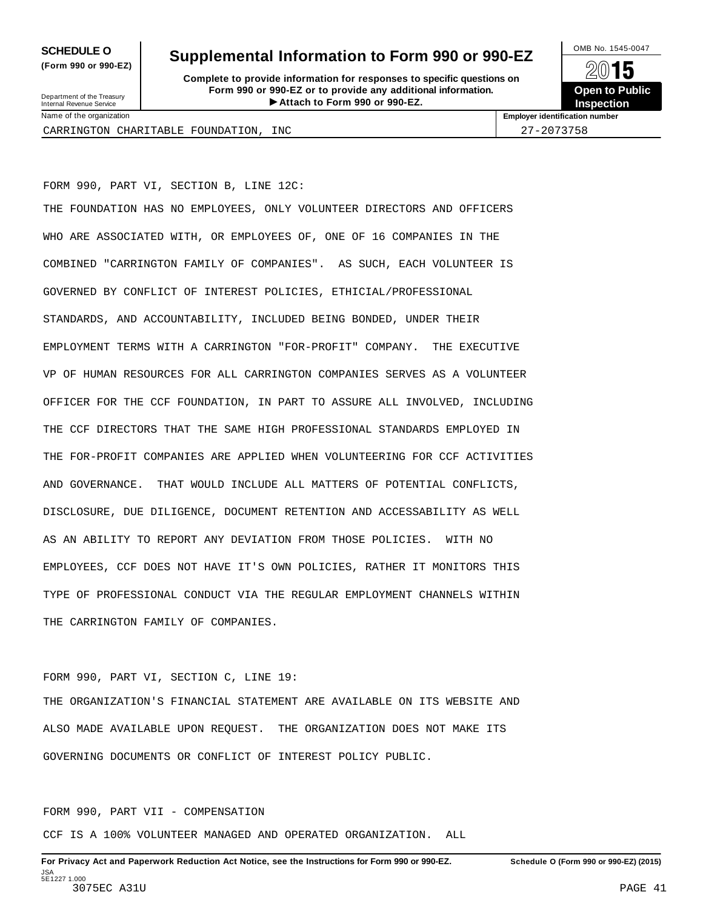**(Form 990 or 990-EZ)**

## **SCHEDULE O** Supplemental Information to Form 990 or 990-EZ  $\frac{100\text{dB No. }1545-0047}{\text{O}}$

**Complete to provide information for responses to specific questions on Form 990 or 990-EZ or to provide any additional information.** Fristen **Attach to Form 1990** or 990-EZ.<br>
Attach to Form 990 or 990-EZ.<br>
Attach to Form 990 or 990-EZ.<br> **Attach to Form 990 or 990-EZ.** Department of the Treasury Internal Revenue Service I

**Open to Public Inspection**

Name of the organization **Employer identification number**

CARRINGTON CHARITABLE FOUNDATION, INC 27-2073758

FORM 990, PART VI, SECTION B, LINE 12C:

THE FOUNDATION HAS NO EMPLOYEES, ONLY VOLUNTEER DIRECTORS AND OFFICERS WHO ARE ASSOCIATED WITH, OR EMPLOYEES OF, ONE OF 16 COMPANIES IN THE COMBINED "CARRINGTON FAMILY OF COMPANIES". AS SUCH, EACH VOLUNTEER IS GOVERNED BY CONFLICT OF INTEREST POLICIES, ETHICIAL/PROFESSIONAL STANDARDS, AND ACCOUNTABILITY, INCLUDED BEING BONDED, UNDER THEIR EMPLOYMENT TERMS WITH A CARRINGTON "FOR-PROFIT" COMPANY. THE EXECUTIVE VP OF HUMAN RESOURCES FOR ALL CARRINGTON COMPANIES SERVES AS A VOLUNTEER OFFICER FOR THE CCF FOUNDATION, IN PART TO ASSURE ALL INVOLVED, INCLUDING THE CCF DIRECTORS THAT THE SAME HIGH PROFESSIONAL STANDARDS EMPLOYED IN THE FOR-PROFIT COMPANIES ARE APPLIED WHEN VOLUNTEERING FOR CCF ACTIVITIES AND GOVERNANCE. THAT WOULD INCLUDE ALL MATTERS OF POTENTIAL CONFLICTS, DISCLOSURE, DUE DILIGENCE, DOCUMENT RETENTION AND ACCESSABILITY AS WELL AS AN ABILITY TO REPORT ANY DEVIATION FROM THOSE POLICIES. WITH NO EMPLOYEES, CCF DOES NOT HAVE IT'S OWN POLICIES, RATHER IT MONITORS THIS TYPE OF PROFESSIONAL CONDUCT VIA THE REGULAR EMPLOYMENT CHANNELS WITHIN THE CARRINGTON FAMILY OF COMPANIES.

FORM 990, PART VI, SECTION C, LINE 19:

THE ORGANIZATION'S FINANCIAL STATEMENT ARE AVAILABLE ON ITS WEBSITE AND ALSO MADE AVAILABLE UPON REQUEST. THE ORGANIZATION DOES NOT MAKE ITS GOVERNING DOCUMENTS OR CONFLICT OF INTEREST POLICY PUBLIC.

FORM 990, PART VII - COMPENSATION

CCF IS A 100% VOLUNTEER MANAGED AND OPERATED ORGANIZATION. ALL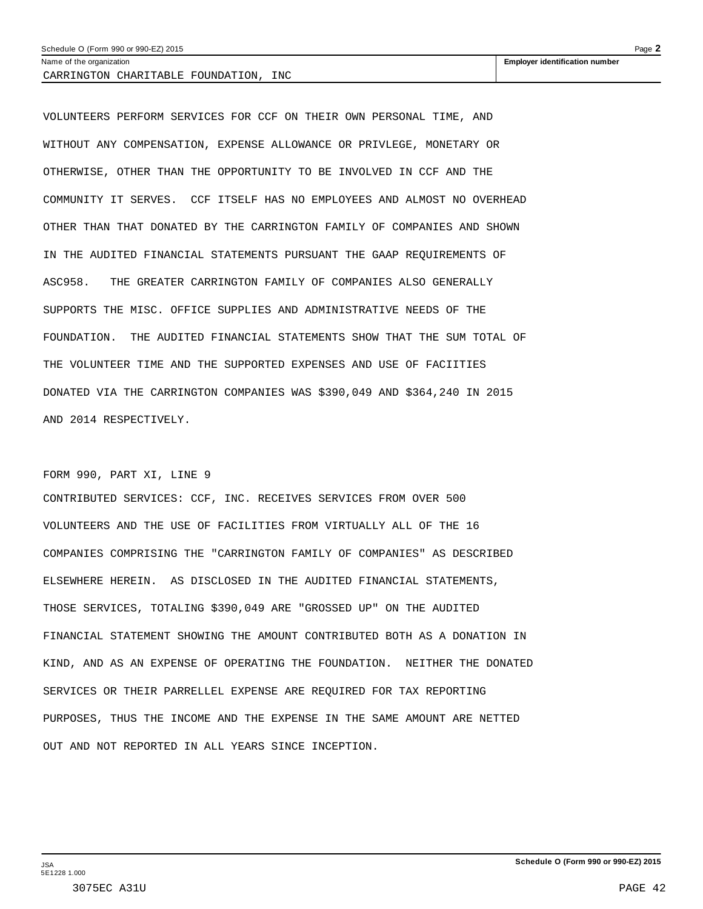CARRINGTON CHARITABLE FOUNDATION, INC

VOLUNTEERS PERFORM SERVICES FOR CCF ON THEIR OWN PERSONAL TIME, AND WITHOUT ANY COMPENSATION, EXPENSE ALLOWANCE OR PRIVLEGE, MONETARY OR OTHERWISE, OTHER THAN THE OPPORTUNITY TO BE INVOLVED IN CCF AND THE COMMUNITY IT SERVES. CCF ITSELF HAS NO EMPLOYEES AND ALMOST NO OVERHEAD OTHER THAN THAT DONATED BY THE CARRINGTON FAMILY OF COMPANIES AND SHOWN IN THE AUDITED FINANCIAL STATEMENTS PURSUANT THE GAAP REQUIREMENTS OF ASC958. THE GREATER CARRINGTON FAMILY OF COMPANIES ALSO GENERALLY SUPPORTS THE MISC. OFFICE SUPPLIES AND ADMINISTRATIVE NEEDS OF THE FOUNDATION. THE AUDITED FINANCIAL STATEMENTS SHOW THAT THE SUM TOTAL OF THE VOLUNTEER TIME AND THE SUPPORTED EXPENSES AND USE OF FACIITIES DONATED VIA THE CARRINGTON COMPANIES WAS \$390,049 AND \$364,240 IN 2015 AND 2014 RESPECTIVELY.

#### FORM 990, PART XI, LINE 9

CONTRIBUTED SERVICES: CCF, INC. RECEIVES SERVICES FROM OVER 500 VOLUNTEERS AND THE USE OF FACILITIES FROM VIRTUALLY ALL OF THE 16 COMPANIES COMPRISING THE "CARRINGTON FAMILY OF COMPANIES" AS DESCRIBED ELSEWHERE HEREIN. AS DISCLOSED IN THE AUDITED FINANCIAL STATEMENTS, THOSE SERVICES, TOTALING \$390,049 ARE "GROSSED UP" ON THE AUDITED FINANCIAL STATEMENT SHOWING THE AMOUNT CONTRIBUTED BOTH AS A DONATION IN KIND, AND AS AN EXPENSE OF OPERATING THE FOUNDATION. NEITHER THE DONATED SERVICES OR THEIR PARRELLEL EXPENSE ARE REQUIRED FOR TAX REPORTING PURPOSES, THUS THE INCOME AND THE EXPENSE IN THE SAME AMOUNT ARE NETTED OUT AND NOT REPORTED IN ALL YEARS SINCE INCEPTION.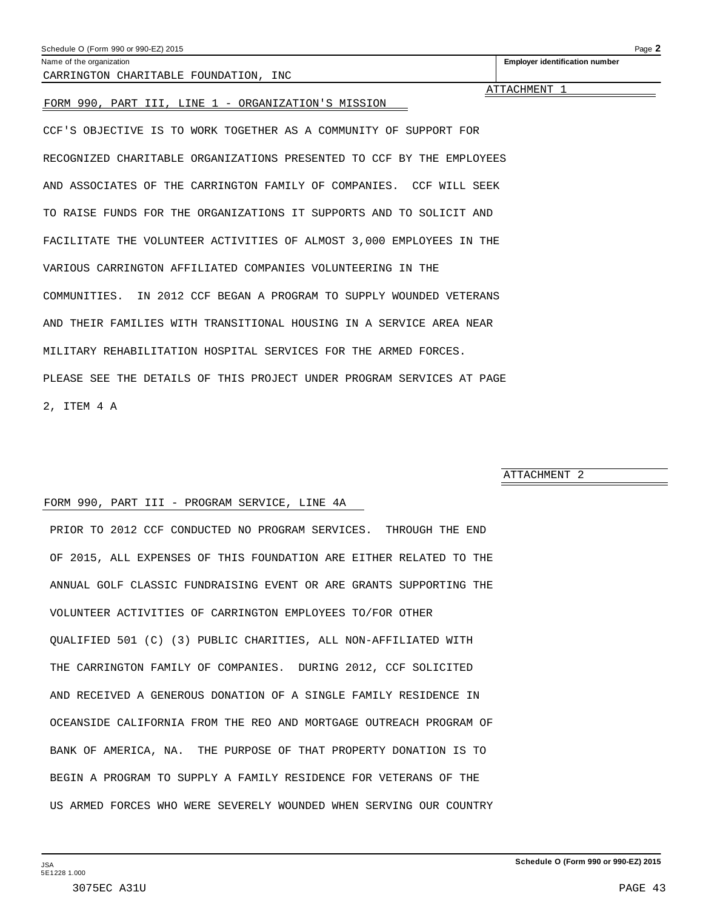<span id="page-42-0"></span>

| Schedule O (Form 990 or 990-EZ) 2015 | $P$ ade. |
|--------------------------------------|----------|
|--------------------------------------|----------|

Name of the organization **Employer identification number**

CARRINGTON CHARITABLE FOUNDATION, INC

ATTACHMENT 1

## FORM 990, PART III, LINE 1 - ORGANIZATION'S MISSION

CCF'S OBJECTIVE IS TO WORK TOGETHER AS A COMMUNITY OF SUPPORT FOR RECOGNIZED CHARITABLE ORGANIZATIONS PRESENTED TO CCF BY THE EMPLOYEES AND ASSOCIATES OF THE CARRINGTON FAMILY OF COMPANIES. CCF WILL SEEK TO RAISE FUNDS FOR THE ORGANIZATIONS IT SUPPORTS AND TO SOLICIT AND FACILITATE THE VOLUNTEER ACTIVITIES OF ALMOST 3,000 EMPLOYEES IN THE VARIOUS CARRINGTON AFFILIATED COMPANIES VOLUNTEERING IN THE COMMUNITIES. IN 2012 CCF BEGAN A PROGRAM TO SUPPLY WOUNDED VETERANS AND THEIR FAMILIES WITH TRANSITIONAL HOUSING IN A SERVICE AREA NEAR MILITARY REHABILITATION HOSPITAL SERVICES FOR THE ARMED FORCES. PLEASE SEE THE DETAILS OF THIS PROJECT UNDER PROGRAM SERVICES AT PAGE 2, ITEM 4 A

ATTACHMENT 2

#### FORM 990, PART III - PROGRAM SERVICE, LINE 4A

PRIOR TO 2012 CCF CONDUCTED NO PROGRAM SERVICES. THROUGH THE END OF 2015, ALL EXPENSES OF THIS FOUNDATION ARE EITHER RELATED TO THE ANNUAL GOLF CLASSIC FUNDRAISING EVENT OR ARE GRANTS SUPPORTING THE VOLUNTEER ACTIVITIES OF CARRINGTON EMPLOYEES TO/FOR OTHER QUALIFIED 501 (C) (3) PUBLIC CHARITIES, ALL NON-AFFILIATED WITH THE CARRINGTON FAMILY OF COMPANIES. DURING 2012, CCF SOLICITED AND RECEIVED A GENEROUS DONATION OF A SINGLE FAMILY RESIDENCE IN OCEANSIDE CALIFORNIA FROM THE REO AND MORTGAGE OUTREACH PROGRAM OF BANK OF AMERICA, NA. THE PURPOSE OF THAT PROPERTY DONATION IS TO BEGIN A PROGRAM TO SUPPLY A FAMILY RESIDENCE FOR VETERANS OF THE US ARMED FORCES WHO WERE SEVERELY WOUNDED WHEN SERVING OUR COUNTRY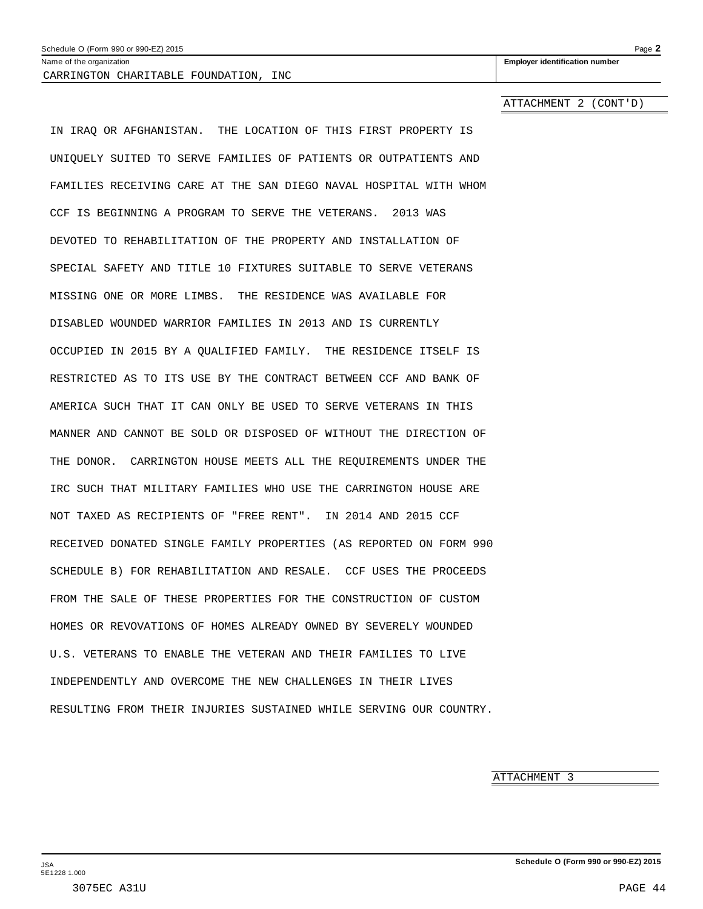<span id="page-43-0"></span>Name of the organization **intervalsion Employer identification number Employer identification number** CARRINGTON CHARITABLE FOUNDATION, INC

ATTACHMENT 2 (CONT'D)

IN IRAQ OR AFGHANISTAN. THE LOCATION OF THIS FIRST PROPERTY IS UNIQUELY SUITED TO SERVE FAMILIES OF PATIENTS OR OUTPATIENTS AND FAMILIES RECEIVING CARE AT THE SAN DIEGO NAVAL HOSPITAL WITH WHOM CCF IS BEGINNING A PROGRAM TO SERVE THE VETERANS. 2013 WAS DEVOTED TO REHABILITATION OF THE PROPERTY AND INSTALLATION OF SPECIAL SAFETY AND TITLE 10 FIXTURES SUITABLE TO SERVE VETERANS MISSING ONE OR MORE LIMBS. THE RESIDENCE WAS AVAILABLE FOR DISABLED WOUNDED WARRIOR FAMILIES IN 2013 AND IS CURRENTLY OCCUPIED IN 2015 BY A QUALIFIED FAMILY. THE RESIDENCE ITSELF IS RESTRICTED AS TO ITS USE BY THE CONTRACT BETWEEN CCF AND BANK OF AMERICA SUCH THAT IT CAN ONLY BE USED TO SERVE VETERANS IN THIS MANNER AND CANNOT BE SOLD OR DISPOSED OF WITHOUT THE DIRECTION OF THE DONOR. CARRINGTON HOUSE MEETS ALL THE REQUIREMENTS UNDER THE IRC SUCH THAT MILITARY FAMILIES WHO USE THE CARRINGTON HOUSE ARE NOT TAXED AS RECIPIENTS OF "FREE RENT". IN 2014 AND 2015 CCF RECEIVED DONATED SINGLE FAMILY PROPERTIES (AS REPORTED ON FORM 990 SCHEDULE B) FOR REHABILITATION AND RESALE. CCF USES THE PROCEEDS FROM THE SALE OF THESE PROPERTIES FOR THE CONSTRUCTION OF CUSTOM HOMES OR REVOVATIONS OF HOMES ALREADY OWNED BY SEVERELY WOUNDED U.S. VETERANS TO ENABLE THE VETERAN AND THEIR FAMILIES TO LIVE INDEPENDENTLY AND OVERCOME THE NEW CHALLENGES IN THEIR LIVES RESULTING FROM THEIR INJURIES SUSTAINED WHILE SERVING OUR COUNTRY.

ATTACHMENT 3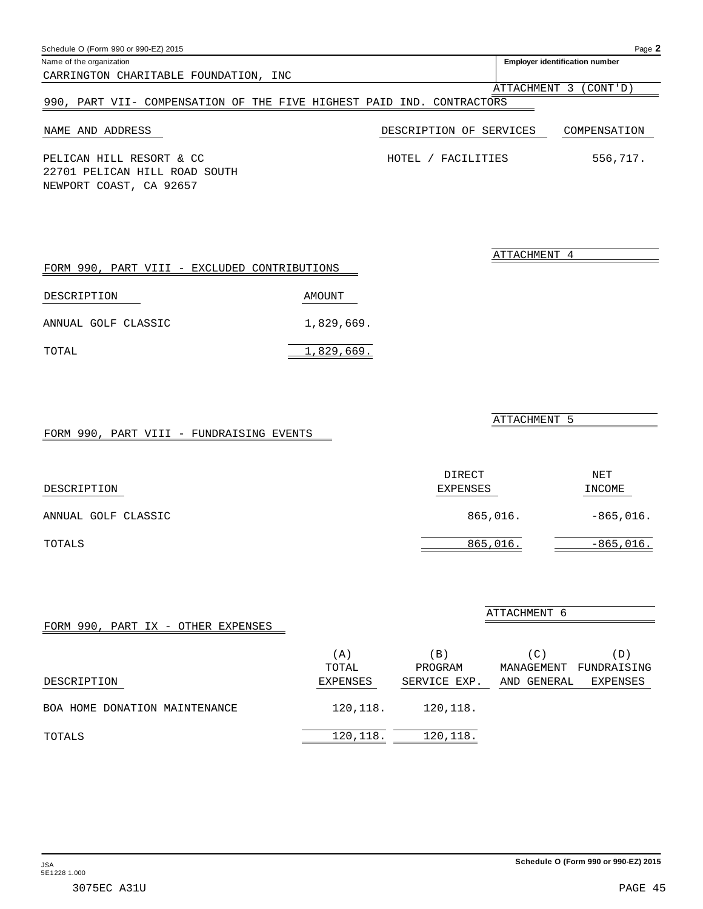| Name of the organization                                              |                         | <b>Employer identification number</b> |
|-----------------------------------------------------------------------|-------------------------|---------------------------------------|
| CARRINGTON CHARITABLE FOUNDATION, INC                                 |                         |                                       |
|                                                                       |                         | ATTACHMENT 3 (CONT'D)                 |
| 990, PART VII- COMPENSATION OF THE FIVE HIGHEST PAID IND. CONTRACTORS |                         |                                       |
| NAME AND ADDRESS                                                      | DESCRIPTION OF SERVICES | COMPENSATION                          |
| PELICAN HILL RESORT & CC                                              | HOTEL /<br>FACILITIES   | 556,717.                              |
| 22701 PELICAN HILL ROAD SOUTH                                         |                         |                                       |
| NEWPORT COAST, CA 92657                                               |                         |                                       |

|       |             |                     |  | FORM 990, PART VIII - EXCLUDED CONTRIBUTIONS |  |
|-------|-------------|---------------------|--|----------------------------------------------|--|
|       | DESCRIPTION |                     |  | AMOUNT                                       |  |
|       |             | ANNUAL GOLF CLASSIC |  | 1,829,669.                                   |  |
| TOTAL |             |                     |  | 1,829,669.                                   |  |

FORM 990, PART VIII - FUNDRAISING EVENTS

|                     | DIRECT   | NET           |
|---------------------|----------|---------------|
| DESCRIPTION         | EXPENSES | <b>INCOME</b> |
| ANNUAL GOLF CLASSIC | 865,016. | $-865,016$ .  |
| TOTALS              | 865,016. | $-865,016$ .  |

|                                    |                 |              | ATTACHMENT 6 |             |
|------------------------------------|-----------------|--------------|--------------|-------------|
| FORM 990, PART IX - OTHER EXPENSES |                 |              |              |             |
|                                    | (A)             | $\mathbf{B}$ | (C)          | (D)         |
|                                    | TOTAL           | PROGRAM      | MANAGEMENT   | FUNDRAISING |
| DESCRIPTION                        | <b>EXPENSES</b> | SERVICE EXP. | AND GENERAL  | EXPENSES    |
| BOA HOME DONATION MAINTENANCE      | 120,118.        | 120,118.     |              |             |
| TOTALS                             | 120,118.        | 120,118.     |              |             |

<span id="page-44-0"></span>Schedule O (Form 990 or 990-EZ) 2015 Page **2**

ATTACHMENT 4

ATTACHMENT 5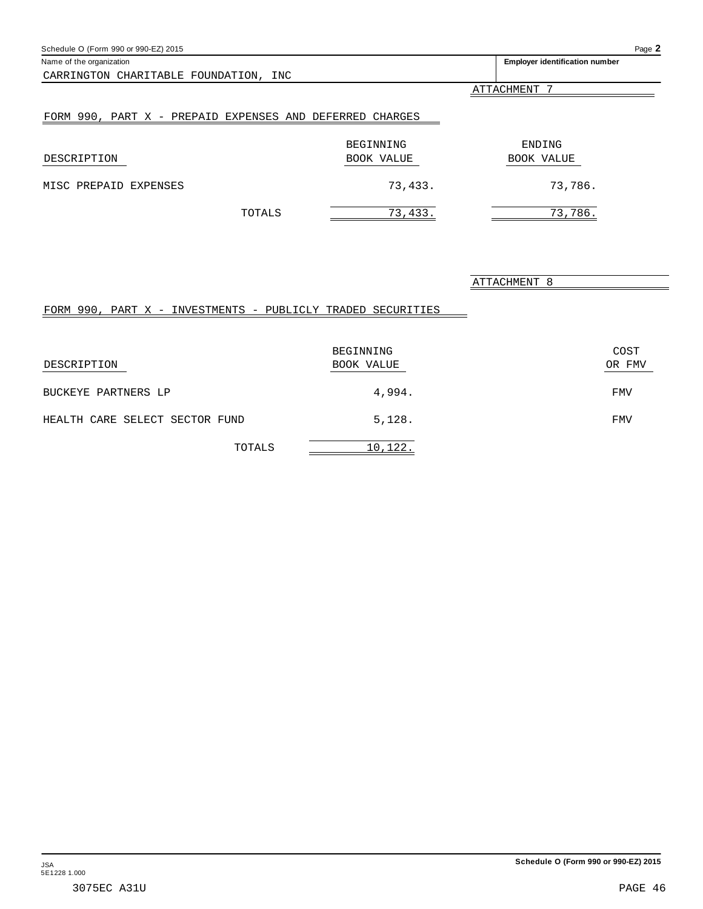<span id="page-45-0"></span>

| Schedule O (Form 990 or 990-EZ) 2015                     |                | Page 2                                |  |  |  |  |  |
|----------------------------------------------------------|----------------|---------------------------------------|--|--|--|--|--|
| Name of the organization                                 |                | <b>Employer identification number</b> |  |  |  |  |  |
| CARRINGTON CHARITABLE FOUNDATION, INC                    |                |                                       |  |  |  |  |  |
|                                                          |                |                                       |  |  |  |  |  |
| FORM 990, PART X - PREPAID EXPENSES AND DEFERRED CHARGES |                |                                       |  |  |  |  |  |
|                                                          | BEGINNING      | ENDING                                |  |  |  |  |  |
| DESCRIPTION                                              | BOOK VALUE     | BOOK VALUE                            |  |  |  |  |  |
| MISC PREPAID EXPENSES                                    | 73,433.        | 73,786.                               |  |  |  |  |  |
| TOTALS                                                   | <u>73,433.</u> | 73,786.                               |  |  |  |  |  |

ATTACHMENT 8

## FORM 990, PART X - INVESTMENTS - PUBLICLY TRADED SECURITIES

| DESCRIPTION                    | BEGINNING<br>BOOK VALUE | COST<br>OR FMV |
|--------------------------------|-------------------------|----------------|
| BUCKEYE PARTNERS LP            | 4,994.                  | <b>FMV</b>     |
| HEALTH CARE SELECT SECTOR FUND | 5,128.                  | <b>FMV</b>     |
| TOTALS                         | 10,122.                 |                |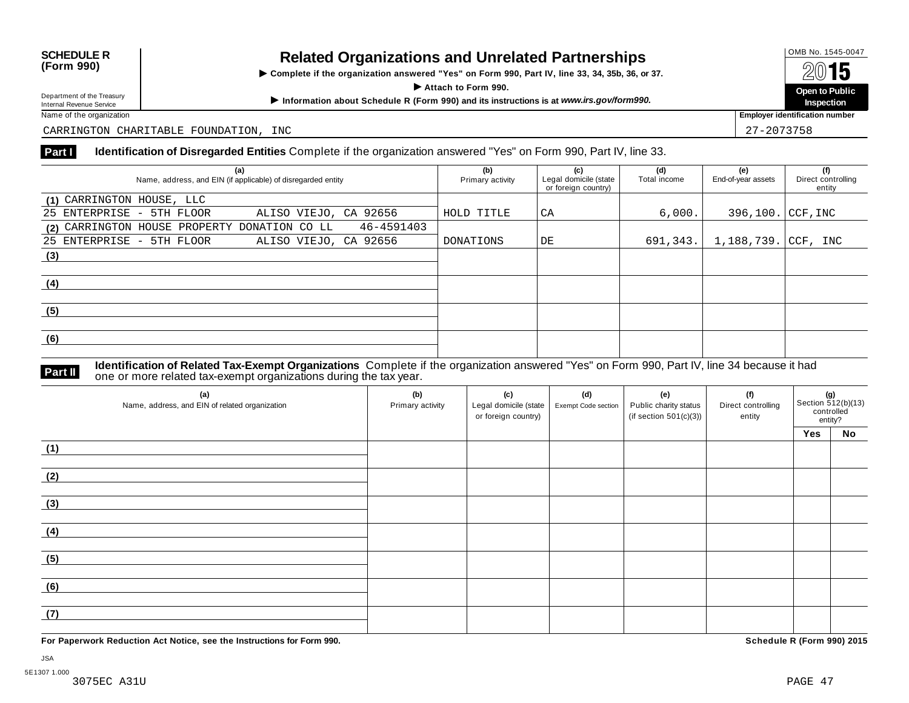# OMB No. 1545-0047 **SCHEDULE R (Form 990) Related Organizations and Unrelated Partnerships**

 $\triangleright$  Complete if the organization answered "Yes" on Form 990, Part IV, line 33, 34, 35b, 36, or 37.  $\overline{A}$  **CO I & Attach to Form 990. Open to Public Public CO CO D Open to Public** 

Department of the Treasury<br>Internal Revenue Service

CARRINGTON CHARITABLE FOUNDATION, INC 27-2007 EXPLORE THE SERVICE OF STREET AND RESERVE THE SERVICE OF STREET AND THE SERVICE OF STREET AND RESERVE THE SERVICE OF STREET AND RESERVE THE SERVICE OF STREET AND RESERVE THE SE

#### **Part I Identification of Disregarded Entities** Complete if the organization answered "Yes" on Form 990, Part IV, line 33.

| (a)<br>Name, address, and EIN (if applicable) of disregarded entity | (b)<br>Primary activity | (c)<br>Legal domicile (state<br>or foreign country) | (d)<br>Total income | (e)<br>End-of-year assets | (f)<br>Direct controlling<br>entity |
|---------------------------------------------------------------------|-------------------------|-----------------------------------------------------|---------------------|---------------------------|-------------------------------------|
| (1) CARRINGTON HOUSE, LLC                                           |                         |                                                     |                     |                           |                                     |
| 25 ENTERPRISE - 5TH FLOOR<br>ALISO VIEJO, CA 92656                  | HOLD TITLE              | CA                                                  | 6,000.              | 396,100. CCF, INC         |                                     |
| 46-4591403<br>(2) CARRINGTON HOUSE PROPERTY DONATION CO LL          |                         |                                                     |                     |                           |                                     |
| 25 ENTERPRISE - 5TH FLOOR<br>ALISO VIEJO, CA 92656                  | <b>DONATIONS</b>        | DE                                                  | 691,343.            | 1,188,739. CCF, INC       |                                     |
| (3)                                                                 |                         |                                                     |                     |                           |                                     |
|                                                                     |                         |                                                     |                     |                           |                                     |
| (4)                                                                 |                         |                                                     |                     |                           |                                     |
|                                                                     |                         |                                                     |                     |                           |                                     |
| (5)                                                                 |                         |                                                     |                     |                           |                                     |
|                                                                     |                         |                                                     |                     |                           |                                     |
| (6)                                                                 |                         |                                                     |                     |                           |                                     |
|                                                                     |                         |                                                     |                     |                           |                                     |

**Identification of Related Tax-Exempt Organizations** Complete if the organization answered "Yes" on Form 990, Part IV, line 34 because it had **Part II** one or more related tax-exempt organizations during the tax year.

| (a)<br>Name, address, and EIN of related organization | (b)<br>Primary activity | (c)<br>Legal domicile (state<br>or foreign country) | (d)<br>Exempt Code section | (e)<br>Public charity status<br>(if section $501(c)(3)$ ) | (f)<br>Direct controlling<br>entity | (g)<br>Section 512(b)(13)<br>controlled<br>entity? |    |
|-------------------------------------------------------|-------------------------|-----------------------------------------------------|----------------------------|-----------------------------------------------------------|-------------------------------------|----------------------------------------------------|----|
|                                                       |                         |                                                     |                            |                                                           |                                     | Yes                                                | No |
| (1)                                                   |                         |                                                     |                            |                                                           |                                     |                                                    |    |
| (2)                                                   |                         |                                                     |                            |                                                           |                                     |                                                    |    |
| (3)                                                   |                         |                                                     |                            |                                                           |                                     |                                                    |    |
| (4)                                                   |                         |                                                     |                            |                                                           |                                     |                                                    |    |
| (5)                                                   |                         |                                                     |                            |                                                           |                                     |                                                    |    |
| (6)                                                   |                         |                                                     |                            |                                                           |                                     |                                                    |    |
| (7)                                                   |                         |                                                     |                            |                                                           |                                     |                                                    |    |

**For Paperwork Reduction Act Notice, see the Instructions for Form 990. Schedule R (Form 990) 2015**

JSA

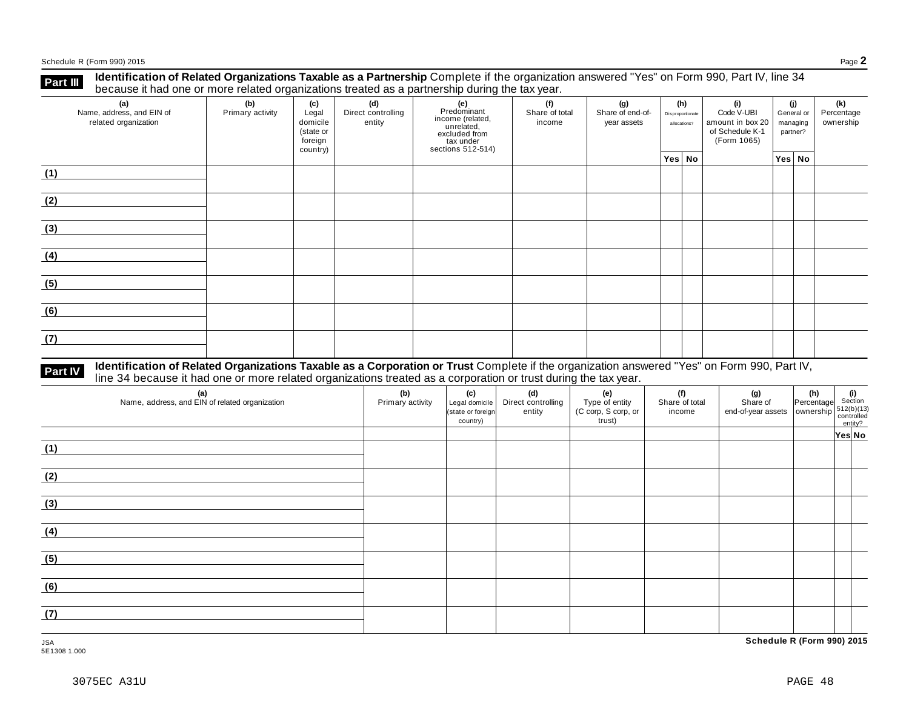Schedule <sup>R</sup> (Form 990) <sup>2015</sup> Page **2**

**Identification of Related Organizations Taxable as a Partnership** Complete if the organization answered "Yes" on Form 990, Part IV, line 34 **because it had one or more related organizations Taxable as a Partnership** Complete if the organizations treated as a partnership during the tax year.

| (a)<br>Name, address, and EIN of<br>related organization | (b)<br>Primary activity | (c)<br>Legal<br>domicile<br>(state or<br>foreign<br>country) | (d)<br>Direct controlling<br>entity | (e)<br>Predominant<br>income (related,<br>unrelated,<br>excluded from<br>tax under<br>sections 512-514) | (f)<br>Share of total<br>income | (g)<br>Share of end-of-<br>year assets | (h)<br>Disproportionate<br>allocations? |  | (i)<br>(j)<br>Code V-UBI<br>General or<br>amount in box 20<br>managing<br>of Schedule K-1<br>partner?<br>(Form 1065) |        | (k)<br>Percentage<br>ownership |
|----------------------------------------------------------|-------------------------|--------------------------------------------------------------|-------------------------------------|---------------------------------------------------------------------------------------------------------|---------------------------------|----------------------------------------|-----------------------------------------|--|----------------------------------------------------------------------------------------------------------------------|--------|--------------------------------|
|                                                          |                         |                                                              |                                     |                                                                                                         |                                 |                                        | Yes No                                  |  |                                                                                                                      | Yes No |                                |
| (1)                                                      |                         |                                                              |                                     |                                                                                                         |                                 |                                        |                                         |  |                                                                                                                      |        |                                |
| (2)                                                      |                         |                                                              |                                     |                                                                                                         |                                 |                                        |                                         |  |                                                                                                                      |        |                                |
| (3)                                                      |                         |                                                              |                                     |                                                                                                         |                                 |                                        |                                         |  |                                                                                                                      |        |                                |
| (4)                                                      |                         |                                                              |                                     |                                                                                                         |                                 |                                        |                                         |  |                                                                                                                      |        |                                |
| (5)                                                      |                         |                                                              |                                     |                                                                                                         |                                 |                                        |                                         |  |                                                                                                                      |        |                                |
| (6)                                                      |                         |                                                              |                                     |                                                                                                         |                                 |                                        |                                         |  |                                                                                                                      |        |                                |
| (7)                                                      |                         |                                                              |                                     |                                                                                                         |                                 |                                        |                                         |  |                                                                                                                      |        |                                |

# **Part IV** Identification of Related Organizations Taxable as a Corporation or Trust Complete if the organization answered "Yes" on Form 990, Part IV,<br>line 34 because it had one or more related organizations treated as a co

| (a)<br>Name, address, and EIN of related organization | (b)<br>Primary activity | (c)<br>Legal domicile<br>(state or foreign<br>country) | (d)<br>Direct controlling<br>entity | (e)<br>Type of entity<br>(C corp, S corp, or<br>trust) | (f)<br>Share of total<br>income | (g) (h) $\frac{1}{2}$ (i) $\frac{1}{2}$ (i) $\frac{1}{2}$ (i) $\frac{1}{2}$ (i) $\frac{1}{2}$ (i) $\frac{1}{2}$ (i) $\frac{1}{2}$ (i) $\frac{1}{2}$ (i) $\frac{1}{2}$ (i) $\frac{1}{2}$ (i) $\frac{1}{2}$ (i) $\frac{1}{2}$ (i) $\frac{1}{2}$ (i) $\frac{1}{2}$ (i) $\frac{1}{2}$ (i) $\frac$ |        |
|-------------------------------------------------------|-------------------------|--------------------------------------------------------|-------------------------------------|--------------------------------------------------------|---------------------------------|-----------------------------------------------------------------------------------------------------------------------------------------------------------------------------------------------------------------------------------------------------------------------------------------------|--------|
|                                                       |                         |                                                        |                                     |                                                        |                                 |                                                                                                                                                                                                                                                                                               | Yes No |
| (1)                                                   |                         |                                                        |                                     |                                                        |                                 |                                                                                                                                                                                                                                                                                               |        |
| (2)                                                   |                         |                                                        |                                     |                                                        |                                 |                                                                                                                                                                                                                                                                                               |        |
| (3)                                                   |                         |                                                        |                                     |                                                        |                                 |                                                                                                                                                                                                                                                                                               |        |
| (4)                                                   |                         |                                                        |                                     |                                                        |                                 |                                                                                                                                                                                                                                                                                               |        |
| (5)                                                   |                         |                                                        |                                     |                                                        |                                 |                                                                                                                                                                                                                                                                                               |        |
| (6)                                                   |                         |                                                        |                                     |                                                        |                                 |                                                                                                                                                                                                                                                                                               |        |
| (7)                                                   |                         |                                                        |                                     |                                                        |                                 |                                                                                                                                                                                                                                                                                               |        |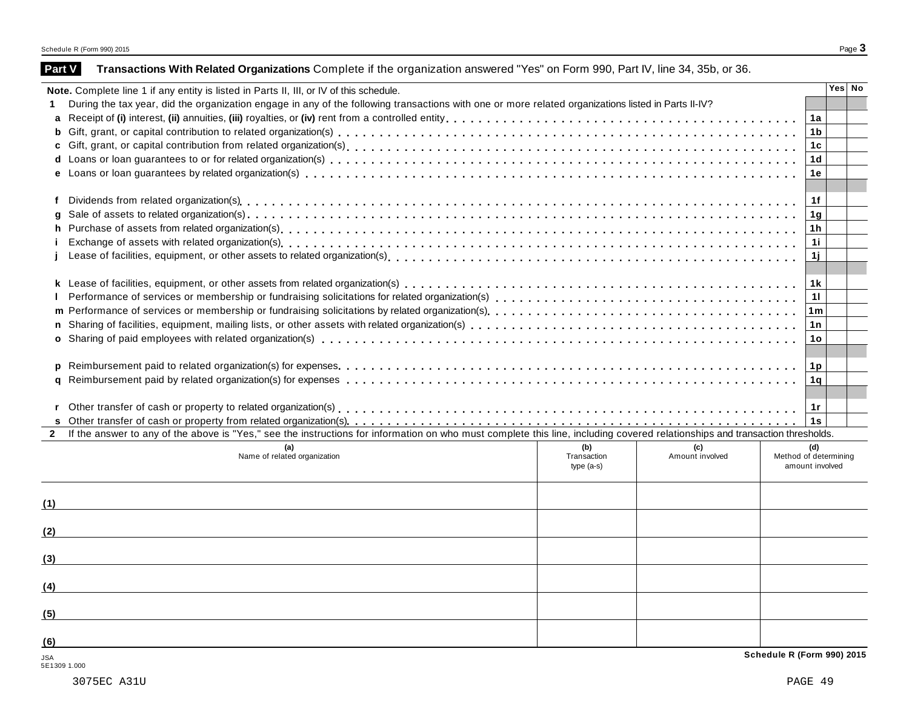| Part V |  |  |  | Transactions With Related Organizations Complete if the organization answered "Yes" on Form 990, Part IV, line 34, 35b, or 36. |
|--------|--|--|--|--------------------------------------------------------------------------------------------------------------------------------|
|--------|--|--|--|--------------------------------------------------------------------------------------------------------------------------------|

|              | Note. Complete line 1 if any entity is listed in Parts II, III, or IV of this schedule.                                                                                      |                                          |                | Yes No |
|--------------|------------------------------------------------------------------------------------------------------------------------------------------------------------------------------|------------------------------------------|----------------|--------|
|              | During the tax year, did the organization engage in any of the following transactions with one or more related organizations listed in Parts II-IV?                          |                                          |                |        |
|              |                                                                                                                                                                              |                                          | 1a             |        |
| b            |                                                                                                                                                                              |                                          | 1b             |        |
| C            |                                                                                                                                                                              |                                          | 1 <sub>c</sub> |        |
|              |                                                                                                                                                                              |                                          | 1d             |        |
|              |                                                                                                                                                                              |                                          | 1e             |        |
|              |                                                                                                                                                                              |                                          |                |        |
| f            |                                                                                                                                                                              |                                          | 1f             |        |
| $\mathbf{a}$ |                                                                                                                                                                              |                                          | 1 <sub>g</sub> |        |
|              |                                                                                                                                                                              |                                          |                |        |
| h            |                                                                                                                                                                              |                                          | 1h             |        |
|              |                                                                                                                                                                              |                                          | 1i             |        |
|              |                                                                                                                                                                              |                                          | 11             |        |
|              |                                                                                                                                                                              |                                          |                |        |
|              |                                                                                                                                                                              |                                          | 1 <sub>k</sub> |        |
|              |                                                                                                                                                                              |                                          | 11             |        |
|              |                                                                                                                                                                              |                                          | 1 <sub>m</sub> |        |
| n            |                                                                                                                                                                              |                                          | 1n             |        |
|              |                                                                                                                                                                              |                                          | 1 <sub>o</sub> |        |
|              |                                                                                                                                                                              |                                          |                |        |
| p            |                                                                                                                                                                              |                                          | 1p             |        |
| a            |                                                                                                                                                                              |                                          | 1q             |        |
|              |                                                                                                                                                                              |                                          |                |        |
|              |                                                                                                                                                                              |                                          | 1r             |        |
|              |                                                                                                                                                                              |                                          | 1s             |        |
|              | If the answer to any of the above is "Yes," see the instructions for information on who must complete this line, including covered relationships and transaction thresholds. |                                          |                |        |
|              | (a)<br>(b)<br>(c)                                                                                                                                                            |                                          | (d)            |        |
|              | Name of related organization<br>Transaction<br>Amount involved                                                                                                               | Method of determining<br>amount involved |                |        |
|              | $type(a-s)$                                                                                                                                                                  |                                          |                |        |
|              |                                                                                                                                                                              |                                          |                |        |
| (1)          |                                                                                                                                                                              |                                          |                |        |
|              |                                                                                                                                                                              |                                          |                |        |
| (2)          |                                                                                                                                                                              |                                          |                |        |
|              |                                                                                                                                                                              |                                          |                |        |
|              |                                                                                                                                                                              |                                          |                |        |
| (3)          |                                                                                                                                                                              |                                          |                |        |
|              |                                                                                                                                                                              |                                          |                |        |
| (4)          |                                                                                                                                                                              |                                          |                |        |
|              |                                                                                                                                                                              |                                          |                |        |
| (5)          |                                                                                                                                                                              |                                          |                |        |
|              |                                                                                                                                                                              |                                          |                |        |
| (6)          |                                                                                                                                                                              |                                          |                |        |
| .ISA         |                                                                                                                                                                              | Schedule R (Form 990) 2015               |                |        |

5E1309 1.000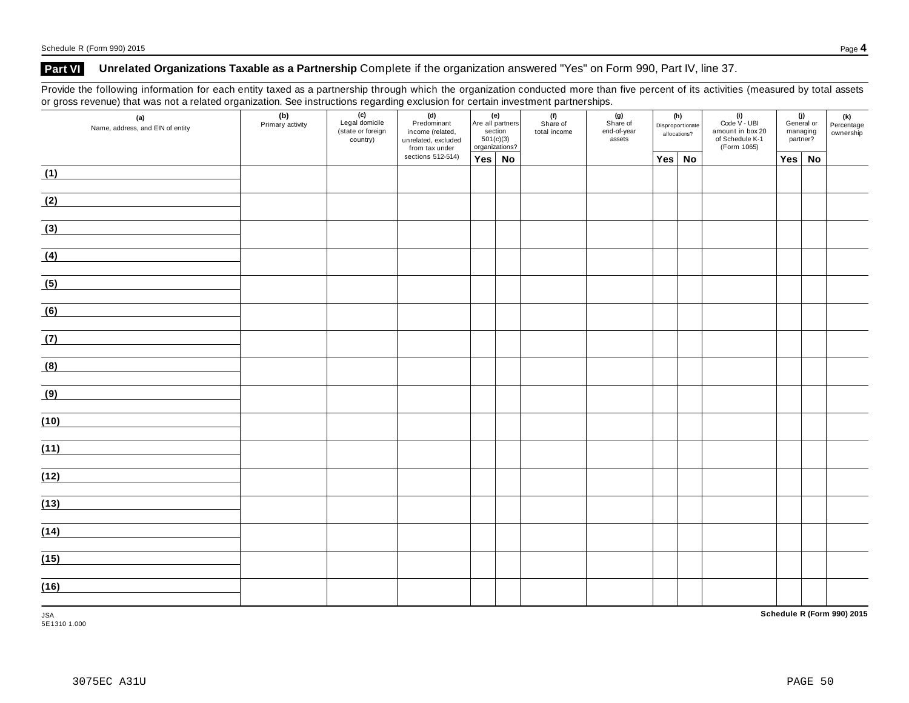## **Part VI Unrelated Organizations Taxable as a Partnership** Complete if the organization answered "Yes" on Form 990, Part IV, line 37.

Provide the following information for each entity taxed as a partnership through which the organization conducted more than five percent of its activities (measured by total assets or gross revenue) that was not a related organization. See instructions regarding exclusion for certain investment partnerships.

| (a)<br>Name, address, and EIN of entity | (b)<br>Primary activity | (c)<br>Legal domicile<br>(state or foreign<br>country) | $(d)$<br>Predominant<br>income (related,<br>unrelated, excluded<br>from tax under | $\left  \begin{array}{c} \text{(e)} \\ \text{Are all partners} \end{array} \right $<br>section<br>501(c)(3) |        | organizations? |  | (f)<br>Share of<br>total income | (g)<br>Share of<br>end-of-year<br>assets |  | (h)<br>Disproportionate<br>allocations? | $\begin{array}{c} \textbf{(i)} \\ \textbf{Code V - UBI} \end{array}$<br>amount in box 20<br>of Schedule K-1<br>(Form 1065) | managing<br>partner?       | (j)<br>General or | (k)<br>Percentage<br>ownership |
|-----------------------------------------|-------------------------|--------------------------------------------------------|-----------------------------------------------------------------------------------|-------------------------------------------------------------------------------------------------------------|--------|----------------|--|---------------------------------|------------------------------------------|--|-----------------------------------------|----------------------------------------------------------------------------------------------------------------------------|----------------------------|-------------------|--------------------------------|
|                                         |                         |                                                        | sections 512-514)                                                                 |                                                                                                             | Yes No |                |  | <b>Yes</b>                      | <b>No</b>                                |  | Yes                                     | <b>No</b>                                                                                                                  |                            |                   |                                |
| (1)                                     |                         |                                                        |                                                                                   |                                                                                                             |        |                |  |                                 |                                          |  |                                         |                                                                                                                            |                            |                   |                                |
| (2)                                     |                         |                                                        |                                                                                   |                                                                                                             |        |                |  |                                 |                                          |  |                                         |                                                                                                                            |                            |                   |                                |
| (3)                                     |                         |                                                        |                                                                                   |                                                                                                             |        |                |  |                                 |                                          |  |                                         |                                                                                                                            |                            |                   |                                |
| (4)                                     |                         |                                                        |                                                                                   |                                                                                                             |        |                |  |                                 |                                          |  |                                         |                                                                                                                            |                            |                   |                                |
| (5)                                     |                         |                                                        |                                                                                   |                                                                                                             |        |                |  |                                 |                                          |  |                                         |                                                                                                                            |                            |                   |                                |
| (6)                                     |                         |                                                        |                                                                                   |                                                                                                             |        |                |  |                                 |                                          |  |                                         |                                                                                                                            |                            |                   |                                |
| (7)                                     |                         |                                                        |                                                                                   |                                                                                                             |        |                |  |                                 |                                          |  |                                         |                                                                                                                            |                            |                   |                                |
| (8)                                     |                         |                                                        |                                                                                   |                                                                                                             |        |                |  |                                 |                                          |  |                                         |                                                                                                                            |                            |                   |                                |
| (9)                                     |                         |                                                        |                                                                                   |                                                                                                             |        |                |  |                                 |                                          |  |                                         |                                                                                                                            |                            |                   |                                |
| (10)                                    |                         |                                                        |                                                                                   |                                                                                                             |        |                |  |                                 |                                          |  |                                         |                                                                                                                            |                            |                   |                                |
| (11)                                    |                         |                                                        |                                                                                   |                                                                                                             |        |                |  |                                 |                                          |  |                                         |                                                                                                                            |                            |                   |                                |
| (12)                                    |                         |                                                        |                                                                                   |                                                                                                             |        |                |  |                                 |                                          |  |                                         |                                                                                                                            |                            |                   |                                |
| (13)                                    |                         |                                                        |                                                                                   |                                                                                                             |        |                |  |                                 |                                          |  |                                         |                                                                                                                            |                            |                   |                                |
| (14)                                    |                         |                                                        |                                                                                   |                                                                                                             |        |                |  |                                 |                                          |  |                                         |                                                                                                                            |                            |                   |                                |
| (15)                                    |                         |                                                        |                                                                                   |                                                                                                             |        |                |  |                                 |                                          |  |                                         |                                                                                                                            |                            |                   |                                |
| (16)                                    |                         |                                                        |                                                                                   |                                                                                                             |        |                |  |                                 |                                          |  |                                         |                                                                                                                            |                            |                   |                                |
| <b>JSA</b>                              |                         |                                                        |                                                                                   |                                                                                                             |        |                |  |                                 |                                          |  |                                         |                                                                                                                            | Schedule R (Form 990) 2015 |                   |                                |

5E1310 1.000